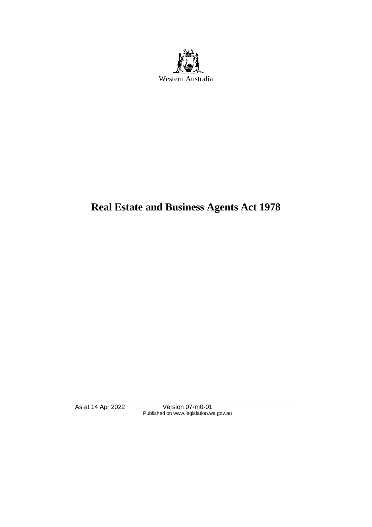

# **Real Estate and Business Agents Act 1978**

As at 14 Apr 2022 Version 07-m0-01 Published on www.legislation.wa.gov.au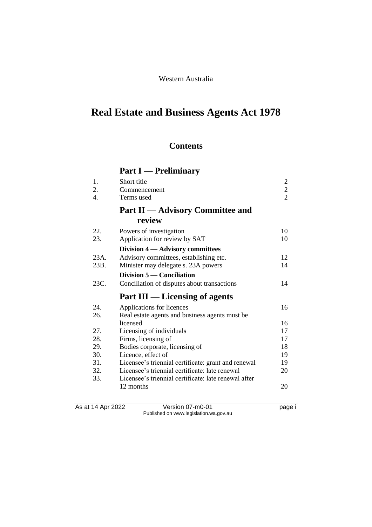# Western Australia

# **Real Estate and Business Agents Act 1978**

# **Contents**

# **Part I — Preliminary**

| 1.   | Short title                                          | $\mathfrak{2}$ |
|------|------------------------------------------------------|----------------|
| 2.   | Commencement                                         | $\overline{c}$ |
| 4.   | Terms used                                           | $\overline{2}$ |
|      | <b>Part II</b> — Advisory Committee and              |                |
|      | review                                               |                |
| 22.  | Powers of investigation                              | 10             |
| 23.  | Application for review by SAT                        | 10             |
|      | Division 4 – Advisory committees                     |                |
| 23A. | Advisory committees, establishing etc.               | 12             |
| 23B. | Minister may delegate s. 23A powers                  | 14             |
|      | Division 5 — Conciliation                            |                |
| 23C. | Conciliation of disputes about transactions          | 14             |
|      | Part III — Licensing of agents                       |                |
| 24.  | Applications for licences                            | 16             |
| 26.  | Real estate agents and business agents must be       |                |
|      | licensed                                             | 16             |
| 27.  | Licensing of individuals                             | 17             |
| 28.  | Firms, licensing of                                  | 17             |
| 29.  | Bodies corporate, licensing of                       | 18             |
| 30.  | Licence, effect of                                   | 19             |
| 31.  | Licensee's triennial certificate: grant and renewal  | 19             |
| 32.  | Licensee's triennial certificate: late renewal       | 20             |
| 33.  | Licensee's triennial certificate: late renewal after |                |
|      | 12 months                                            | 20             |

As at 14 Apr 2022 Version 07-m0-01 page i Published on www.legislation.wa.gov.au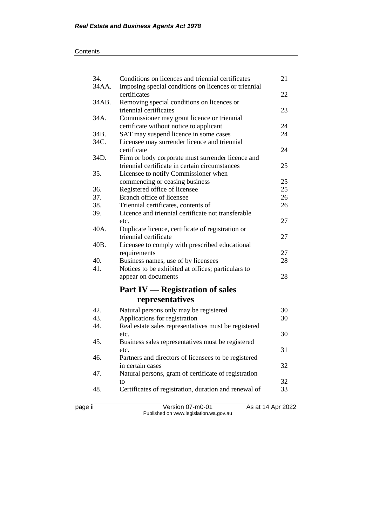| 34.   | Conditions on licences and triennial certificates     | 21 |
|-------|-------------------------------------------------------|----|
| 34AA. | Imposing special conditions on licences or triennial  |    |
|       | certificates                                          | 22 |
| 34AB. | Removing special conditions on licences or            |    |
|       | triennial certificates                                | 23 |
| 34A.  | Commissioner may grant licence or triennial           |    |
|       | certificate without notice to applicant               | 24 |
| 34B.  | SAT may suspend licence in some cases                 | 24 |
| 34C.  | Licensee may surrender licence and triennial          |    |
|       | certificate                                           | 24 |
| 34D.  | Firm or body corporate must surrender licence and     |    |
|       | triennial certificate in certain circumstances        | 25 |
| 35.   | Licensee to notify Commissioner when                  |    |
|       | commencing or ceasing business                        | 25 |
| 36.   | Registered office of licensee                         | 25 |
| 37.   | Branch office of licensee                             | 26 |
| 38.   | Triennial certificates, contents of                   | 26 |
| 39.   | Licence and triennial certificate not transferable    |    |
|       | etc.                                                  | 27 |
| 40A.  | Duplicate licence, certificate of registration or     |    |
|       | triennial certificate                                 | 27 |
| 40B.  | Licensee to comply with prescribed educational        |    |
|       | requirements                                          | 27 |
| 40.   | Business names, use of by licensees                   | 28 |
| 41.   | Notices to be exhibited at offices; particulars to    |    |
|       | appear on documents                                   | 28 |
|       | <b>Part IV — Registration of sales</b>                |    |
|       |                                                       |    |
|       | representatives                                       |    |
| 42.   | Natural persons only may be registered                | 30 |
| 43.   | Applications for registration                         | 30 |
| 44.   | Real estate sales representatives must be registered  |    |
|       | etc.                                                  | 30 |
| 45.   | Business sales representatives must be registered     |    |
|       | etc.                                                  | 31 |
| 46.   | Partners and directors of licensees to be registered  |    |
|       | in certain cases                                      | 32 |
| 47.   | Natural persons, grant of certificate of registration |    |
|       | to                                                    | 32 |
| 48.   | Certificates of registration, duration and renewal of | 33 |
|       |                                                       |    |

page ii Version 07-m0-01 As at 14 Apr 2022 Published on www.legislation.wa.gov.au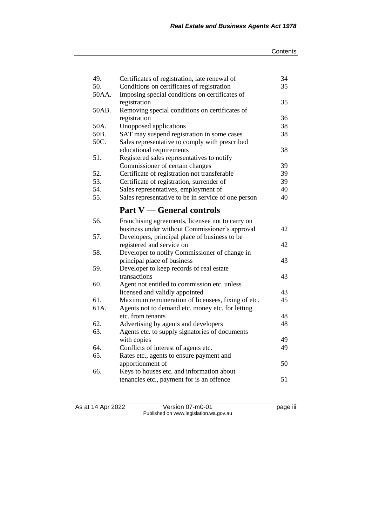| 49.   | Certificates of registration, late renewal of                          | 34 |
|-------|------------------------------------------------------------------------|----|
| 50.   | Conditions on certificates of registration                             | 35 |
| 50AA. | Imposing special conditions on certificates of                         | 35 |
| 50AB. | registration                                                           |    |
|       | Removing special conditions on certificates of<br>registration         | 36 |
| 50A.  |                                                                        | 38 |
| 50B.  | Unopposed applications                                                 | 38 |
| 50C.  | SAT may suspend registration in some cases                             |    |
|       | Sales representative to comply with prescribed                         | 38 |
| 51.   | educational requirements<br>Registered sales representatives to notify |    |
|       | Commissioner of certain changes                                        | 39 |
| 52.   | Certificate of registration not transferable                           | 39 |
| 53.   | Certificate of registration, surrender of                              | 39 |
| 54.   | Sales representatives, employment of                                   | 40 |
| 55.   | Sales representative to be in service of one person                    | 40 |
|       |                                                                        |    |
|       | <b>Part V</b> — General controls                                       |    |
| 56.   | Franchising agreements, licensee not to carry on                       |    |
|       | business under without Commissioner's approval                         | 42 |
| 57.   | Developers, principal place of business to be                          |    |
|       | registered and service on                                              | 42 |
| 58.   | Developer to notify Commissioner of change in                          |    |
|       | principal place of business                                            | 43 |
| 59.   | Developer to keep records of real estate                               |    |
|       | transactions                                                           | 43 |
| 60.   | Agent not entitled to commission etc. unless                           |    |
|       | licensed and validly appointed                                         | 43 |
| 61.   | Maximum remuneration of licensees, fixing of etc.                      | 45 |
| 61A.  | Agents not to demand etc. money etc. for letting                       |    |
|       | etc. from tenants                                                      | 48 |
| 62.   | Advertising by agents and developers                                   | 48 |
| 63.   | Agents etc. to supply signatories of documents                         |    |
|       | with copies                                                            | 49 |
| 64.   | Conflicts of interest of agents etc.                                   | 49 |
| 65.   | Rates etc., agents to ensure payment and                               |    |
|       | apportionment of                                                       | 50 |
| 66.   | Keys to houses etc. and information about                              |    |
|       | tenancies etc., payment for is an offence                              | 51 |

As at 14 Apr 2022 Version 07-m0-01 page iii Published on www.legislation.wa.gov.au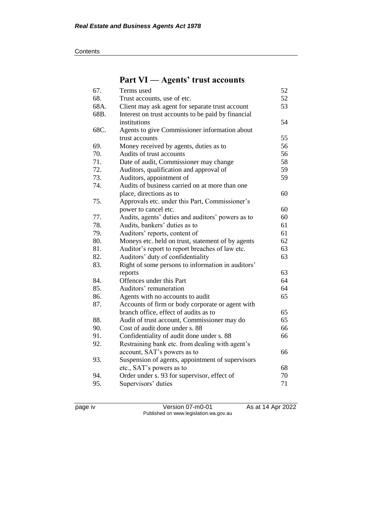#### **Contents**

# **Part VI — Agents' trust accounts**

| 67.  | Terms used                                         | 52 |
|------|----------------------------------------------------|----|
| 68.  | Trust accounts, use of etc.                        | 52 |
| 68A. | Client may ask agent for separate trust account    | 53 |
| 68B. | Interest on trust accounts to be paid by financial |    |
|      | institutions                                       | 54 |
| 68C. | Agents to give Commissioner information about      |    |
|      | trust accounts                                     | 55 |
| 69.  | Money received by agents, duties as to             | 56 |
| 70.  | Audits of trust accounts                           | 56 |
| 71.  | Date of audit, Commissioner may change             | 58 |
| 72.  | Auditors, qualification and approval of            | 59 |
| 73.  | Auditors, appointment of                           | 59 |
| 74.  | Audits of business carried on at more than one     |    |
|      | place, directions as to                            | 60 |
| 75.  | Approvals etc. under this Part, Commissioner's     |    |
|      | power to cancel etc.                               | 60 |
| 77.  | Audits, agents' duties and auditors' powers as to  | 60 |
| 78.  | Audits, bankers' duties as to                      | 61 |
| 79.  | Auditors' reports, content of                      | 61 |
| 80.  | Moneys etc. held on trust, statement of by agents  | 62 |
| 81.  | Auditor's report to report breaches of law etc.    | 63 |
| 82.  | Auditors' duty of confidentiality                  | 63 |
| 83.  | Right of some persons to information in auditors'  |    |
|      | reports                                            | 63 |
| 84.  | Offences under this Part                           | 64 |
| 85.  | Auditors' remuneration                             | 64 |
| 86.  | Agents with no accounts to audit                   | 65 |
| 87.  | Accounts of firm or body corporate or agent with   |    |
|      | branch office, effect of audits as to              | 65 |
| 88.  | Audit of trust account, Commissioner may do        | 65 |
| 90.  | Cost of audit done under s. 88                     | 66 |
| 91.  | Confidentiality of audit done under s. 88          | 66 |
| 92.  | Restraining bank etc. from dealing with agent's    |    |
|      | account, SAT's powers as to                        | 66 |
| 93.  | Suspension of agents, appointment of supervisors   |    |
|      | etc., SAT's powers as to                           | 68 |
| 94.  | Order under s. 93 for supervisor, effect of        | 70 |
| 95.  | Supervisors' duties                                | 71 |

page iv Version 07-m0-01 As at 14 Apr 2022 Published on www.legislation.wa.gov.au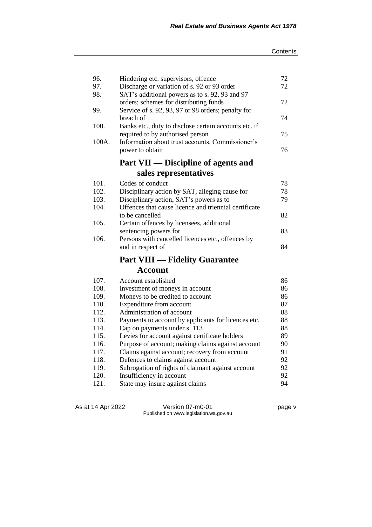| 96.   | Hindering etc. supervisors, offence                   | 72 |
|-------|-------------------------------------------------------|----|
| 97.   | Discharge or variation of s. 92 or 93 order           | 72 |
| 98.   | SAT's additional powers as to s. 92, 93 and 97        |    |
|       | orders; schemes for distributing funds                | 72 |
| 99.   | Service of s. 92, 93, 97 or 98 orders; penalty for    |    |
|       | breach of                                             | 74 |
| 100.  | Banks etc., duty to disclose certain accounts etc. if |    |
|       | required to by authorised person                      | 75 |
| 100A. | Information about trust accounts, Commissioner's      |    |
|       | power to obtain                                       | 76 |
|       | Part VII — Discipline of agents and                   |    |
|       | sales representatives                                 |    |
| 101.  | Codes of conduct                                      | 78 |
| 102.  | Disciplinary action by SAT, alleging cause for        | 78 |
| 103.  | Disciplinary action, SAT's powers as to               | 79 |
| 104.  | Offences that cause licence and triennial certificate |    |
|       | to be cancelled                                       | 82 |
| 105.  | Certain offences by licensees, additional             |    |
|       | sentencing powers for                                 | 83 |
| 106.  | Persons with cancelled licences etc., offences by     |    |
|       | and in respect of                                     | 84 |
|       | <b>Part VIII — Fidelity Guarantee</b>                 |    |
|       | <b>Account</b>                                        |    |
| 107.  | Account established                                   | 86 |
| 108.  |                                                       | 86 |
| 109.  | Investment of moneys in account                       | 86 |
| 110.  | Moneys to be credited to account                      | 87 |
| 112.  | Expenditure from account<br>Administration of account | 88 |
| 113.  | Payments to account by applicants for licences etc.   | 88 |
| 114.  | Cap on payments under s. 113                          | 88 |
| 115.  | Levies for account against certificate holders        | 89 |
| 116.  | Purpose of account; making claims against account     | 90 |
| 117.  | Claims against account; recovery from account         | 91 |
| 118.  | Defences to claims against account                    | 92 |
| 119.  | Subrogation of rights of claimant against account     | 92 |
| 120.  | Insufficiency in account                              | 92 |
| 121.  | State may insure against claims                       | 94 |
|       |                                                       |    |

As at 14 Apr 2022 Version 07-m0-01 page v Published on www.legislation.wa.gov.au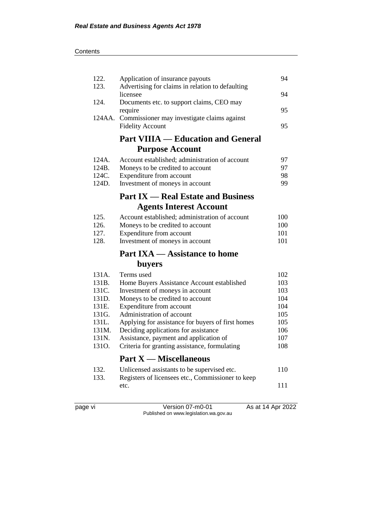| 122.<br>123. | Application of insurance payouts<br>Advertising for claims in relation to defaulting | 94  |
|--------------|--------------------------------------------------------------------------------------|-----|
|              | licensee                                                                             | 94  |
| 124.         | Documents etc. to support claims, CEO may                                            | 95  |
|              | require<br>124AA. Commissioner may investigate claims against                        |     |
|              | <b>Fidelity Account</b>                                                              | 95  |
|              | <b>Part VIIIA — Education and General</b>                                            |     |
|              | <b>Purpose Account</b>                                                               |     |
| 124A.        | Account established; administration of account                                       | 97  |
| 124B.        | Moneys to be credited to account                                                     | 97  |
| 124C.        | Expenditure from account                                                             | 98  |
| 124D.        | Investment of moneys in account                                                      | 99  |
|              | <b>Part IX — Real Estate and Business</b>                                            |     |
|              | <b>Agents Interest Account</b>                                                       |     |
| 125.         | Account established; administration of account                                       | 100 |
| 126.         | Moneys to be credited to account                                                     | 100 |
| 127.         | Expenditure from account                                                             | 101 |
| 128.         | Investment of moneys in account                                                      | 101 |
|              | <b>Part IXA</b> — Assistance to home                                                 |     |
|              | <b>buyers</b>                                                                        |     |
| 131A.        | Terms used                                                                           | 102 |
| 131B.        | Home Buyers Assistance Account established                                           | 103 |
| 131C.        | Investment of moneys in account                                                      | 103 |
| 131D.        | Moneys to be credited to account                                                     | 104 |
| 131E.        | Expenditure from account                                                             | 104 |
| 131G.        | Administration of account                                                            | 105 |
| 131L.        | Applying for assistance for buyers of first homes                                    | 105 |
| 131M.        | Deciding applications for assistance                                                 | 106 |
| 131N.        | Assistance, payment and application of                                               | 107 |
| 1310.        | Criteria for granting assistance, formulating                                        | 108 |
|              | <b>Part X — Miscellaneous</b>                                                        |     |
| 132.         | Unlicensed assistants to be supervised etc.                                          | 110 |
| 133.         | Registers of licensees etc., Commissioner to keep                                    |     |
|              | etc.                                                                                 | 111 |
|              |                                                                                      |     |
|              |                                                                                      |     |

page vi Version 07-m0-01 As at 14 Apr 2022 Published on www.legislation.wa.gov.au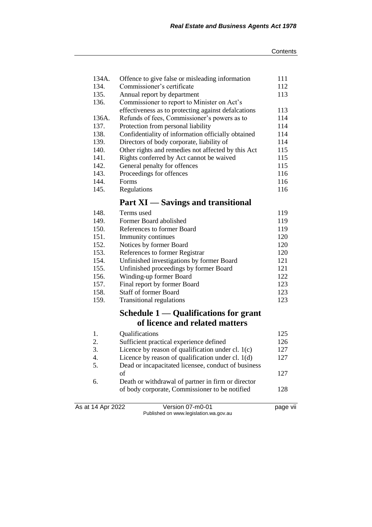| Offence to give false or misleading information     | 111 |
|-----------------------------------------------------|-----|
| Commissioner's certificate                          | 112 |
| Annual report by department                         | 113 |
| Commissioner to report to Minister on Act's         |     |
| effectiveness as to protecting against defalcations | 113 |
| Refunds of fees, Commissioner's powers as to        | 114 |
| Protection from personal liability                  | 114 |
| Confidentiality of information officially obtained  | 114 |
| Directors of body corporate, liability of           | 114 |
| Other rights and remedies not affected by this Act  | 115 |
| Rights conferred by Act cannot be waived            | 115 |
| General penalty for offences                        | 115 |
| Proceedings for offences                            | 116 |
| Forms                                               | 116 |
| Regulations                                         | 116 |
|                                                     |     |

# **Part XI — Savings and transitional**

| 148. | Terms used                                | 119 |
|------|-------------------------------------------|-----|
| 149. | Former Board abolished                    | 119 |
| 150. | References to former Board                | 119 |
| 151. | Immunity continues                        | 120 |
| 152. | Notices by former Board                   | 120 |
| 153. | References to former Registrar            | 120 |
| 154. | Unfinished investigations by former Board | 121 |
| 155. | Unfinished proceedings by former Board    | 121 |
| 156. | Winding-up former Board                   | 122 |
| 157. | Final report by former Board              | 123 |
| 158. | <b>Staff of former Board</b>              | 123 |
| 159. | Transitional regulations                  | 123 |
|      |                                           |     |

# **Schedule 1 — Qualifications for grant of licence and related matters**

|                | Qualifications                                      | 125 |
|----------------|-----------------------------------------------------|-----|
| 2.             | Sufficient practical experience defined             | 126 |
| 3.             | Licence by reason of qualification under cl. $1(c)$ | 127 |
| $\overline{4}$ | Licence by reason of qualification under cl. $1(d)$ | 127 |
| .5.            | Dead or incapacitated licensee, conduct of business |     |
|                | οf                                                  | 127 |
| 6.             | Death or withdrawal of partner in firm or director  |     |
|                | of body corporate, Commissioner to be notified      | 128 |
|                |                                                     |     |

As at 14 Apr 2022 Version 07-m0-01 page vii Published on www.legislation.wa.gov.au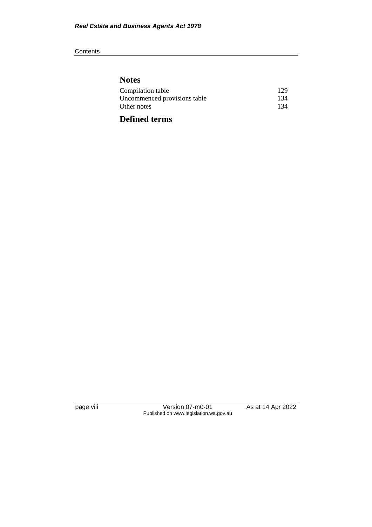#### **Contents**

# **Notes**

| Compilation table            | 129 |
|------------------------------|-----|
| Uncommenced provisions table | 134 |
| Other notes                  | 134 |
|                              |     |

# **Defined terms**

page viii Version 07-m0-01 As at 14 Apr 2022 Published on www.legislation.wa.gov.au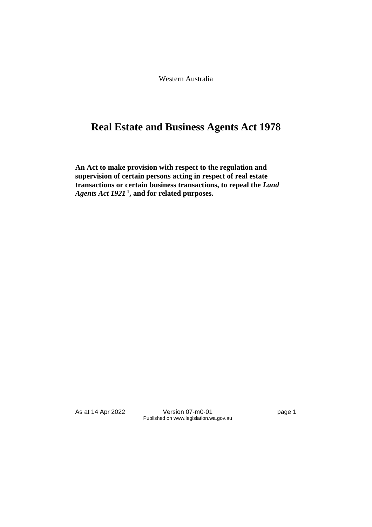Western Australia

# **Real Estate and Business Agents Act 1978**

**An Act to make provision with respect to the regulation and supervision of certain persons acting in respect of real estate transactions or certain business transactions, to repeal the** *Land Agents Act 1921* **<sup>1</sup> , and for related purposes.**

As at 14 Apr 2022 Version 07-m0-01 page 1 Published on www.legislation.wa.gov.au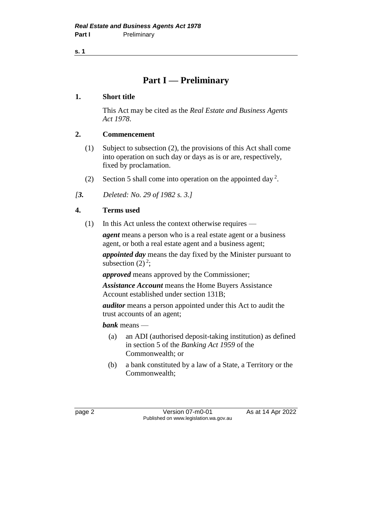**s. 1**

# **Part I — Preliminary**

# **1. Short title**

This Act may be cited as the *Real Estate and Business Agents Act 1978*.

# **2. Commencement**

- (1) Subject to subsection (2), the provisions of this Act shall come into operation on such day or days as is or are, respectively, fixed by proclamation.
- (2) Section 5 shall come into operation on the appointed day<sup>2</sup>.

*[3. Deleted: No. 29 of 1982 s. 3.]*

# **4. Terms used**

(1) In this Act unless the context otherwise requires —

*agent* means a person who is a real estate agent or a business agent, or both a real estate agent and a business agent;

*appointed day* means the day fixed by the Minister pursuant to subsection  $(2)^2$ ;

*approved* means approved by the Commissioner;

*Assistance Account* means the Home Buyers Assistance Account established under section 131B;

*auditor* means a person appointed under this Act to audit the trust accounts of an agent;

*bank* means —

- (a) an ADI (authorised deposit-taking institution) as defined in section 5 of the *Banking Act 1959* of the Commonwealth; or
- (b) a bank constituted by a law of a State, a Territory or the Commonwealth;

page 2 **Version 07-m0-01** As at 14 Apr 2022 Published on www.legislation.wa.gov.au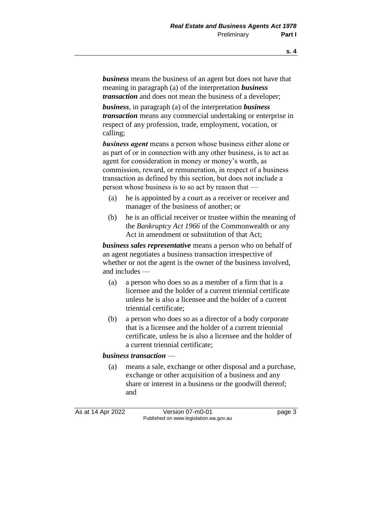*business* means the business of an agent but does not have that meaning in paragraph (a) of the interpretation *business transaction* and does not mean the business of a developer;

*business*, in paragraph (a) of the interpretation *business transaction* means any commercial undertaking or enterprise in respect of any profession, trade, employment, vocation, or calling;

*business agent* means a person whose business either alone or as part of or in connection with any other business, is to act as agent for consideration in money or money's worth, as commission, reward, or remuneration, in respect of a business transaction as defined by this section, but does not include a person whose business is to so act by reason that —

- (a) he is appointed by a court as a receiver or receiver and manager of the business of another; or
- (b) he is an official receiver or trustee within the meaning of the *Bankruptcy Act 1966* of the Commonwealth or any Act in amendment or substitution of that Act;

*business sales representative* means a person who on behalf of an agent negotiates a business transaction irrespective of whether or not the agent is the owner of the business involved, and includes —

- (a) a person who does so as a member of a firm that is a licensee and the holder of a current triennial certificate unless he is also a licensee and the holder of a current triennial certificate;
- (b) a person who does so as a director of a body corporate that is a licensee and the holder of a current triennial certificate, unless he is also a licensee and the holder of a current triennial certificate;

#### *business transaction* —

(a) means a sale, exchange or other disposal and a purchase, exchange or other acquisition of a business and any share or interest in a business or the goodwill thereof; and

As at 14 Apr 2022 Version 07-m0-01 page 3 Published on www.legislation.wa.gov.au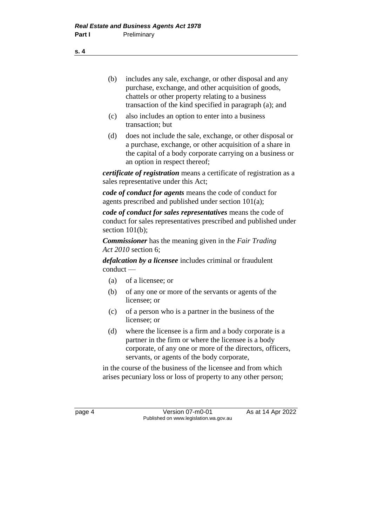- (b) includes any sale, exchange, or other disposal and any purchase, exchange, and other acquisition of goods, chattels or other property relating to a business transaction of the kind specified in paragraph (a); and
- (c) also includes an option to enter into a business transaction; but
- (d) does not include the sale, exchange, or other disposal or a purchase, exchange, or other acquisition of a share in the capital of a body corporate carrying on a business or an option in respect thereof;

*certificate of registration* means a certificate of registration as a sales representative under this Act;

*code of conduct for agents* means the code of conduct for agents prescribed and published under section 101(a);

*code of conduct for sales representatives* means the code of conduct for sales representatives prescribed and published under section 101(b):

*Commissioner* has the meaning given in the *Fair Trading Act 2010* section 6;

*defalcation by a licensee* includes criminal or fraudulent conduct —

- (a) of a licensee; or
- (b) of any one or more of the servants or agents of the licensee; or
- (c) of a person who is a partner in the business of the licensee; or
- (d) where the licensee is a firm and a body corporate is a partner in the firm or where the licensee is a body corporate, of any one or more of the directors, officers, servants, or agents of the body corporate,

in the course of the business of the licensee and from which arises pecuniary loss or loss of property to any other person;

page 4 Version 07-m0-01 As at 14 Apr 2022 Published on www.legislation.wa.gov.au

**s. 4**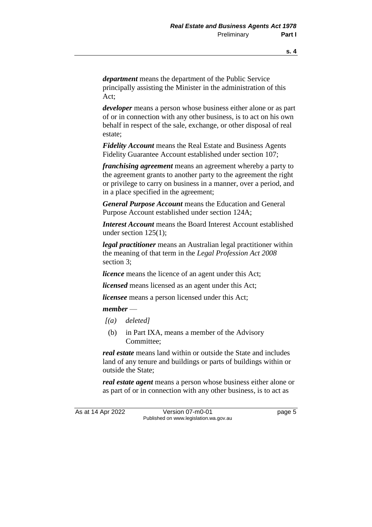*department* means the department of the Public Service principally assisting the Minister in the administration of this Act;

*developer* means a person whose business either alone or as part of or in connection with any other business, is to act on his own behalf in respect of the sale, exchange, or other disposal of real estate;

*Fidelity Account* means the Real Estate and Business Agents Fidelity Guarantee Account established under section 107;

*franchising agreement* means an agreement whereby a party to the agreement grants to another party to the agreement the right or privilege to carry on business in a manner, over a period, and in a place specified in the agreement;

*General Purpose Account* means the Education and General Purpose Account established under section 124A;

*Interest Account* means the Board Interest Account established under section 125(1);

*legal practitioner* means an Australian legal practitioner within the meaning of that term in the *Legal Profession Act 2008* section 3;

*licence* means the licence of an agent under this Act;

*licensed* means licensed as an agent under this Act;

*licensee* means a person licensed under this Act;

#### *member* —

- *[(a) deleted]*
- (b) in Part IXA, means a member of the Advisory Committee;

*real estate* means land within or outside the State and includes land of any tenure and buildings or parts of buildings within or outside the State;

*real estate agent* means a person whose business either alone or as part of or in connection with any other business, is to act as

As at 14 Apr 2022 Version 07-m0-01 page 5 Published on www.legislation.wa.gov.au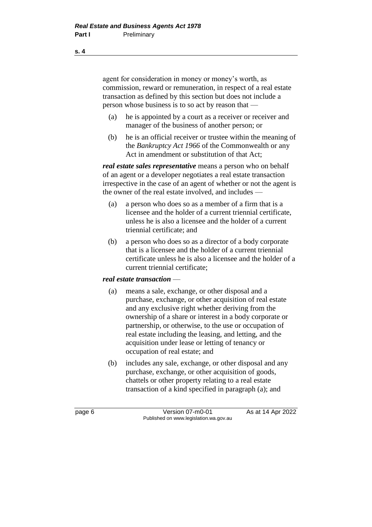agent for consideration in money or money's worth, as commission, reward or remuneration, in respect of a real estate transaction as defined by this section but does not include a person whose business is to so act by reason that —

- (a) he is appointed by a court as a receiver or receiver and manager of the business of another person; or
- (b) he is an official receiver or trustee within the meaning of the *Bankruptcy Act 1966* of the Commonwealth or any Act in amendment or substitution of that Act;

*real estate sales representative* means a person who on behalf of an agent or a developer negotiates a real estate transaction irrespective in the case of an agent of whether or not the agent is the owner of the real estate involved, and includes —

- (a) a person who does so as a member of a firm that is a licensee and the holder of a current triennial certificate, unless he is also a licensee and the holder of a current triennial certificate; and
- (b) a person who does so as a director of a body corporate that is a licensee and the holder of a current triennial certificate unless he is also a licensee and the holder of a current triennial certificate;

# *real estate transaction* —

- (a) means a sale, exchange, or other disposal and a purchase, exchange, or other acquisition of real estate and any exclusive right whether deriving from the ownership of a share or interest in a body corporate or partnership, or otherwise, to the use or occupation of real estate including the leasing, and letting, and the acquisition under lease or letting of tenancy or occupation of real estate; and
- (b) includes any sale, exchange, or other disposal and any purchase, exchange, or other acquisition of goods, chattels or other property relating to a real estate transaction of a kind specified in paragraph (a); and

page 6 **Version 07-m0-01** As at 14 Apr 2022 Published on www.legislation.wa.gov.au

**s. 4**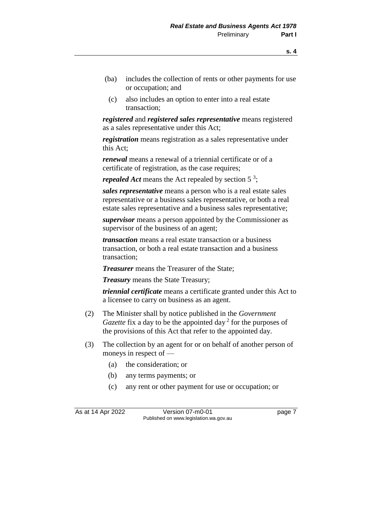- (ba) includes the collection of rents or other payments for use or occupation; and
- (c) also includes an option to enter into a real estate transaction;

*registered* and *registered sales representative* means registered as a sales representative under this Act;

*registration* means registration as a sales representative under this Act;

*renewal* means a renewal of a triennial certificate or of a certificate of registration, as the case requires;

*repealed Act* means the Act repealed by section 5 3 ;

*sales representative* means a person who is a real estate sales representative or a business sales representative, or both a real estate sales representative and a business sales representative;

*supervisor* means a person appointed by the Commissioner as supervisor of the business of an agent;

*transaction* means a real estate transaction or a business transaction, or both a real estate transaction and a business transaction;

*Treasurer* means the Treasurer of the State;

*Treasury* means the State Treasury;

*triennial certificate* means a certificate granted under this Act to a licensee to carry on business as an agent.

- (2) The Minister shall by notice published in the *Government Gazette* fix a day to be the appointed day<sup>2</sup> for the purposes of the provisions of this Act that refer to the appointed day.
- (3) The collection by an agent for or on behalf of another person of moneys in respect of —
	- (a) the consideration; or
	- (b) any terms payments; or
	- (c) any rent or other payment for use or occupation; or

As at 14 Apr 2022 Version 07-m0-01 page 7 Published on www.legislation.wa.gov.au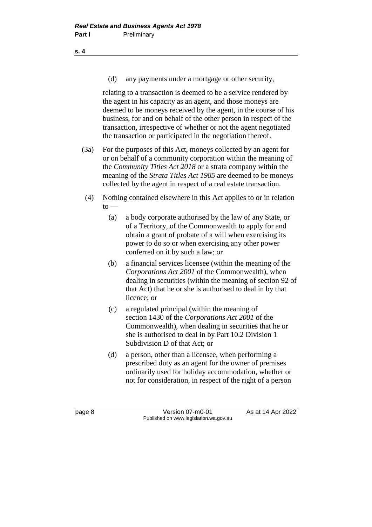(d) any payments under a mortgage or other security,

relating to a transaction is deemed to be a service rendered by the agent in his capacity as an agent, and those moneys are deemed to be moneys received by the agent, in the course of his business, for and on behalf of the other person in respect of the transaction, irrespective of whether or not the agent negotiated the transaction or participated in the negotiation thereof.

- (3a) For the purposes of this Act, moneys collected by an agent for or on behalf of a community corporation within the meaning of the *Community Titles Act 2018* or a strata company within the meaning of the *Strata Titles Act 1985* are deemed to be moneys collected by the agent in respect of a real estate transaction.
- (4) Nothing contained elsewhere in this Act applies to or in relation  $to -$ 
	- (a) a body corporate authorised by the law of any State, or of a Territory, of the Commonwealth to apply for and obtain a grant of probate of a will when exercising its power to do so or when exercising any other power conferred on it by such a law; or
	- (b) a financial services licensee (within the meaning of the *Corporations Act 2001* of the Commonwealth), when dealing in securities (within the meaning of section 92 of that Act) that he or she is authorised to deal in by that licence; or
	- (c) a regulated principal (within the meaning of section 1430 of the *Corporations Act 2001* of the Commonwealth), when dealing in securities that he or she is authorised to deal in by Part 10.2 Division 1 Subdivision D of that Act; or
	- (d) a person, other than a licensee, when performing a prescribed duty as an agent for the owner of premises ordinarily used for holiday accommodation, whether or not for consideration, in respect of the right of a person

page 8 Version 07-m0-01 As at 14 Apr 2022 Published on www.legislation.wa.gov.au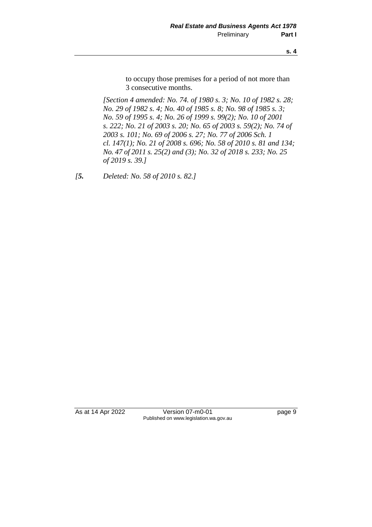to occupy those premises for a period of not more than 3 consecutive months.

*[Section 4 amended: No. 74. of 1980 s. 3; No. 10 of 1982 s. 28; No. 29 of 1982 s. 4; No. 40 of 1985 s. 8; No. 98 of 1985 s. 3; No. 59 of 1995 s. 4; No. 26 of 1999 s. 99(2); No. 10 of 2001 s. 222; No. 21 of 2003 s. 20; No. 65 of 2003 s. 59(2); No. 74 of 2003 s. 101; No. 69 of 2006 s. 27; No. 77 of 2006 Sch. 1 cl. 147(1); No. 21 of 2008 s. 696; No. 58 of 2010 s. 81 and 134; No. 47 of 2011 s. 25(2) and (3); No. 32 of 2018 s. 233; No. 25 of 2019 s. 39.]*

*[5. Deleted: No. 58 of 2010 s. 82.]*

As at 14 Apr 2022 Version 07-m0-01 page 9 Published on www.legislation.wa.gov.au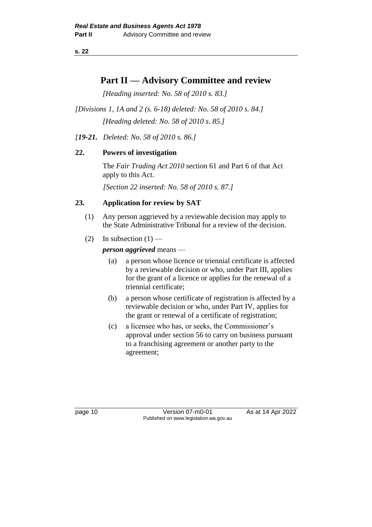**s. 22**

# **Part II — Advisory Committee and review**

*[Heading inserted: No. 58 of 2010 s. 83.]*

*[Divisions 1, 1A and 2 (s. 6-18) deleted: No. 58 of 2010 s. 84.] [Heading deleted: No. 58 of 2010 s. 85.]*

*[19-21. Deleted: No. 58 of 2010 s. 86.]*

# **22. Powers of investigation**

The *Fair Trading Act 2010* section 61 and Part 6 of that Act apply to this Act.

*[Section 22 inserted: No. 58 of 2010 s. 87.]*

# **23. Application for review by SAT**

- (1) Any person aggrieved by a reviewable decision may apply to the State Administrative Tribunal for a review of the decision.
- (2) In subsection  $(1)$  —

*person aggrieved* means —

- (a) a person whose licence or triennial certificate is affected by a reviewable decision or who, under Part III, applies for the grant of a licence or applies for the renewal of a triennial certificate;
- (b) a person whose certificate of registration is affected by a reviewable decision or who, under Part IV, applies for the grant or renewal of a certificate of registration;
- (c) a licensee who has, or seeks, the Commissioner's approval under section 56 to carry on business pursuant to a franchising agreement or another party to the agreement;

page 10 **Version 07-m0-01** As at 14 Apr 2022 Published on www.legislation.wa.gov.au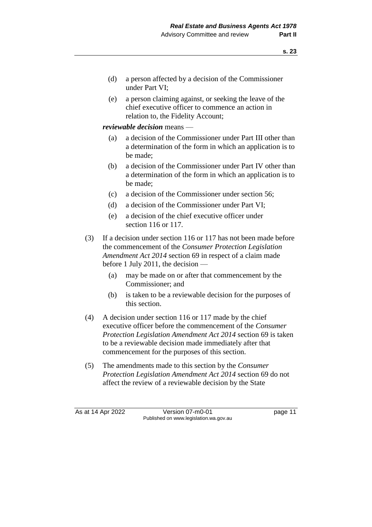- (d) a person affected by a decision of the Commissioner under Part VI;
- (e) a person claiming against, or seeking the leave of the chief executive officer to commence an action in relation to, the Fidelity Account;

#### *reviewable decision* means —

- (a) a decision of the Commissioner under Part III other than a determination of the form in which an application is to be made;
- (b) a decision of the Commissioner under Part IV other than a determination of the form in which an application is to be made;
- (c) a decision of the Commissioner under section 56;
- (d) a decision of the Commissioner under Part VI;
- (e) a decision of the chief executive officer under section 116 or 117.
- (3) If a decision under section 116 or 117 has not been made before the commencement of the *Consumer Protection Legislation Amendment Act 2014* section 69 in respect of a claim made before 1 July 2011, the decision —
	- (a) may be made on or after that commencement by the Commissioner; and
	- (b) is taken to be a reviewable decision for the purposes of this section.
- (4) A decision under section 116 or 117 made by the chief executive officer before the commencement of the *Consumer Protection Legislation Amendment Act 2014* section 69 is taken to be a reviewable decision made immediately after that commencement for the purposes of this section.
- (5) The amendments made to this section by the *Consumer Protection Legislation Amendment Act 2014* section 69 do not affect the review of a reviewable decision by the State

As at 14 Apr 2022 Version 07-m0-01 Page 11 Published on www.legislation.wa.gov.au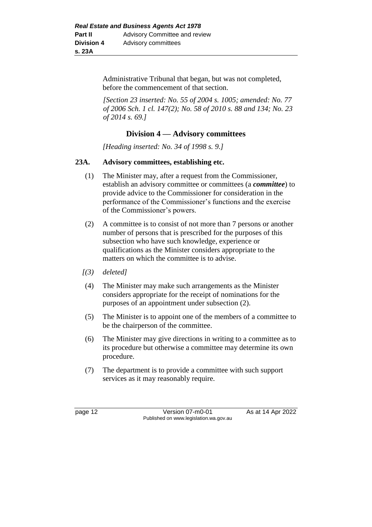Administrative Tribunal that began, but was not completed, before the commencement of that section.

*[Section 23 inserted: No. 55 of 2004 s. 1005; amended: No. 77 of 2006 Sch. 1 cl. 147(2); No. 58 of 2010 s. 88 and 134; No. 23 of 2014 s. 69.]*

# **Division 4 — Advisory committees**

*[Heading inserted: No. 34 of 1998 s. 9.]*

#### **23A. Advisory committees, establishing etc.**

- (1) The Minister may, after a request from the Commissioner, establish an advisory committee or committees (a *committee*) to provide advice to the Commissioner for consideration in the performance of the Commissioner's functions and the exercise of the Commissioner's powers.
- (2) A committee is to consist of not more than 7 persons or another number of persons that is prescribed for the purposes of this subsection who have such knowledge, experience or qualifications as the Minister considers appropriate to the matters on which the committee is to advise.
- *[(3) deleted]*
- (4) The Minister may make such arrangements as the Minister considers appropriate for the receipt of nominations for the purposes of an appointment under subsection (2).
- (5) The Minister is to appoint one of the members of a committee to be the chairperson of the committee.
- (6) The Minister may give directions in writing to a committee as to its procedure but otherwise a committee may determine its own procedure.
- (7) The department is to provide a committee with such support services as it may reasonably require.

page 12 **Version 07-m0-01** As at 14 Apr 2022 Published on www.legislation.wa.gov.au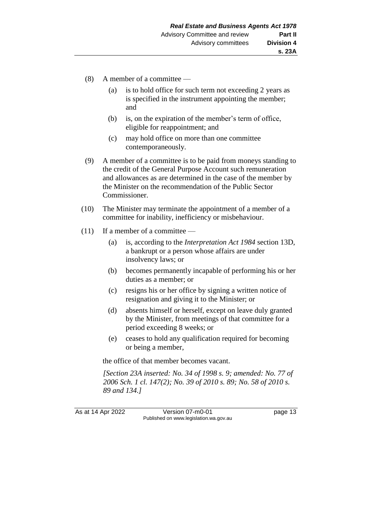- (8) A member of a committee
	- (a) is to hold office for such term not exceeding 2 years as is specified in the instrument appointing the member; and
	- (b) is, on the expiration of the member's term of office, eligible for reappointment; and
	- (c) may hold office on more than one committee contemporaneously.
- (9) A member of a committee is to be paid from moneys standing to the credit of the General Purpose Account such remuneration and allowances as are determined in the case of the member by the Minister on the recommendation of the Public Sector Commissioner.
- (10) The Minister may terminate the appointment of a member of a committee for inability, inefficiency or misbehaviour.
- (11) If a member of a committee
	- (a) is, according to the *Interpretation Act 1984* section 13D, a bankrupt or a person whose affairs are under insolvency laws; or
	- (b) becomes permanently incapable of performing his or her duties as a member; or
	- (c) resigns his or her office by signing a written notice of resignation and giving it to the Minister; or
	- (d) absents himself or herself, except on leave duly granted by the Minister, from meetings of that committee for a period exceeding 8 weeks; or
	- (e) ceases to hold any qualification required for becoming or being a member,

the office of that member becomes vacant.

*[Section 23A inserted: No. 34 of 1998 s. 9; amended: No. 77 of 2006 Sch. 1 cl. 147(2); No. 39 of 2010 s. 89; No. 58 of 2010 s. 89 and 134.]*

As at 14 Apr 2022 Version 07-m0-01 Page 13 Published on www.legislation.wa.gov.au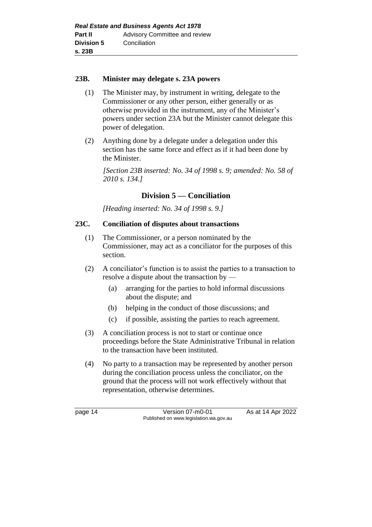# **23B. Minister may delegate s. 23A powers**

- (1) The Minister may, by instrument in writing, delegate to the Commissioner or any other person, either generally or as otherwise provided in the instrument, any of the Minister's powers under section 23A but the Minister cannot delegate this power of delegation.
- (2) Anything done by a delegate under a delegation under this section has the same force and effect as if it had been done by the Minister.

*[Section 23B inserted: No. 34 of 1998 s. 9; amended: No. 58 of 2010 s. 134.]*

# **Division 5 — Conciliation**

*[Heading inserted: No. 34 of 1998 s. 9.]*

# **23C. Conciliation of disputes about transactions**

- (1) The Commissioner, or a person nominated by the Commissioner, may act as a conciliator for the purposes of this section.
- (2) A conciliator's function is to assist the parties to a transaction to resolve a dispute about the transaction by —
	- (a) arranging for the parties to hold informal discussions about the dispute; and
	- (b) helping in the conduct of those discussions; and
	- (c) if possible, assisting the parties to reach agreement.
- (3) A conciliation process is not to start or continue once proceedings before the State Administrative Tribunal in relation to the transaction have been instituted.
- (4) No party to a transaction may be represented by another person during the conciliation process unless the conciliator, on the ground that the process will not work effectively without that representation, otherwise determines.

page 14 **Version 07-m0-01** As at 14 Apr 2022 Published on www.legislation.wa.gov.au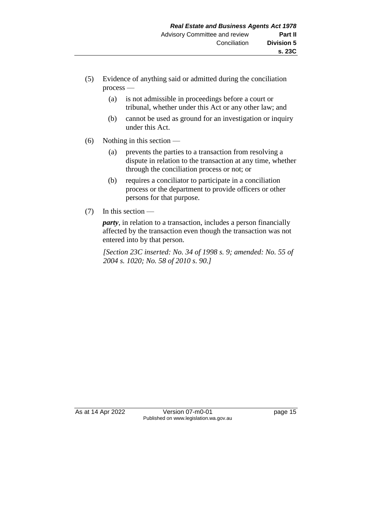- (5) Evidence of anything said or admitted during the conciliation process —
	- (a) is not admissible in proceedings before a court or tribunal, whether under this Act or any other law; and
	- (b) cannot be used as ground for an investigation or inquiry under this Act.
- (6) Nothing in this section
	- (a) prevents the parties to a transaction from resolving a dispute in relation to the transaction at any time, whether through the conciliation process or not; or
	- (b) requires a conciliator to participate in a conciliation process or the department to provide officers or other persons for that purpose.
- $(7)$  In this section —

*party*, in relation to a transaction, includes a person financially affected by the transaction even though the transaction was not entered into by that person.

*[Section 23C inserted: No. 34 of 1998 s. 9; amended: No. 55 of 2004 s. 1020; No. 58 of 2010 s. 90.]*

As at 14 Apr 2022 Version 07-m0-01 page 15 Published on www.legislation.wa.gov.au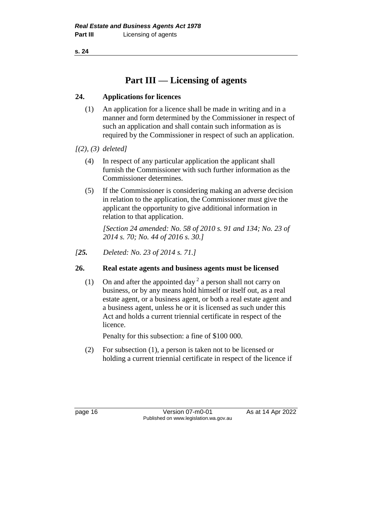**s. 24**

# **Part III — Licensing of agents**

# **24. Applications for licences**

- (1) An application for a licence shall be made in writing and in a manner and form determined by the Commissioner in respect of such an application and shall contain such information as is required by the Commissioner in respect of such an application.
- *[(2), (3) deleted]*
	- (4) In respect of any particular application the applicant shall furnish the Commissioner with such further information as the Commissioner determines.
	- (5) If the Commissioner is considering making an adverse decision in relation to the application, the Commissioner must give the applicant the opportunity to give additional information in relation to that application.

*[Section 24 amended: No. 58 of 2010 s. 91 and 134; No. 23 of 2014 s. 70; No. 44 of 2016 s. 30.]*

*[25. Deleted: No. 23 of 2014 s. 71.]*

# **26. Real estate agents and business agents must be licensed**

(1) On and after the appointed day<sup>2</sup> a person shall not carry on business, or by any means hold himself or itself out, as a real estate agent, or a business agent, or both a real estate agent and a business agent, unless he or it is licensed as such under this Act and holds a current triennial certificate in respect of the licence.

Penalty for this subsection: a fine of \$100 000.

(2) For subsection (1), a person is taken not to be licensed or holding a current triennial certificate in respect of the licence if

page 16 **Version 07-m0-01** As at 14 Apr 2022 Published on www.legislation.wa.gov.au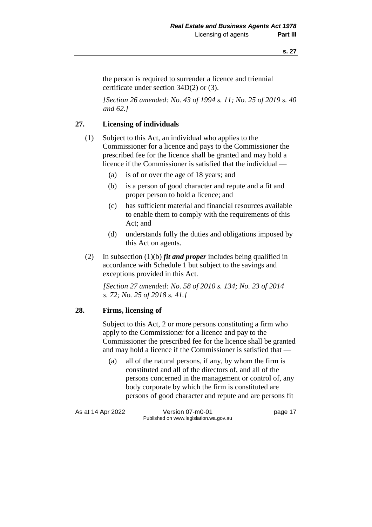the person is required to surrender a licence and triennial certificate under section 34D(2) or (3).

*[Section 26 amended: No. 43 of 1994 s. 11; No. 25 of 2019 s. 40 and 62.]*

# **27. Licensing of individuals**

- (1) Subject to this Act, an individual who applies to the Commissioner for a licence and pays to the Commissioner the prescribed fee for the licence shall be granted and may hold a licence if the Commissioner is satisfied that the individual —
	- (a) is of or over the age of 18 years; and
	- (b) is a person of good character and repute and a fit and proper person to hold a licence; and
	- (c) has sufficient material and financial resources available to enable them to comply with the requirements of this Act; and
	- (d) understands fully the duties and obligations imposed by this Act on agents.
- (2) In subsection (1)(b) *fit and proper* includes being qualified in accordance with Schedule 1 but subject to the savings and exceptions provided in this Act.

*[Section 27 amended: No. 58 of 2010 s. 134; No. 23 of 2014 s. 72; No. 25 of 2918 s. 41.]*

# **28. Firms, licensing of**

Subject to this Act, 2 or more persons constituting a firm who apply to the Commissioner for a licence and pay to the Commissioner the prescribed fee for the licence shall be granted and may hold a licence if the Commissioner is satisfied that —

(a) all of the natural persons, if any, by whom the firm is constituted and all of the directors of, and all of the persons concerned in the management or control of, any body corporate by which the firm is constituted are persons of good character and repute and are persons fit

As at 14 Apr 2022 Version 07-m0-01 page 17 Published on www.legislation.wa.gov.au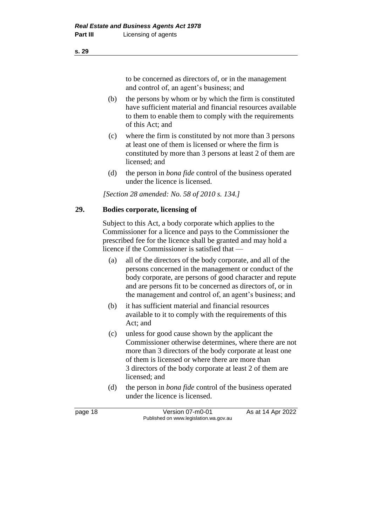to be concerned as directors of, or in the management and control of, an agent's business; and

- (b) the persons by whom or by which the firm is constituted have sufficient material and financial resources available to them to enable them to comply with the requirements of this Act; and
- (c) where the firm is constituted by not more than 3 persons at least one of them is licensed or where the firm is constituted by more than 3 persons at least 2 of them are licensed; and
- (d) the person in *bona fide* control of the business operated under the licence is licensed.

*[Section 28 amended: No. 58 of 2010 s. 134.]*

#### **29. Bodies corporate, licensing of**

Subject to this Act, a body corporate which applies to the Commissioner for a licence and pays to the Commissioner the prescribed fee for the licence shall be granted and may hold a licence if the Commissioner is satisfied that —

- (a) all of the directors of the body corporate, and all of the persons concerned in the management or conduct of the body corporate, are persons of good character and repute and are persons fit to be concerned as directors of, or in the management and control of, an agent's business; and
- (b) it has sufficient material and financial resources available to it to comply with the requirements of this Act; and
- (c) unless for good cause shown by the applicant the Commissioner otherwise determines, where there are not more than 3 directors of the body corporate at least one of them is licensed or where there are more than 3 directors of the body corporate at least 2 of them are licensed; and
- (d) the person in *bona fide* control of the business operated under the licence is licensed.

page 18 **Version 07-m0-01** As at 14 Apr 2022 Published on www.legislation.wa.gov.au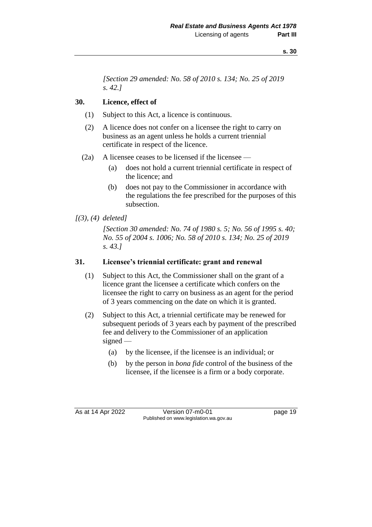*[Section 29 amended: No. 58 of 2010 s. 134; No. 25 of 2019 s. 42.]*

# **30. Licence, effect of**

- (1) Subject to this Act, a licence is continuous.
- (2) A licence does not confer on a licensee the right to carry on business as an agent unless he holds a current triennial certificate in respect of the licence.
- (2a) A licensee ceases to be licensed if the licensee
	- (a) does not hold a current triennial certificate in respect of the licence; and
	- (b) does not pay to the Commissioner in accordance with the regulations the fee prescribed for the purposes of this subsection.

# *[(3), (4) deleted]*

*[Section 30 amended: No. 74 of 1980 s. 5; No. 56 of 1995 s. 40; No. 55 of 2004 s. 1006; No. 58 of 2010 s. 134; No. 25 of 2019 s. 43.]*

# **31. Licensee's triennial certificate: grant and renewal**

- (1) Subject to this Act, the Commissioner shall on the grant of a licence grant the licensee a certificate which confers on the licensee the right to carry on business as an agent for the period of 3 years commencing on the date on which it is granted.
- (2) Subject to this Act, a triennial certificate may be renewed for subsequent periods of 3 years each by payment of the prescribed fee and delivery to the Commissioner of an application signed —
	- (a) by the licensee, if the licensee is an individual; or
	- (b) by the person in *bona fide* control of the business of the licensee, if the licensee is a firm or a body corporate.

As at 14 Apr 2022 Version 07-m0-01 page 19 Published on www.legislation.wa.gov.au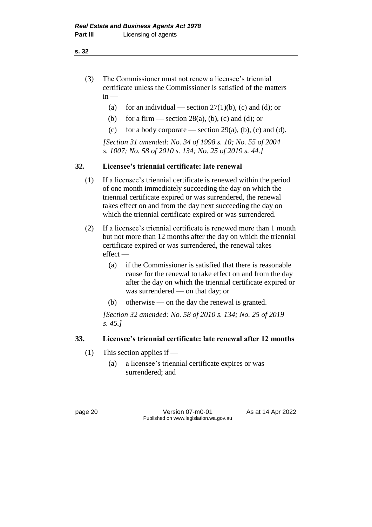**s. 32**

- (3) The Commissioner must not renew a licensee's triennial certificate unless the Commissioner is satisfied of the matters  $in -$ 
	- (a) for an individual section  $27(1)(b)$ , (c) and (d); or
	- (b) for a firm section  $28(a)$ , (b), (c) and (d); or
	- (c) for a body corporate section  $29(a)$ , (b), (c) and (d).

*[Section 31 amended: No. 34 of 1998 s. 10; No. 55 of 2004 s. 1007; No. 58 of 2010 s. 134; No. 25 of 2019 s. 44.]*

# **32. Licensee's triennial certificate: late renewal**

- (1) If a licensee's triennial certificate is renewed within the period of one month immediately succeeding the day on which the triennial certificate expired or was surrendered, the renewal takes effect on and from the day next succeeding the day on which the triennial certificate expired or was surrendered.
- (2) If a licensee's triennial certificate is renewed more than 1 month but not more than 12 months after the day on which the triennial certificate expired or was surrendered, the renewal takes effect —
	- (a) if the Commissioner is satisfied that there is reasonable cause for the renewal to take effect on and from the day after the day on which the triennial certificate expired or was surrendered — on that day; or
	- (b) otherwise on the day the renewal is granted.

*[Section 32 amended: No. 58 of 2010 s. 134; No. 25 of 2019 s. 45.]*

# **33. Licensee's triennial certificate: late renewal after 12 months**

- (1) This section applies if
	- (a) a licensee's triennial certificate expires or was surrendered; and

page 20 **Version 07-m0-01** As at 14 Apr 2022 Published on www.legislation.wa.gov.au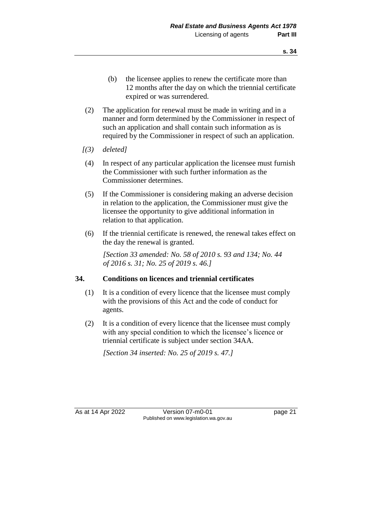- (b) the licensee applies to renew the certificate more than 12 months after the day on which the triennial certificate expired or was surrendered.
- (2) The application for renewal must be made in writing and in a manner and form determined by the Commissioner in respect of such an application and shall contain such information as is required by the Commissioner in respect of such an application.
- *[(3) deleted]*
- (4) In respect of any particular application the licensee must furnish the Commissioner with such further information as the Commissioner determines.
- (5) If the Commissioner is considering making an adverse decision in relation to the application, the Commissioner must give the licensee the opportunity to give additional information in relation to that application.
- (6) If the triennial certificate is renewed, the renewal takes effect on the day the renewal is granted.

*[Section 33 amended: No. 58 of 2010 s. 93 and 134; No. 44 of 2016 s. 31; No. 25 of 2019 s. 46.]*

# **34. Conditions on licences and triennial certificates**

- (1) It is a condition of every licence that the licensee must comply with the provisions of this Act and the code of conduct for agents.
- (2) It is a condition of every licence that the licensee must comply with any special condition to which the licensee's licence or triennial certificate is subject under section 34AA.

*[Section 34 inserted: No. 25 of 2019 s. 47.]*

As at 14 Apr 2022 Version 07-m0-01 page 21 Published on www.legislation.wa.gov.au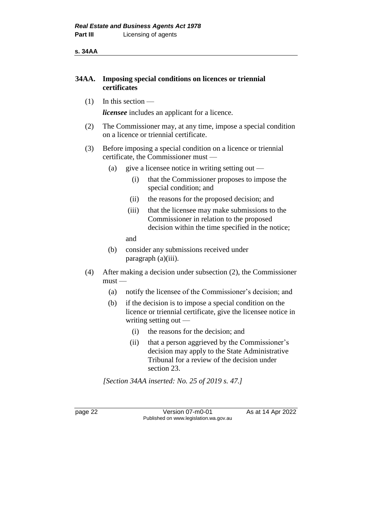**s. 34AA**

# **34AA. Imposing special conditions on licences or triennial certificates**

 $(1)$  In this section —

*licensee* includes an applicant for a licence.

- (2) The Commissioner may, at any time, impose a special condition on a licence or triennial certificate.
- (3) Before imposing a special condition on a licence or triennial certificate, the Commissioner must —
	- (a) give a licensee notice in writing setting out
		- (i) that the Commissioner proposes to impose the special condition; and
		- (ii) the reasons for the proposed decision; and
		- (iii) that the licensee may make submissions to the Commissioner in relation to the proposed decision within the time specified in the notice;
		- and
	- (b) consider any submissions received under paragraph (a)(iii).
- (4) After making a decision under subsection (2), the Commissioner must —
	- (a) notify the licensee of the Commissioner's decision; and
	- (b) if the decision is to impose a special condition on the licence or triennial certificate, give the licensee notice in writing setting out —
		- (i) the reasons for the decision; and
		- (ii) that a person aggrieved by the Commissioner's decision may apply to the State Administrative Tribunal for a review of the decision under section 23.

*[Section 34AA inserted: No. 25 of 2019 s. 47.]*

page 22 Version 07-m0-01 As at 14 Apr 2022 Published on www.legislation.wa.gov.au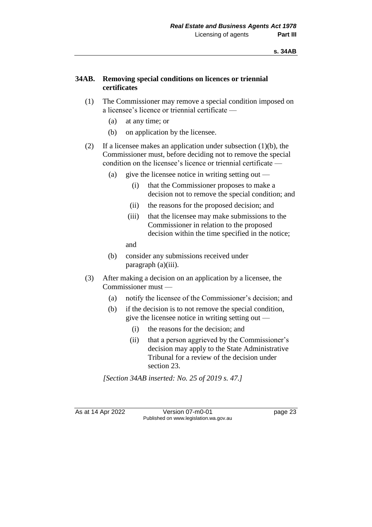### **34AB. Removing special conditions on licences or triennial certificates**

- (1) The Commissioner may remove a special condition imposed on a licensee's licence or triennial certificate —
	- (a) at any time; or
	- (b) on application by the licensee.
- (2) If a licensee makes an application under subsection  $(1)(b)$ , the Commissioner must, before deciding not to remove the special condition on the licensee's licence or triennial certificate —
	- (a) give the licensee notice in writing setting out
		- (i) that the Commissioner proposes to make a decision not to remove the special condition; and
		- (ii) the reasons for the proposed decision; and
		- (iii) that the licensee may make submissions to the Commissioner in relation to the proposed decision within the time specified in the notice;

and

- (b) consider any submissions received under paragraph (a)(iii).
- (3) After making a decision on an application by a licensee, the Commissioner must —
	- (a) notify the licensee of the Commissioner's decision; and
	- (b) if the decision is to not remove the special condition, give the licensee notice in writing setting out —
		- (i) the reasons for the decision; and
		- (ii) that a person aggrieved by the Commissioner's decision may apply to the State Administrative Tribunal for a review of the decision under section 23.

*[Section 34AB inserted: No. 25 of 2019 s. 47.]*

As at 14 Apr 2022 Version 07-m0-01 Page 23 Published on www.legislation.wa.gov.au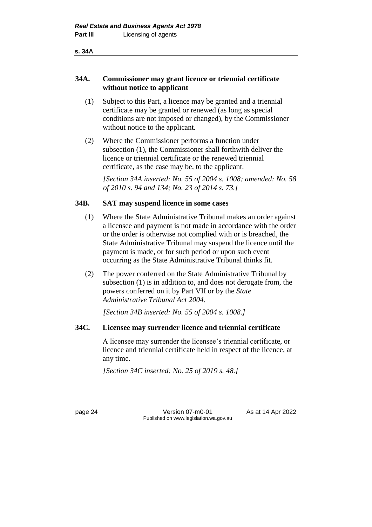#### **34A. Commissioner may grant licence or triennial certificate without notice to applicant**

- (1) Subject to this Part, a licence may be granted and a triennial certificate may be granted or renewed (as long as special conditions are not imposed or changed), by the Commissioner without notice to the applicant.
- (2) Where the Commissioner performs a function under subsection (1), the Commissioner shall forthwith deliver the licence or triennial certificate or the renewed triennial certificate, as the case may be, to the applicant.

*[Section 34A inserted: No. 55 of 2004 s. 1008; amended: No. 58 of 2010 s. 94 and 134; No. 23 of 2014 s. 73.]*

#### **34B. SAT may suspend licence in some cases**

- (1) Where the State Administrative Tribunal makes an order against a licensee and payment is not made in accordance with the order or the order is otherwise not complied with or is breached, the State Administrative Tribunal may suspend the licence until the payment is made, or for such period or upon such event occurring as the State Administrative Tribunal thinks fit.
- (2) The power conferred on the State Administrative Tribunal by subsection (1) is in addition to, and does not derogate from, the powers conferred on it by Part VII or by the *State Administrative Tribunal Act 2004*.

*[Section 34B inserted: No. 55 of 2004 s. 1008.]*

# **34C. Licensee may surrender licence and triennial certificate**

A licensee may surrender the licensee's triennial certificate, or licence and triennial certificate held in respect of the licence, at any time.

*[Section 34C inserted: No. 25 of 2019 s. 48.]*

page 24 Version 07-m0-01 As at 14 Apr 2022 Published on www.legislation.wa.gov.au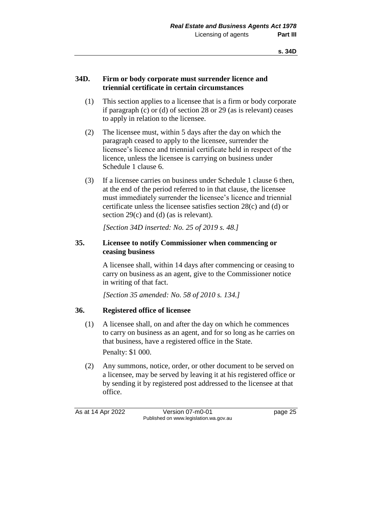#### **34D. Firm or body corporate must surrender licence and triennial certificate in certain circumstances**

- (1) This section applies to a licensee that is a firm or body corporate if paragraph (c) or (d) of section 28 or 29 (as is relevant) ceases to apply in relation to the licensee.
- (2) The licensee must, within 5 days after the day on which the paragraph ceased to apply to the licensee, surrender the licensee's licence and triennial certificate held in respect of the licence, unless the licensee is carrying on business under Schedule 1 clause 6.
- (3) If a licensee carries on business under Schedule 1 clause 6 then, at the end of the period referred to in that clause, the licensee must immediately surrender the licensee's licence and triennial certificate unless the licensee satisfies section 28(c) and (d) or section 29(c) and (d) (as is relevant).

*[Section 34D inserted: No. 25 of 2019 s. 48.]*

#### **35. Licensee to notify Commissioner when commencing or ceasing business**

A licensee shall, within 14 days after commencing or ceasing to carry on business as an agent, give to the Commissioner notice in writing of that fact.

*[Section 35 amended: No. 58 of 2010 s. 134.]*

# **36. Registered office of licensee**

(1) A licensee shall, on and after the day on which he commences to carry on business as an agent, and for so long as he carries on that business, have a registered office in the State. Penalty: \$1 000.

(2) Any summons, notice, order, or other document to be served on a licensee, may be served by leaving it at his registered office or by sending it by registered post addressed to the licensee at that office.

As at 14 Apr 2022 Version 07-m0-01 page 25 Published on www.legislation.wa.gov.au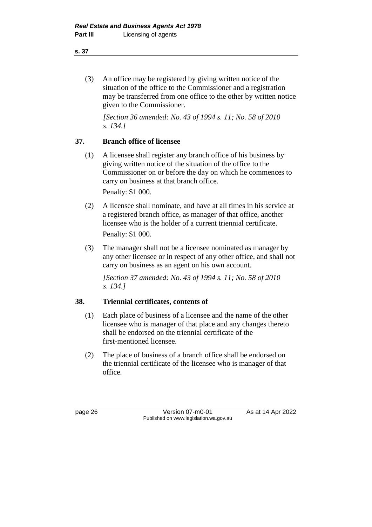(3) An office may be registered by giving written notice of the situation of the office to the Commissioner and a registration may be transferred from one office to the other by written notice given to the Commissioner.

*[Section 36 amended: No. 43 of 1994 s. 11; No. 58 of 2010 s. 134.]*

# **37. Branch office of licensee**

(1) A licensee shall register any branch office of his business by giving written notice of the situation of the office to the Commissioner on or before the day on which he commences to carry on business at that branch office.

Penalty: \$1 000.

- (2) A licensee shall nominate, and have at all times in his service at a registered branch office, as manager of that office, another licensee who is the holder of a current triennial certificate. Penalty: \$1 000.
- (3) The manager shall not be a licensee nominated as manager by any other licensee or in respect of any other office, and shall not carry on business as an agent on his own account.

*[Section 37 amended: No. 43 of 1994 s. 11; No. 58 of 2010 s. 134.]*

# **38. Triennial certificates, contents of**

- (1) Each place of business of a licensee and the name of the other licensee who is manager of that place and any changes thereto shall be endorsed on the triennial certificate of the first-mentioned licensee.
- (2) The place of business of a branch office shall be endorsed on the triennial certificate of the licensee who is manager of that office.

page 26 **Version 07-m0-01** As at 14 Apr 2022 Published on www.legislation.wa.gov.au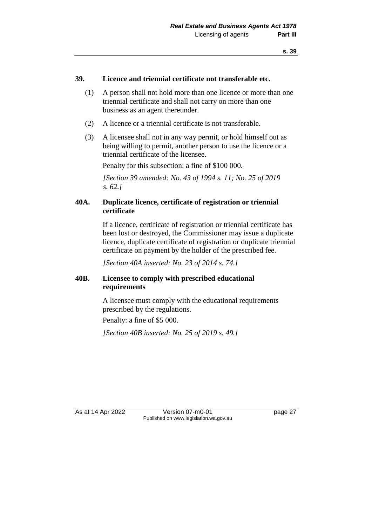#### **39. Licence and triennial certificate not transferable etc.**

- (1) A person shall not hold more than one licence or more than one triennial certificate and shall not carry on more than one business as an agent thereunder.
- (2) A licence or a triennial certificate is not transferable.
- (3) A licensee shall not in any way permit, or hold himself out as being willing to permit, another person to use the licence or a triennial certificate of the licensee.

Penalty for this subsection: a fine of \$100 000.

*[Section 39 amended: No. 43 of 1994 s. 11; No. 25 of 2019 s. 62.]*

## **40A. Duplicate licence, certificate of registration or triennial certificate**

If a licence, certificate of registration or triennial certificate has been lost or destroyed, the Commissioner may issue a duplicate licence, duplicate certificate of registration or duplicate triennial certificate on payment by the holder of the prescribed fee.

*[Section 40A inserted: No. 23 of 2014 s. 74.]*

## **40B. Licensee to comply with prescribed educational requirements**

A licensee must comply with the educational requirements prescribed by the regulations.

Penalty: a fine of \$5 000.

*[Section 40B inserted: No. 25 of 2019 s. 49.]*

As at 14 Apr 2022 Version 07-m0-01 page 27 Published on www.legislation.wa.gov.au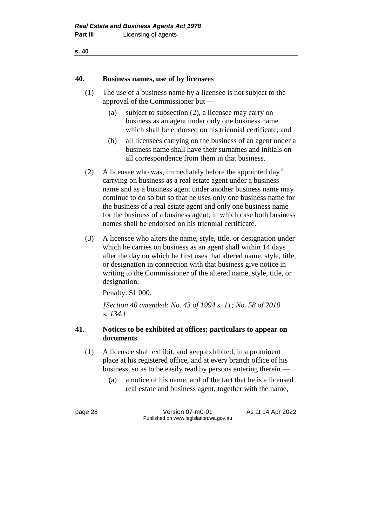**s. 40**

#### **40. Business names, use of by licensees**

- (1) The use of a business name by a licensee is not subject to the approval of the Commissioner but —
	- (a) subject to subsection (2), a licensee may carry on business as an agent under only one business name which shall be endorsed on his triennial certificate; and
	- (b) all licensees carrying on the business of an agent under a business name shall have their surnames and initials on all correspondence from them in that business.
- (2) A licensee who was, immediately before the appointed day  $2^2$ carrying on business as a real estate agent under a business name and as a business agent under another business name may continue to do so but so that he uses only one business name for the business of a real estate agent and only one business name for the business of a business agent, in which case both business names shall be endorsed on his triennial certificate.
- (3) A licensee who alters the name, style, title, or designation under which he carries on business as an agent shall within 14 days after the day on which he first uses that altered name, style, title, or designation in connection with that business give notice in writing to the Commissioner of the altered name, style, title, or designation.

Penalty: \$1 000.

*[Section 40 amended: No. 43 of 1994 s. 11; No. 58 of 2010 s. 134.]*

## **41. Notices to be exhibited at offices; particulars to appear on documents**

- (1) A licensee shall exhibit, and keep exhibited, in a prominent place at his registered office, and at every branch office of his business, so as to be easily read by persons entering therein —
	- (a) a notice of his name, and of the fact that he is a licensed real estate and business agent, together with the name,

page 28 **Version 07-m0-01** As at 14 Apr 2022 Published on www.legislation.wa.gov.au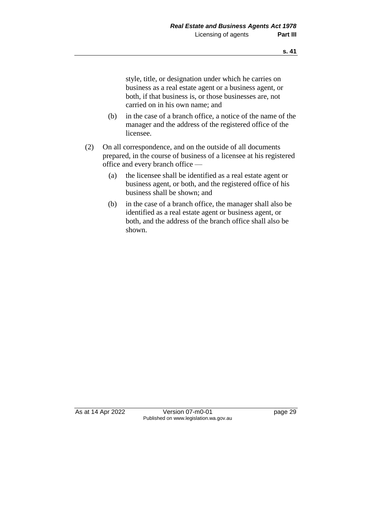style, title, or designation under which he carries on business as a real estate agent or a business agent, or both, if that business is, or those businesses are, not carried on in his own name; and

- (b) in the case of a branch office, a notice of the name of the manager and the address of the registered office of the licensee.
- (2) On all correspondence, and on the outside of all documents prepared, in the course of business of a licensee at his registered office and every branch office —
	- (a) the licensee shall be identified as a real estate agent or business agent, or both, and the registered office of his business shall be shown; and
	- (b) in the case of a branch office, the manager shall also be identified as a real estate agent or business agent, or both, and the address of the branch office shall also be shown.

As at 14 Apr 2022 Version 07-m0-01 page 29 Published on www.legislation.wa.gov.au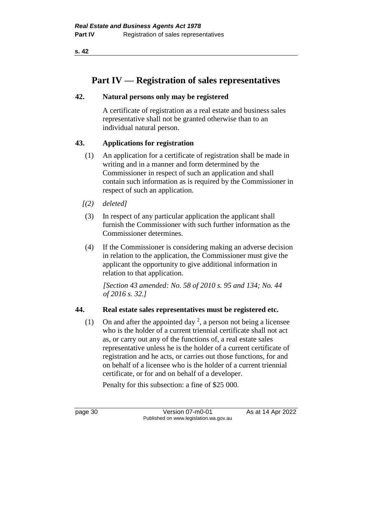**s. 42**

# **Part IV — Registration of sales representatives**

## **42. Natural persons only may be registered**

A certificate of registration as a real estate and business sales representative shall not be granted otherwise than to an individual natural person.

# **43. Applications for registration**

- (1) An application for a certificate of registration shall be made in writing and in a manner and form determined by the Commissioner in respect of such an application and shall contain such information as is required by the Commissioner in respect of such an application.
- *[(2) deleted]*
- (3) In respect of any particular application the applicant shall furnish the Commissioner with such further information as the Commissioner determines.
- (4) If the Commissioner is considering making an adverse decision in relation to the application, the Commissioner must give the applicant the opportunity to give additional information in relation to that application.

*[Section 43 amended: No. 58 of 2010 s. 95 and 134; No. 44 of 2016 s. 32.]*

# **44. Real estate sales representatives must be registered etc.**

(1) On and after the appointed day  $^2$ , a person not being a licensee who is the holder of a current triennial certificate shall not act as, or carry out any of the functions of, a real estate sales representative unless he is the holder of a current certificate of registration and he acts, or carries out those functions, for and on behalf of a licensee who is the holder of a current triennial certificate, or for and on behalf of a developer.

Penalty for this subsection: a fine of \$25 000.

page 30 Version 07-m0-01 As at 14 Apr 2022 Published on www.legislation.wa.gov.au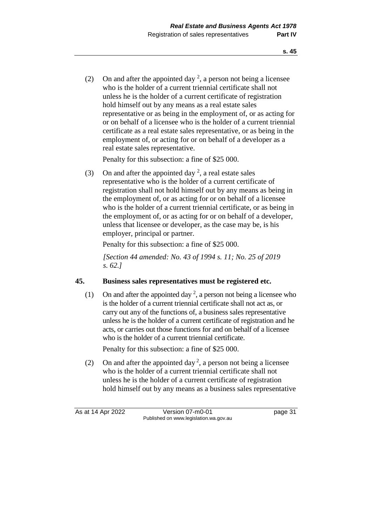(2) On and after the appointed day  $^2$ , a person not being a licensee who is the holder of a current triennial certificate shall not unless he is the holder of a current certificate of registration hold himself out by any means as a real estate sales representative or as being in the employment of, or as acting for or on behalf of a licensee who is the holder of a current triennial certificate as a real estate sales representative, or as being in the employment of, or acting for or on behalf of a developer as a real estate sales representative.

Penalty for this subsection: a fine of \$25 000.

(3) On and after the appointed day  $^2$ , a real estate sales representative who is the holder of a current certificate of registration shall not hold himself out by any means as being in the employment of, or as acting for or on behalf of a licensee who is the holder of a current triennial certificate, or as being in the employment of, or as acting for or on behalf of a developer, unless that licensee or developer, as the case may be, is his employer, principal or partner.

Penalty for this subsection: a fine of \$25 000.

*[Section 44 amended: No. 43 of 1994 s. 11; No. 25 of 2019 s. 62.]*

# **45. Business sales representatives must be registered etc.**

(1) On and after the appointed day<sup>2</sup>, a person not being a licensee who is the holder of a current triennial certificate shall not act as, or carry out any of the functions of, a business sales representative unless he is the holder of a current certificate of registration and he acts, or carries out those functions for and on behalf of a licensee who is the holder of a current triennial certificate.

Penalty for this subsection: a fine of \$25 000.

(2) On and after the appointed day<sup>2</sup>, a person not being a licensee who is the holder of a current triennial certificate shall not unless he is the holder of a current certificate of registration hold himself out by any means as a business sales representative

As at 14 Apr 2022 Version 07-m0-01 page 31 Published on www.legislation.wa.gov.au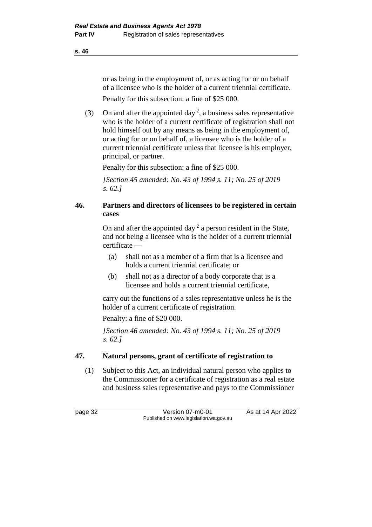or as being in the employment of, or as acting for or on behalf of a licensee who is the holder of a current triennial certificate.

Penalty for this subsection: a fine of \$25 000.

(3) On and after the appointed day<sup>2</sup>, a business sales representative who is the holder of a current certificate of registration shall not hold himself out by any means as being in the employment of, or acting for or on behalf of, a licensee who is the holder of a current triennial certificate unless that licensee is his employer, principal, or partner.

Penalty for this subsection: a fine of \$25 000.

*[Section 45 amended: No. 43 of 1994 s. 11; No. 25 of 2019 s. 62.]*

## **46. Partners and directors of licensees to be registered in certain cases**

On and after the appointed day<sup>2</sup> a person resident in the State, and not being a licensee who is the holder of a current triennial certificate —

- (a) shall not as a member of a firm that is a licensee and holds a current triennial certificate; or
- (b) shall not as a director of a body corporate that is a licensee and holds a current triennial certificate,

carry out the functions of a sales representative unless he is the holder of a current certificate of registration.

Penalty: a fine of \$20 000.

*[Section 46 amended: No. 43 of 1994 s. 11; No. 25 of 2019 s. 62.]*

## **47. Natural persons, grant of certificate of registration to**

(1) Subject to this Act, an individual natural person who applies to the Commissioner for a certificate of registration as a real estate and business sales representative and pays to the Commissioner

page 32 Version 07-m0-01 As at 14 Apr 2022 Published on www.legislation.wa.gov.au

**s. 46**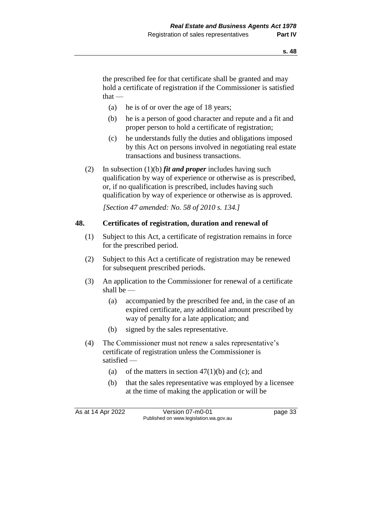the prescribed fee for that certificate shall be granted and may hold a certificate of registration if the Commissioner is satisfied  $that -$ 

- (a) he is of or over the age of 18 years;
- (b) he is a person of good character and repute and a fit and proper person to hold a certificate of registration;
- (c) he understands fully the duties and obligations imposed by this Act on persons involved in negotiating real estate transactions and business transactions.
- (2) In subsection (1)(b) *fit and proper* includes having such qualification by way of experience or otherwise as is prescribed, or, if no qualification is prescribed, includes having such qualification by way of experience or otherwise as is approved.

*[Section 47 amended: No. 58 of 2010 s. 134.]*

## **48. Certificates of registration, duration and renewal of**

- (1) Subject to this Act, a certificate of registration remains in force for the prescribed period.
- (2) Subject to this Act a certificate of registration may be renewed for subsequent prescribed periods.
- (3) An application to the Commissioner for renewal of a certificate shall be —
	- (a) accompanied by the prescribed fee and, in the case of an expired certificate, any additional amount prescribed by way of penalty for a late application; and
	- (b) signed by the sales representative.
- (4) The Commissioner must not renew a sales representative's certificate of registration unless the Commissioner is satisfied —
	- (a) of the matters in section  $47(1)(b)$  and (c); and
	- (b) that the sales representative was employed by a licensee at the time of making the application or will be

As at 14 Apr 2022 Version 07-m0-01 Page 33 Published on www.legislation.wa.gov.au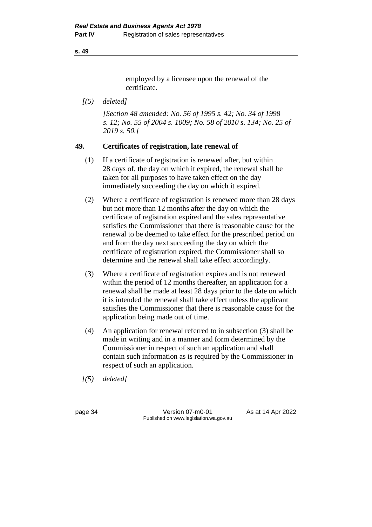#### **s. 49**

employed by a licensee upon the renewal of the certificate.

*[(5) deleted]*

*[Section 48 amended: No. 56 of 1995 s. 42; No. 34 of 1998 s. 12; No. 55 of 2004 s. 1009; No. 58 of 2010 s. 134; No. 25 of 2019 s. 50.]*

## **49. Certificates of registration, late renewal of**

- (1) If a certificate of registration is renewed after, but within 28 days of, the day on which it expired, the renewal shall be taken for all purposes to have taken effect on the day immediately succeeding the day on which it expired.
- (2) Where a certificate of registration is renewed more than 28 days but not more than 12 months after the day on which the certificate of registration expired and the sales representative satisfies the Commissioner that there is reasonable cause for the renewal to be deemed to take effect for the prescribed period on and from the day next succeeding the day on which the certificate of registration expired, the Commissioner shall so determine and the renewal shall take effect accordingly.
- (3) Where a certificate of registration expires and is not renewed within the period of 12 months thereafter, an application for a renewal shall be made at least 28 days prior to the date on which it is intended the renewal shall take effect unless the applicant satisfies the Commissioner that there is reasonable cause for the application being made out of time.
- (4) An application for renewal referred to in subsection (3) shall be made in writing and in a manner and form determined by the Commissioner in respect of such an application and shall contain such information as is required by the Commissioner in respect of such an application.
- *[(5) deleted]*

| page 34 |  |
|---------|--|
|---------|--|

 $\overline{\text{Version 07-m0-01}}$  As at 14 Apr 2022 Published on www.legislation.wa.gov.au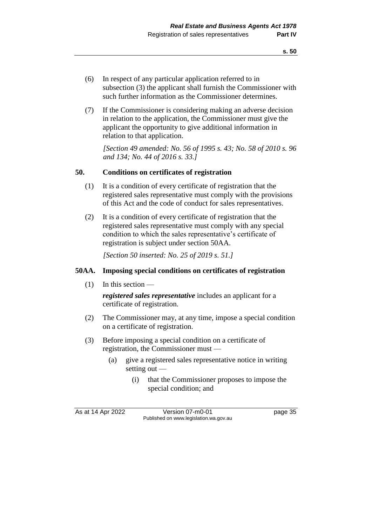- (6) In respect of any particular application referred to in subsection (3) the applicant shall furnish the Commissioner with such further information as the Commissioner determines.
- (7) If the Commissioner is considering making an adverse decision in relation to the application, the Commissioner must give the applicant the opportunity to give additional information in relation to that application.

*[Section 49 amended: No. 56 of 1995 s. 43; No. 58 of 2010 s. 96 and 134; No. 44 of 2016 s. 33.]*

#### **50. Conditions on certificates of registration**

- (1) It is a condition of every certificate of registration that the registered sales representative must comply with the provisions of this Act and the code of conduct for sales representatives.
- (2) It is a condition of every certificate of registration that the registered sales representative must comply with any special condition to which the sales representative's certificate of registration is subject under section 50AA.

*[Section 50 inserted: No. 25 of 2019 s. 51.]*

#### **50AA. Imposing special conditions on certificates of registration**

(1) In this section —

*registered sales representative* includes an applicant for a certificate of registration.

- (2) The Commissioner may, at any time, impose a special condition on a certificate of registration.
- (3) Before imposing a special condition on a certificate of registration, the Commissioner must —
	- (a) give a registered sales representative notice in writing setting out —
		- (i) that the Commissioner proposes to impose the special condition; and

As at 14 Apr 2022 Version 07-m0-01 page 35 Published on www.legislation.wa.gov.au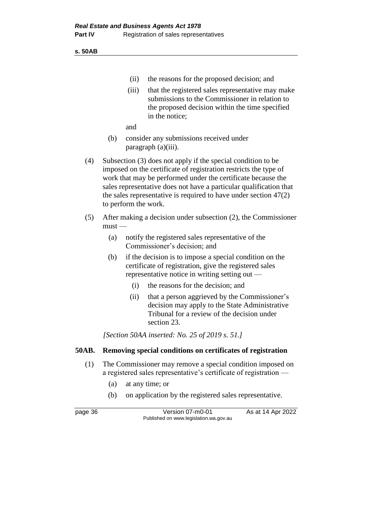**s. 50AB**

- (ii) the reasons for the proposed decision; and
- (iii) that the registered sales representative may make submissions to the Commissioner in relation to the proposed decision within the time specified in the notice;

and

- (b) consider any submissions received under paragraph (a)(iii).
- (4) Subsection (3) does not apply if the special condition to be imposed on the certificate of registration restricts the type of work that may be performed under the certificate because the sales representative does not have a particular qualification that the sales representative is required to have under section 47(2) to perform the work.
- (5) After making a decision under subsection (2), the Commissioner  $must -$ 
	- (a) notify the registered sales representative of the Commissioner's decision; and
	- (b) if the decision is to impose a special condition on the certificate of registration, give the registered sales representative notice in writing setting out —
		- (i) the reasons for the decision; and
		- (ii) that a person aggrieved by the Commissioner's decision may apply to the State Administrative Tribunal for a review of the decision under section 23.

*[Section 50AA inserted: No. 25 of 2019 s. 51.]*

#### **50AB. Removing special conditions on certificates of registration**

- (1) The Commissioner may remove a special condition imposed on a registered sales representative's certificate of registration —
	- (a) at any time; or
	- (b) on application by the registered sales representative.

page 36 **Version 07-m0-01** As at 14 Apr 2022 Published on www.legislation.wa.gov.au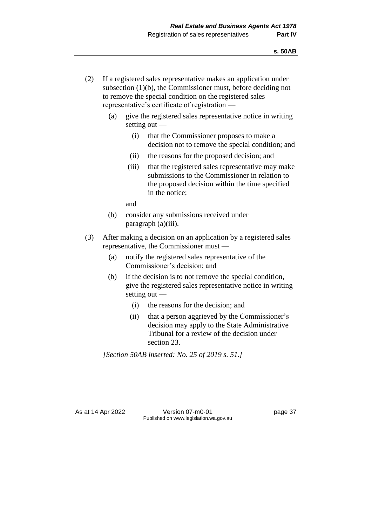- (2) If a registered sales representative makes an application under subsection (1)(b), the Commissioner must, before deciding not to remove the special condition on the registered sales representative's certificate of registration —
	- (a) give the registered sales representative notice in writing setting out —
		- (i) that the Commissioner proposes to make a decision not to remove the special condition; and
		- (ii) the reasons for the proposed decision; and
		- (iii) that the registered sales representative may make submissions to the Commissioner in relation to the proposed decision within the time specified in the notice;

and

- (b) consider any submissions received under paragraph (a)(iii).
- (3) After making a decision on an application by a registered sales representative, the Commissioner must —
	- (a) notify the registered sales representative of the Commissioner's decision; and
	- (b) if the decision is to not remove the special condition, give the registered sales representative notice in writing setting out —
		- (i) the reasons for the decision; and
		- (ii) that a person aggrieved by the Commissioner's decision may apply to the State Administrative Tribunal for a review of the decision under section 23.

*[Section 50AB inserted: No. 25 of 2019 s. 51.]*

As at 14 Apr 2022 Version 07-m0-01 page 37 Published on www.legislation.wa.gov.au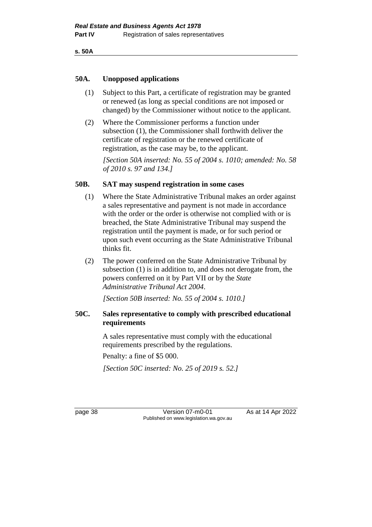**s. 50A**

#### **50A. Unopposed applications**

- (1) Subject to this Part, a certificate of registration may be granted or renewed (as long as special conditions are not imposed or changed) by the Commissioner without notice to the applicant.
- (2) Where the Commissioner performs a function under subsection (1), the Commissioner shall forthwith deliver the certificate of registration or the renewed certificate of registration, as the case may be, to the applicant.

*[Section 50A inserted: No. 55 of 2004 s. 1010; amended: No. 58 of 2010 s. 97 and 134.]*

### **50B. SAT may suspend registration in some cases**

- (1) Where the State Administrative Tribunal makes an order against a sales representative and payment is not made in accordance with the order or the order is otherwise not complied with or is breached, the State Administrative Tribunal may suspend the registration until the payment is made, or for such period or upon such event occurring as the State Administrative Tribunal thinks fit.
- (2) The power conferred on the State Administrative Tribunal by subsection (1) is in addition to, and does not derogate from, the powers conferred on it by Part VII or by the *State Administrative Tribunal Act 2004*.

*[Section 50B inserted: No. 55 of 2004 s. 1010.]*

## **50C. Sales representative to comply with prescribed educational requirements**

A sales representative must comply with the educational requirements prescribed by the regulations.

Penalty: a fine of \$5 000.

*[Section 50C inserted: No. 25 of 2019 s. 52.]*

page 38 Version 07-m0-01 As at 14 Apr 2022 Published on www.legislation.wa.gov.au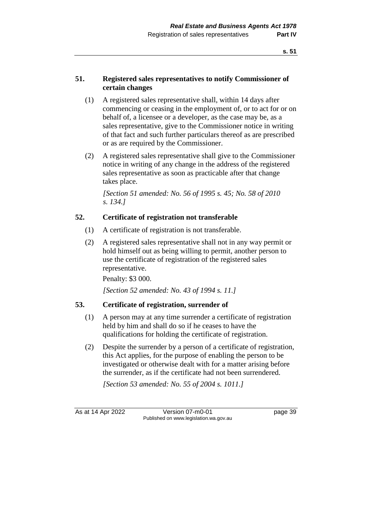## **51. Registered sales representatives to notify Commissioner of certain changes**

- (1) A registered sales representative shall, within 14 days after commencing or ceasing in the employment of, or to act for or on behalf of, a licensee or a developer, as the case may be, as a sales representative, give to the Commissioner notice in writing of that fact and such further particulars thereof as are prescribed or as are required by the Commissioner.
- (2) A registered sales representative shall give to the Commissioner notice in writing of any change in the address of the registered sales representative as soon as practicable after that change takes place.

*[Section 51 amended: No. 56 of 1995 s. 45; No. 58 of 2010 s. 134.]*

# **52. Certificate of registration not transferable**

- (1) A certificate of registration is not transferable.
- (2) A registered sales representative shall not in any way permit or hold himself out as being willing to permit, another person to use the certificate of registration of the registered sales representative.

Penalty: \$3 000.

*[Section 52 amended: No. 43 of 1994 s. 11.]*

## **53. Certificate of registration, surrender of**

- (1) A person may at any time surrender a certificate of registration held by him and shall do so if he ceases to have the qualifications for holding the certificate of registration.
- (2) Despite the surrender by a person of a certificate of registration, this Act applies, for the purpose of enabling the person to be investigated or otherwise dealt with for a matter arising before the surrender, as if the certificate had not been surrendered.

*[Section 53 amended: No. 55 of 2004 s. 1011.]*

As at 14 Apr 2022 Version 07-m0-01 page 39 Published on www.legislation.wa.gov.au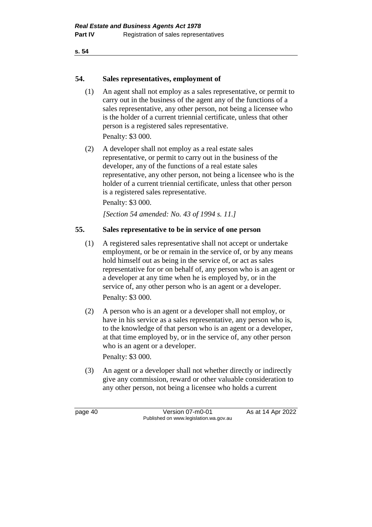**s. 54**

### **54. Sales representatives, employment of**

(1) An agent shall not employ as a sales representative, or permit to carry out in the business of the agent any of the functions of a sales representative, any other person, not being a licensee who is the holder of a current triennial certificate, unless that other person is a registered sales representative. Penalty: \$3 000.

(2) A developer shall not employ as a real estate sales representative, or permit to carry out in the business of the developer, any of the functions of a real estate sales representative, any other person, not being a licensee who is the holder of a current triennial certificate, unless that other person is a registered sales representative.

Penalty: \$3 000.

*[Section 54 amended: No. 43 of 1994 s. 11.]*

## **55. Sales representative to be in service of one person**

- (1) A registered sales representative shall not accept or undertake employment, or be or remain in the service of, or by any means hold himself out as being in the service of, or act as sales representative for or on behalf of, any person who is an agent or a developer at any time when he is employed by, or in the service of, any other person who is an agent or a developer. Penalty: \$3 000.
- (2) A person who is an agent or a developer shall not employ, or have in his service as a sales representative, any person who is, to the knowledge of that person who is an agent or a developer, at that time employed by, or in the service of, any other person who is an agent or a developer.

Penalty: \$3 000.

(3) An agent or a developer shall not whether directly or indirectly give any commission, reward or other valuable consideration to any other person, not being a licensee who holds a current

page 40 Version 07-m0-01 As at 14 Apr 2022 Published on www.legislation.wa.gov.au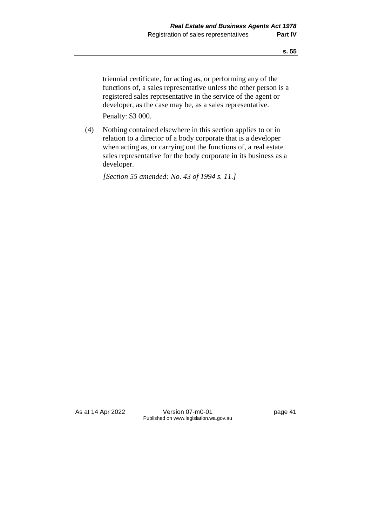triennial certificate, for acting as, or performing any of the functions of, a sales representative unless the other person is a registered sales representative in the service of the agent or developer, as the case may be, as a sales representative.

Penalty: \$3 000.

(4) Nothing contained elsewhere in this section applies to or in relation to a director of a body corporate that is a developer when acting as, or carrying out the functions of, a real estate sales representative for the body corporate in its business as a developer.

*[Section 55 amended: No. 43 of 1994 s. 11.]*

As at 14 Apr 2022 Version 07-m0-01 page 41 Published on www.legislation.wa.gov.au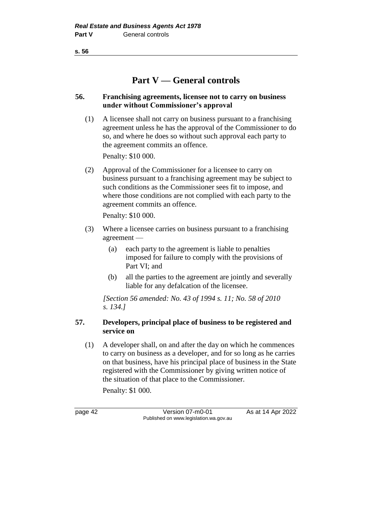**s. 56**

# **Part V — General controls**

## **56. Franchising agreements, licensee not to carry on business under without Commissioner's approval**

(1) A licensee shall not carry on business pursuant to a franchising agreement unless he has the approval of the Commissioner to do so, and where he does so without such approval each party to the agreement commits an offence.

Penalty: \$10 000.

(2) Approval of the Commissioner for a licensee to carry on business pursuant to a franchising agreement may be subject to such conditions as the Commissioner sees fit to impose, and where those conditions are not complied with each party to the agreement commits an offence.

Penalty: \$10 000.

- (3) Where a licensee carries on business pursuant to a franchising agreement —
	- (a) each party to the agreement is liable to penalties imposed for failure to comply with the provisions of Part VI; and
	- (b) all the parties to the agreement are jointly and severally liable for any defalcation of the licensee.

*[Section 56 amended: No. 43 of 1994 s. 11; No. 58 of 2010 s. 134.]*

## **57. Developers, principal place of business to be registered and service on**

(1) A developer shall, on and after the day on which he commences to carry on business as a developer, and for so long as he carries on that business, have his principal place of business in the State registered with the Commissioner by giving written notice of the situation of that place to the Commissioner.

Penalty: \$1 000.

page 42 Version 07-m0-01 As at 14 Apr 2022 Published on www.legislation.wa.gov.au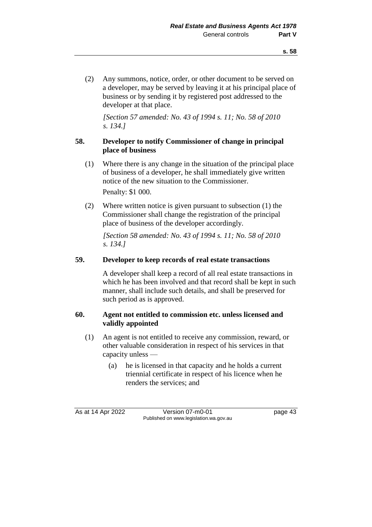(2) Any summons, notice, order, or other document to be served on a developer, may be served by leaving it at his principal place of business or by sending it by registered post addressed to the developer at that place.

*[Section 57 amended: No. 43 of 1994 s. 11; No. 58 of 2010 s. 134.]*

## **58. Developer to notify Commissioner of change in principal place of business**

(1) Where there is any change in the situation of the principal place of business of a developer, he shall immediately give written notice of the new situation to the Commissioner.

Penalty: \$1 000.

(2) Where written notice is given pursuant to subsection (1) the Commissioner shall change the registration of the principal place of business of the developer accordingly.

*[Section 58 amended: No. 43 of 1994 s. 11; No. 58 of 2010 s. 134.]*

### **59. Developer to keep records of real estate transactions**

A developer shall keep a record of all real estate transactions in which he has been involved and that record shall be kept in such manner, shall include such details, and shall be preserved for such period as is approved.

### **60. Agent not entitled to commission etc. unless licensed and validly appointed**

- (1) An agent is not entitled to receive any commission, reward, or other valuable consideration in respect of his services in that capacity unless —
	- (a) he is licensed in that capacity and he holds a current triennial certificate in respect of his licence when he renders the services; and

As at 14 Apr 2022 Version 07-m0-01 page 43 Published on www.legislation.wa.gov.au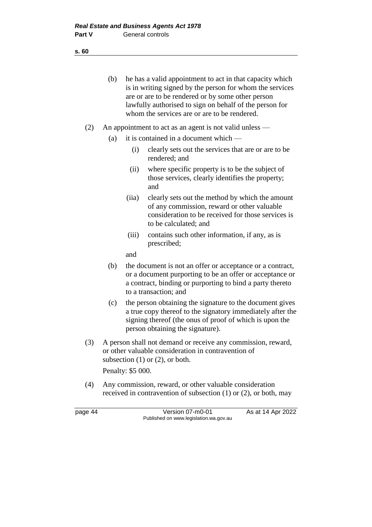(b) he has a valid appointment to act in that capacity which is in writing signed by the person for whom the services are or are to be rendered or by some other person lawfully authorised to sign on behalf of the person for whom the services are or are to be rendered.

- (2) An appointment to act as an agent is not valid unless
	- (a) it is contained in a document which  $-$ 
		- (i) clearly sets out the services that are or are to be rendered; and
		- (ii) where specific property is to be the subject of those services, clearly identifies the property; and
		- (iia) clearly sets out the method by which the amount of any commission, reward or other valuable consideration to be received for those services is to be calculated; and
		- (iii) contains such other information, if any, as is prescribed;

and

- (b) the document is not an offer or acceptance or a contract, or a document purporting to be an offer or acceptance or a contract, binding or purporting to bind a party thereto to a transaction; and
- (c) the person obtaining the signature to the document gives a true copy thereof to the signatory immediately after the signing thereof (the onus of proof of which is upon the person obtaining the signature).
- (3) A person shall not demand or receive any commission, reward, or other valuable consideration in contravention of subsection (1) or (2), or both.

Penalty: \$5 000.

(4) Any commission, reward, or other valuable consideration received in contravention of subsection (1) or (2), or both, may

page 44 Version 07-m0-01 As at 14 Apr 2022 Published on www.legislation.wa.gov.au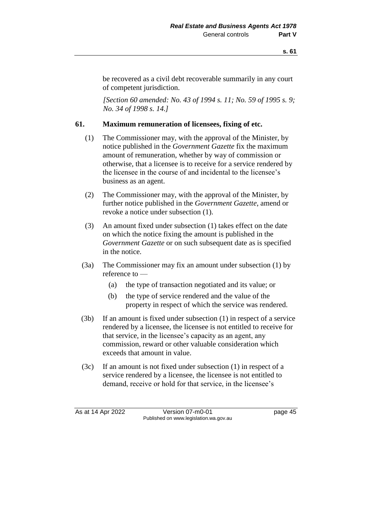be recovered as a civil debt recoverable summarily in any court of competent jurisdiction.

*[Section 60 amended: No. 43 of 1994 s. 11; No. 59 of 1995 s. 9; No. 34 of 1998 s. 14.]*

### **61. Maximum remuneration of licensees, fixing of etc.**

- (1) The Commissioner may, with the approval of the Minister, by notice published in the *Government Gazette* fix the maximum amount of remuneration, whether by way of commission or otherwise, that a licensee is to receive for a service rendered by the licensee in the course of and incidental to the licensee's business as an agent.
- (2) The Commissioner may, with the approval of the Minister, by further notice published in the *Government Gazette*, amend or revoke a notice under subsection (1).
- (3) An amount fixed under subsection (1) takes effect on the date on which the notice fixing the amount is published in the *Government Gazette* or on such subsequent date as is specified in the notice.
- (3a) The Commissioner may fix an amount under subsection (1) by reference to —
	- (a) the type of transaction negotiated and its value; or
	- (b) the type of service rendered and the value of the property in respect of which the service was rendered.
- (3b) If an amount is fixed under subsection (1) in respect of a service rendered by a licensee, the licensee is not entitled to receive for that service, in the licensee's capacity as an agent, any commission, reward or other valuable consideration which exceeds that amount in value.
- (3c) If an amount is not fixed under subsection (1) in respect of a service rendered by a licensee, the licensee is not entitled to demand, receive or hold for that service, in the licensee's

As at 14 Apr 2022 Version 07-m0-01 Page 45 Published on www.legislation.wa.gov.au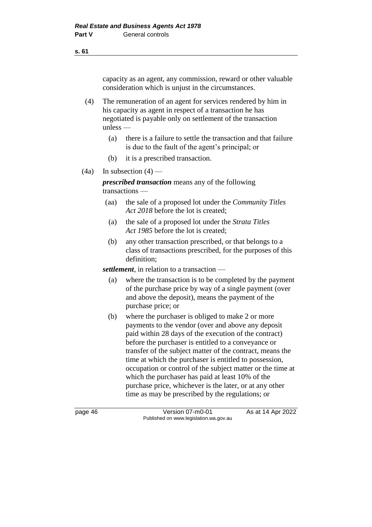capacity as an agent, any commission, reward or other valuable consideration which is unjust in the circumstances.

- (4) The remuneration of an agent for services rendered by him in his capacity as agent in respect of a transaction he has negotiated is payable only on settlement of the transaction unless —
	- (a) there is a failure to settle the transaction and that failure is due to the fault of the agent's principal; or
	- (b) it is a prescribed transaction.
- $(4a)$  In subsection  $(4)$  —

*prescribed transaction* means any of the following transactions —

- (aa) the sale of a proposed lot under the *Community Titles Act 2018* before the lot is created;
- (a) the sale of a proposed lot under the *Strata Titles Act 1985* before the lot is created;
- (b) any other transaction prescribed, or that belongs to a class of transactions prescribed, for the purposes of this definition;

*settlement*, in relation to a transaction —

- (a) where the transaction is to be completed by the payment of the purchase price by way of a single payment (over and above the deposit), means the payment of the purchase price; or
- (b) where the purchaser is obliged to make 2 or more payments to the vendor (over and above any deposit paid within 28 days of the execution of the contract) before the purchaser is entitled to a conveyance or transfer of the subject matter of the contract, means the time at which the purchaser is entitled to possession, occupation or control of the subject matter or the time at which the purchaser has paid at least 10% of the purchase price, whichever is the later, or at any other time as may be prescribed by the regulations; or

page 46 **Version 07-m0-01** As at 14 Apr 2022 Published on www.legislation.wa.gov.au

**s. 61**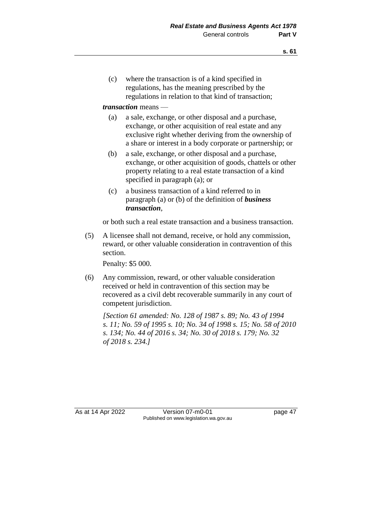(c) where the transaction is of a kind specified in regulations, has the meaning prescribed by the regulations in relation to that kind of transaction;

### *transaction* means —

- (a) a sale, exchange, or other disposal and a purchase, exchange, or other acquisition of real estate and any exclusive right whether deriving from the ownership of a share or interest in a body corporate or partnership; or
- (b) a sale, exchange, or other disposal and a purchase, exchange, or other acquisition of goods, chattels or other property relating to a real estate transaction of a kind specified in paragraph (a); or
- (c) a business transaction of a kind referred to in paragraph (a) or (b) of the definition of *business transaction*,

or both such a real estate transaction and a business transaction.

(5) A licensee shall not demand, receive, or hold any commission, reward, or other valuable consideration in contravention of this section.

Penalty: \$5 000.

(6) Any commission, reward, or other valuable consideration received or held in contravention of this section may be recovered as a civil debt recoverable summarily in any court of competent jurisdiction.

*[Section 61 amended: No. 128 of 1987 s. 89; No. 43 of 1994 s. 11; No. 59 of 1995 s. 10; No. 34 of 1998 s. 15; No. 58 of 2010 s. 134; No. 44 of 2016 s. 34; No. 30 of 2018 s. 179; No. 32 of 2018 s. 234.]*

As at 14 Apr 2022 Version 07-m0-01 page 47 Published on www.legislation.wa.gov.au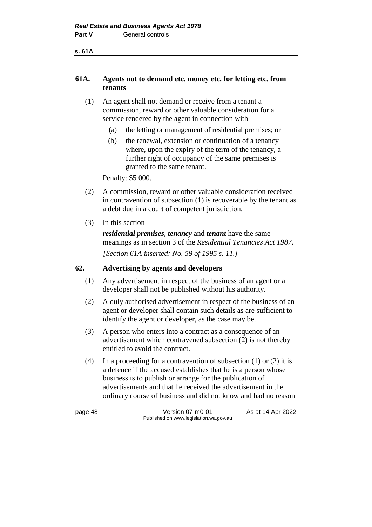**s. 61A**

## **61A. Agents not to demand etc. money etc. for letting etc. from tenants**

- (1) An agent shall not demand or receive from a tenant a commission, reward or other valuable consideration for a service rendered by the agent in connection with -
	- (a) the letting or management of residential premises; or
	- (b) the renewal, extension or continuation of a tenancy where, upon the expiry of the term of the tenancy, a further right of occupancy of the same premises is granted to the same tenant.

Penalty: \$5 000.

- (2) A commission, reward or other valuable consideration received in contravention of subsection (1) is recoverable by the tenant as a debt due in a court of competent jurisdiction.
- (3) In this section —

*residential premises*, *tenancy* and *tenant* have the same meanings as in section 3 of the *Residential Tenancies Act 1987*. *[Section 61A inserted: No. 59 of 1995 s. 11.]*

## **62. Advertising by agents and developers**

- (1) Any advertisement in respect of the business of an agent or a developer shall not be published without his authority.
- (2) A duly authorised advertisement in respect of the business of an agent or developer shall contain such details as are sufficient to identify the agent or developer, as the case may be.
- (3) A person who enters into a contract as a consequence of an advertisement which contravened subsection (2) is not thereby entitled to avoid the contract.
- (4) In a proceeding for a contravention of subsection  $(1)$  or  $(2)$  it is a defence if the accused establishes that he is a person whose business is to publish or arrange for the publication of advertisements and that he received the advertisement in the ordinary course of business and did not know and had no reason

page 48 Version 07-m0-01 As at 14 Apr 2022 Published on www.legislation.wa.gov.au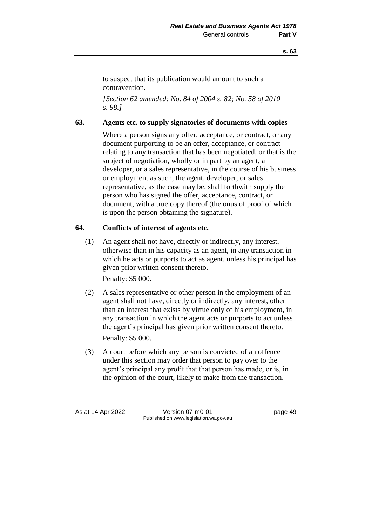to suspect that its publication would amount to such a contravention.

*[Section 62 amended: No. 84 of 2004 s. 82; No. 58 of 2010 s. 98.]*

## **63. Agents etc. to supply signatories of documents with copies**

Where a person signs any offer, acceptance, or contract, or any document purporting to be an offer, acceptance, or contract relating to any transaction that has been negotiated, or that is the subject of negotiation, wholly or in part by an agent, a developer, or a sales representative, in the course of his business or employment as such, the agent, developer, or sales representative, as the case may be, shall forthwith supply the person who has signed the offer, acceptance, contract, or document, with a true copy thereof (the onus of proof of which is upon the person obtaining the signature).

## **64. Conflicts of interest of agents etc.**

(1) An agent shall not have, directly or indirectly, any interest, otherwise than in his capacity as an agent, in any transaction in which he acts or purports to act as agent, unless his principal has given prior written consent thereto.

Penalty: \$5 000.

- (2) A sales representative or other person in the employment of an agent shall not have, directly or indirectly, any interest, other than an interest that exists by virtue only of his employment, in any transaction in which the agent acts or purports to act unless the agent's principal has given prior written consent thereto. Penalty: \$5 000.
- (3) A court before which any person is convicted of an offence under this section may order that person to pay over to the agent's principal any profit that that person has made, or is, in the opinion of the court, likely to make from the transaction.

As at 14 Apr 2022 Version 07-m0-01 page 49 Published on www.legislation.wa.gov.au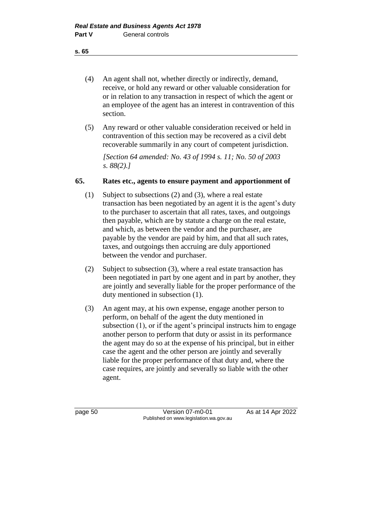- (4) An agent shall not, whether directly or indirectly, demand, receive, or hold any reward or other valuable consideration for or in relation to any transaction in respect of which the agent or an employee of the agent has an interest in contravention of this section.
- (5) Any reward or other valuable consideration received or held in contravention of this section may be recovered as a civil debt recoverable summarily in any court of competent jurisdiction.

*[Section 64 amended: No. 43 of 1994 s. 11; No. 50 of 2003 s. 88(2).]*

#### **65. Rates etc., agents to ensure payment and apportionment of**

- (1) Subject to subsections (2) and (3), where a real estate transaction has been negotiated by an agent it is the agent's duty to the purchaser to ascertain that all rates, taxes, and outgoings then payable, which are by statute a charge on the real estate, and which, as between the vendor and the purchaser, are payable by the vendor are paid by him, and that all such rates, taxes, and outgoings then accruing are duly apportioned between the vendor and purchaser.
- (2) Subject to subsection (3), where a real estate transaction has been negotiated in part by one agent and in part by another, they are jointly and severally liable for the proper performance of the duty mentioned in subsection (1).
- (3) An agent may, at his own expense, engage another person to perform, on behalf of the agent the duty mentioned in subsection (1), or if the agent's principal instructs him to engage another person to perform that duty or assist in its performance the agent may do so at the expense of his principal, but in either case the agent and the other person are jointly and severally liable for the proper performance of that duty and, where the case requires, are jointly and severally so liable with the other agent.

page 50 Version 07-m0-01 As at 14 Apr 2022 Published on www.legislation.wa.gov.au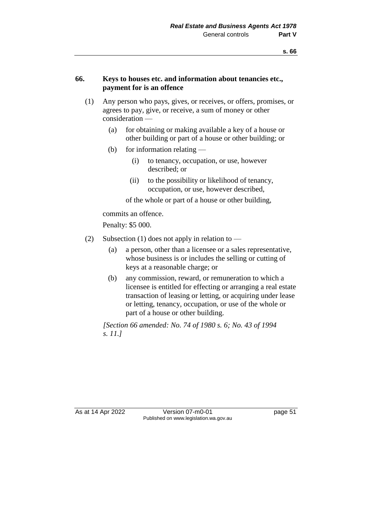#### **66. Keys to houses etc. and information about tenancies etc., payment for is an offence**

- (1) Any person who pays, gives, or receives, or offers, promises, or agrees to pay, give, or receive, a sum of money or other consideration —
	- (a) for obtaining or making available a key of a house or other building or part of a house or other building; or
	- (b) for information relating
		- (i) to tenancy, occupation, or use, however described; or
		- (ii) to the possibility or likelihood of tenancy, occupation, or use, however described,

of the whole or part of a house or other building,

commits an offence.

Penalty: \$5 000.

- (2) Subsection (1) does not apply in relation to
	- (a) a person, other than a licensee or a sales representative, whose business is or includes the selling or cutting of keys at a reasonable charge; or
	- (b) any commission, reward, or remuneration to which a licensee is entitled for effecting or arranging a real estate transaction of leasing or letting, or acquiring under lease or letting, tenancy, occupation, or use of the whole or part of a house or other building.

*[Section 66 amended: No. 74 of 1980 s. 6; No. 43 of 1994 s. 11.]*

As at 14 Apr 2022 Version 07-m0-01 page 51 Published on www.legislation.wa.gov.au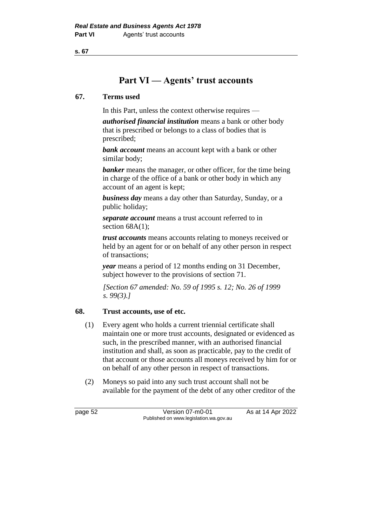**s. 67**

# **Part VI — Agents' trust accounts**

### **67. Terms used**

In this Part, unless the context otherwise requires —

*authorised financial institution* means a bank or other body that is prescribed or belongs to a class of bodies that is prescribed;

*bank account* means an account kept with a bank or other similar body;

**banker** means the manager, or other officer, for the time being in charge of the office of a bank or other body in which any account of an agent is kept;

*business day* means a day other than Saturday, Sunday, or a public holiday;

*separate account* means a trust account referred to in section  $68A(1)$ ;

*trust accounts* means accounts relating to moneys received or held by an agent for or on behalf of any other person in respect of transactions;

*year* means a period of 12 months ending on 31 December, subject however to the provisions of section 71.

*[Section 67 amended: No. 59 of 1995 s. 12; No. 26 of 1999 s. 99(3).]*

## **68. Trust accounts, use of etc.**

- (1) Every agent who holds a current triennial certificate shall maintain one or more trust accounts, designated or evidenced as such, in the prescribed manner, with an authorised financial institution and shall, as soon as practicable, pay to the credit of that account or those accounts all moneys received by him for or on behalf of any other person in respect of transactions.
- (2) Moneys so paid into any such trust account shall not be available for the payment of the debt of any other creditor of the

page 52 Version 07-m0-01 As at 14 Apr 2022 Published on www.legislation.wa.gov.au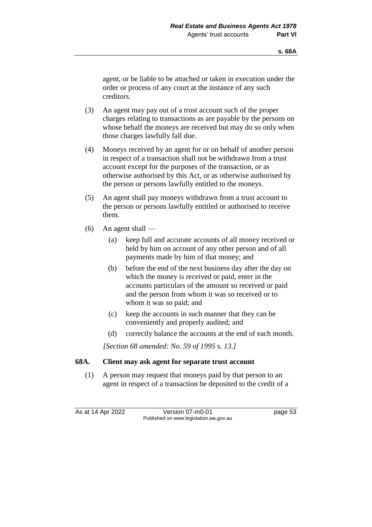agent, or be liable to be attached or taken in execution under the order or process of any court at the instance of any such creditors.

- (3) An agent may pay out of a trust account such of the proper charges relating to transactions as are payable by the persons on whose behalf the moneys are received but may do so only when those charges lawfully fall due.
- (4) Moneys received by an agent for or on behalf of another person in respect of a transaction shall not be withdrawn from a trust account except for the purposes of the transaction, or as otherwise authorised by this Act, or as otherwise authorised by the person or persons lawfully entitled to the moneys.
- (5) An agent shall pay moneys withdrawn from a trust account to the person or persons lawfully entitled or authorised to receive them.
- $(6)$  An agent shall
	- (a) keep full and accurate accounts of all money received or held by him on account of any other person and of all payments made by him of that money; and
	- (b) before the end of the next business day after the day on which the money is received or paid, enter in the accounts particulars of the amount so received or paid and the person from whom it was so received or to whom it was so paid; and
	- (c) keep the accounts in such manner that they can be conveniently and properly audited; and
	- (d) correctly balance the accounts at the end of each month.

*[Section 68 amended: No. 59 of 1995 s. 13.]*

## **68A. Client may ask agent for separate trust account**

(1) A person may request that moneys paid by that person to an agent in respect of a transaction be deposited to the credit of a

As at 14 Apr 2022 Version 07-m0-01 page 53 Published on www.legislation.wa.gov.au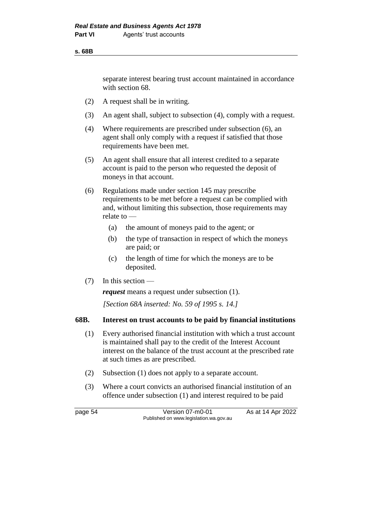separate interest bearing trust account maintained in accordance with section 68.

- (2) A request shall be in writing.
- (3) An agent shall, subject to subsection (4), comply with a request.
- (4) Where requirements are prescribed under subsection (6), an agent shall only comply with a request if satisfied that those requirements have been met.
- (5) An agent shall ensure that all interest credited to a separate account is paid to the person who requested the deposit of moneys in that account.
- (6) Regulations made under section 145 may prescribe requirements to be met before a request can be complied with and, without limiting this subsection, those requirements may relate to —
	- (a) the amount of moneys paid to the agent; or
	- (b) the type of transaction in respect of which the moneys are paid; or
	- (c) the length of time for which the moneys are to be deposited.
- (7) In this section —

*request* means a request under subsection (1).

*[Section 68A inserted: No. 59 of 1995 s. 14.]*

#### **68B. Interest on trust accounts to be paid by financial institutions**

- (1) Every authorised financial institution with which a trust account is maintained shall pay to the credit of the Interest Account interest on the balance of the trust account at the prescribed rate at such times as are prescribed.
- (2) Subsection (1) does not apply to a separate account.
- (3) Where a court convicts an authorised financial institution of an offence under subsection (1) and interest required to be paid

page 54 Version 07-m0-01 As at 14 Apr 2022 Published on www.legislation.wa.gov.au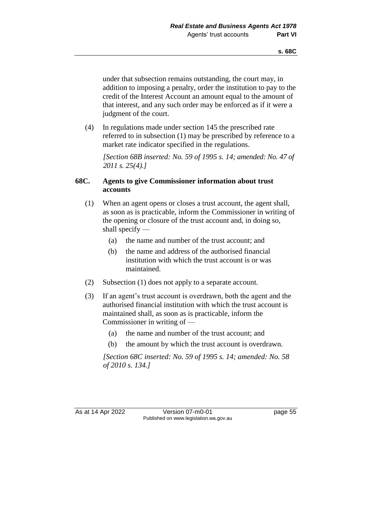under that subsection remains outstanding, the court may, in addition to imposing a penalty, order the institution to pay to the credit of the Interest Account an amount equal to the amount of that interest, and any such order may be enforced as if it were a judgment of the court.

(4) In regulations made under section 145 the prescribed rate referred to in subsection (1) may be prescribed by reference to a market rate indicator specified in the regulations.

*[Section 68B inserted: No. 59 of 1995 s. 14; amended: No. 47 of 2011 s. 25(4).]*

#### **68C. Agents to give Commissioner information about trust accounts**

- (1) When an agent opens or closes a trust account, the agent shall, as soon as is practicable, inform the Commissioner in writing of the opening or closure of the trust account and, in doing so, shall specify —
	- (a) the name and number of the trust account; and
	- (b) the name and address of the authorised financial institution with which the trust account is or was maintained.
- (2) Subsection (1) does not apply to a separate account.
- (3) If an agent's trust account is overdrawn, both the agent and the authorised financial institution with which the trust account is maintained shall, as soon as is practicable, inform the Commissioner in writing of —
	- (a) the name and number of the trust account; and
	- (b) the amount by which the trust account is overdrawn.

*[Section 68C inserted: No. 59 of 1995 s. 14; amended: No. 58 of 2010 s. 134.]*

As at 14 Apr 2022 Version 07-m0-01 page 55 Published on www.legislation.wa.gov.au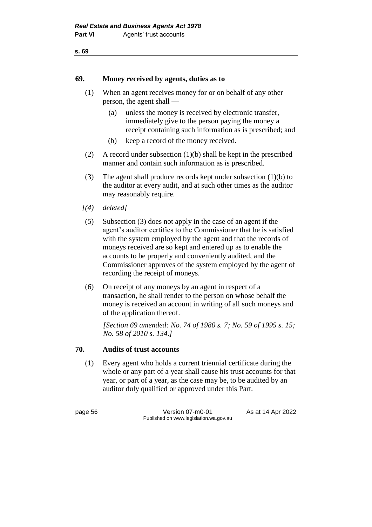### **69. Money received by agents, duties as to**

- (1) When an agent receives money for or on behalf of any other person, the agent shall —
	- (a) unless the money is received by electronic transfer, immediately give to the person paying the money a receipt containing such information as is prescribed; and
	- (b) keep a record of the money received.
- (2) A record under subsection (1)(b) shall be kept in the prescribed manner and contain such information as is prescribed.
- (3) The agent shall produce records kept under subsection (1)(b) to the auditor at every audit, and at such other times as the auditor may reasonably require.
- *[(4) deleted]*
- (5) Subsection (3) does not apply in the case of an agent if the agent's auditor certifies to the Commissioner that he is satisfied with the system employed by the agent and that the records of moneys received are so kept and entered up as to enable the accounts to be properly and conveniently audited, and the Commissioner approves of the system employed by the agent of recording the receipt of moneys.
- (6) On receipt of any moneys by an agent in respect of a transaction, he shall render to the person on whose behalf the money is received an account in writing of all such moneys and of the application thereof.

*[Section 69 amended: No. 74 of 1980 s. 7; No. 59 of 1995 s. 15; No. 58 of 2010 s. 134.]*

#### **70. Audits of trust accounts**

(1) Every agent who holds a current triennial certificate during the whole or any part of a year shall cause his trust accounts for that year, or part of a year, as the case may be, to be audited by an auditor duly qualified or approved under this Part.

page 56 **Version 07-m0-01** As at 14 Apr 2022 Published on www.legislation.wa.gov.au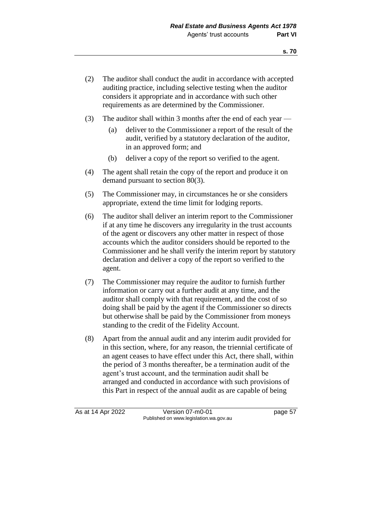- (2) The auditor shall conduct the audit in accordance with accepted auditing practice, including selective testing when the auditor considers it appropriate and in accordance with such other requirements as are determined by the Commissioner.
- (3) The auditor shall within 3 months after the end of each year
	- (a) deliver to the Commissioner a report of the result of the audit, verified by a statutory declaration of the auditor, in an approved form; and
	- (b) deliver a copy of the report so verified to the agent.
- (4) The agent shall retain the copy of the report and produce it on demand pursuant to section 80(3).
- (5) The Commissioner may, in circumstances he or she considers appropriate, extend the time limit for lodging reports.
- (6) The auditor shall deliver an interim report to the Commissioner if at any time he discovers any irregularity in the trust accounts of the agent or discovers any other matter in respect of those accounts which the auditor considers should be reported to the Commissioner and he shall verify the interim report by statutory declaration and deliver a copy of the report so verified to the agent.
- (7) The Commissioner may require the auditor to furnish further information or carry out a further audit at any time, and the auditor shall comply with that requirement, and the cost of so doing shall be paid by the agent if the Commissioner so directs but otherwise shall be paid by the Commissioner from moneys standing to the credit of the Fidelity Account.
- (8) Apart from the annual audit and any interim audit provided for in this section, where, for any reason, the triennial certificate of an agent ceases to have effect under this Act, there shall, within the period of 3 months thereafter, be a termination audit of the agent's trust account, and the termination audit shall be arranged and conducted in accordance with such provisions of this Part in respect of the annual audit as are capable of being

As at 14 Apr 2022 Version 07-m0-01 page 57 Published on www.legislation.wa.gov.au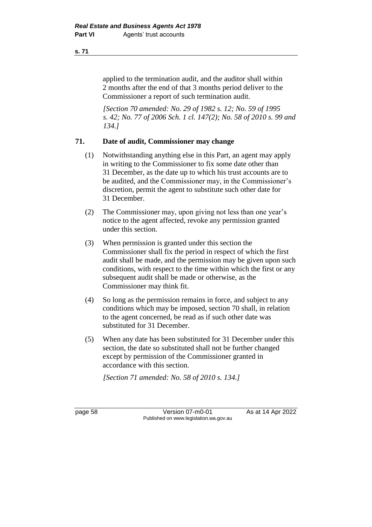applied to the termination audit, and the auditor shall within 2 months after the end of that 3 months period deliver to the Commissioner a report of such termination audit.

*[Section 70 amended: No. 29 of 1982 s. 12; No. 59 of 1995 s. 42; No. 77 of 2006 Sch. 1 cl. 147(2); No. 58 of 2010 s. 99 and 134.]*

## **71. Date of audit, Commissioner may change**

- (1) Notwithstanding anything else in this Part, an agent may apply in writing to the Commissioner to fix some date other than 31 December, as the date up to which his trust accounts are to be audited, and the Commissioner may, in the Commissioner's discretion, permit the agent to substitute such other date for 31 December.
- (2) The Commissioner may, upon giving not less than one year's notice to the agent affected, revoke any permission granted under this section.
- (3) When permission is granted under this section the Commissioner shall fix the period in respect of which the first audit shall be made, and the permission may be given upon such conditions, with respect to the time within which the first or any subsequent audit shall be made or otherwise, as the Commissioner may think fit.
- (4) So long as the permission remains in force, and subject to any conditions which may be imposed, section 70 shall, in relation to the agent concerned, be read as if such other date was substituted for 31 December.
- (5) When any date has been substituted for 31 December under this section, the date so substituted shall not be further changed except by permission of the Commissioner granted in accordance with this section.

*[Section 71 amended: No. 58 of 2010 s. 134.]*

page 58 Version 07-m0-01 As at 14 Apr 2022 Published on www.legislation.wa.gov.au

**s. 71**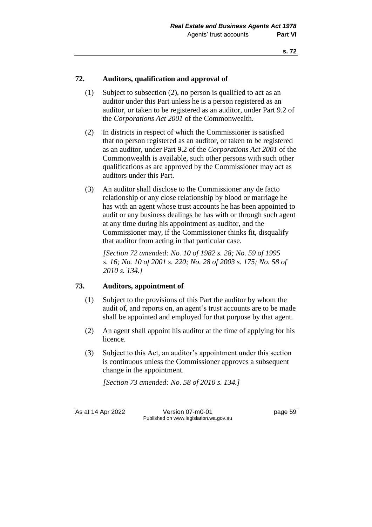## **72. Auditors, qualification and approval of**

- (1) Subject to subsection (2), no person is qualified to act as an auditor under this Part unless he is a person registered as an auditor, or taken to be registered as an auditor, under Part 9.2 of the *Corporations Act 2001* of the Commonwealth.
- (2) In districts in respect of which the Commissioner is satisfied that no person registered as an auditor, or taken to be registered as an auditor, under Part 9.2 of the *Corporations Act 2001* of the Commonwealth is available, such other persons with such other qualifications as are approved by the Commissioner may act as auditors under this Part.
- (3) An auditor shall disclose to the Commissioner any de facto relationship or any close relationship by blood or marriage he has with an agent whose trust accounts he has been appointed to audit or any business dealings he has with or through such agent at any time during his appointment as auditor, and the Commissioner may, if the Commissioner thinks fit, disqualify that auditor from acting in that particular case.

*[Section 72 amended: No. 10 of 1982 s. 28; No. 59 of 1995 s. 16; No. 10 of 2001 s. 220; No. 28 of 2003 s. 175; No. 58 of 2010 s. 134.]*

## **73. Auditors, appointment of**

- (1) Subject to the provisions of this Part the auditor by whom the audit of, and reports on, an agent's trust accounts are to be made shall be appointed and employed for that purpose by that agent.
- (2) An agent shall appoint his auditor at the time of applying for his licence.
- (3) Subject to this Act, an auditor's appointment under this section is continuous unless the Commissioner approves a subsequent change in the appointment.

*[Section 73 amended: No. 58 of 2010 s. 134.]*

As at 14 Apr 2022 Version 07-m0-01 page 59 Published on www.legislation.wa.gov.au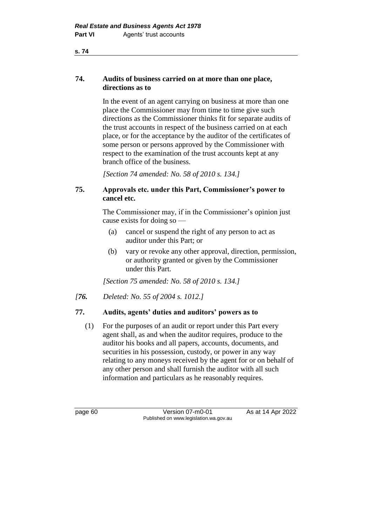## **74. Audits of business carried on at more than one place, directions as to**

In the event of an agent carrying on business at more than one place the Commissioner may from time to time give such directions as the Commissioner thinks fit for separate audits of the trust accounts in respect of the business carried on at each place, or for the acceptance by the auditor of the certificates of some person or persons approved by the Commissioner with respect to the examination of the trust accounts kept at any branch office of the business.

*[Section 74 amended: No. 58 of 2010 s. 134.]*

## **75. Approvals etc. under this Part, Commissioner's power to cancel etc.**

The Commissioner may, if in the Commissioner's opinion just cause exists for doing so —

- (a) cancel or suspend the right of any person to act as auditor under this Part; or
- (b) vary or revoke any other approval, direction, permission, or authority granted or given by the Commissioner under this Part.

*[Section 75 amended: No. 58 of 2010 s. 134.]*

*[76. Deleted: No. 55 of 2004 s. 1012.]*

# **77. Audits, agents' duties and auditors' powers as to**

(1) For the purposes of an audit or report under this Part every agent shall, as and when the auditor requires, produce to the auditor his books and all papers, accounts, documents, and securities in his possession, custody, or power in any way relating to any moneys received by the agent for or on behalf of any other person and shall furnish the auditor with all such information and particulars as he reasonably requires.

page 60 **Version 07-m0-01** As at 14 Apr 2022 Published on www.legislation.wa.gov.au

**s. 74**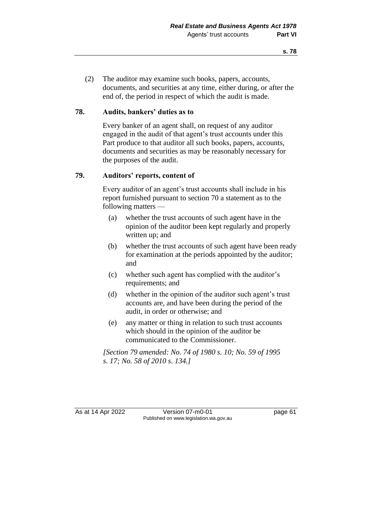(2) The auditor may examine such books, papers, accounts, documents, and securities at any time, either during, or after the end of, the period in respect of which the audit is made.

### **78. Audits, bankers' duties as to**

Every banker of an agent shall, on request of any auditor engaged in the audit of that agent's trust accounts under this Part produce to that auditor all such books, papers, accounts, documents and securities as may be reasonably necessary for the purposes of the audit.

## **79. Auditors' reports, content of**

Every auditor of an agent's trust accounts shall include in his report furnished pursuant to section 70 a statement as to the following matters —

- (a) whether the trust accounts of such agent have in the opinion of the auditor been kept regularly and properly written up; and
- (b) whether the trust accounts of such agent have been ready for examination at the periods appointed by the auditor; and
- (c) whether such agent has complied with the auditor's requirements; and
- (d) whether in the opinion of the auditor such agent's trust accounts are, and have been during the period of the audit, in order or otherwise; and
- (e) any matter or thing in relation to such trust accounts which should in the opinion of the auditor be communicated to the Commissioner.

*[Section 79 amended: No. 74 of 1980 s. 10; No. 59 of 1995 s. 17; No. 58 of 2010 s. 134.]*

As at 14 Apr 2022 Version 07-m0-01 page 61 Published on www.legislation.wa.gov.au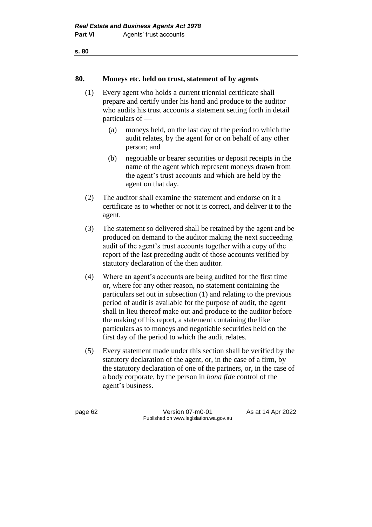#### **80. Moneys etc. held on trust, statement of by agents**

- (1) Every agent who holds a current triennial certificate shall prepare and certify under his hand and produce to the auditor who audits his trust accounts a statement setting forth in detail particulars of —
	- (a) moneys held, on the last day of the period to which the audit relates, by the agent for or on behalf of any other person; and
	- (b) negotiable or bearer securities or deposit receipts in the name of the agent which represent moneys drawn from the agent's trust accounts and which are held by the agent on that day.
- (2) The auditor shall examine the statement and endorse on it a certificate as to whether or not it is correct, and deliver it to the agent.
- (3) The statement so delivered shall be retained by the agent and be produced on demand to the auditor making the next succeeding audit of the agent's trust accounts together with a copy of the report of the last preceding audit of those accounts verified by statutory declaration of the then auditor.
- (4) Where an agent's accounts are being audited for the first time or, where for any other reason, no statement containing the particulars set out in subsection (1) and relating to the previous period of audit is available for the purpose of audit, the agent shall in lieu thereof make out and produce to the auditor before the making of his report, a statement containing the like particulars as to moneys and negotiable securities held on the first day of the period to which the audit relates.
- (5) Every statement made under this section shall be verified by the statutory declaration of the agent, or, in the case of a firm, by the statutory declaration of one of the partners, or, in the case of a body corporate, by the person in *bona fide* control of the agent's business.

page 62 Version 07-m0-01 As at 14 Apr 2022 Published on www.legislation.wa.gov.au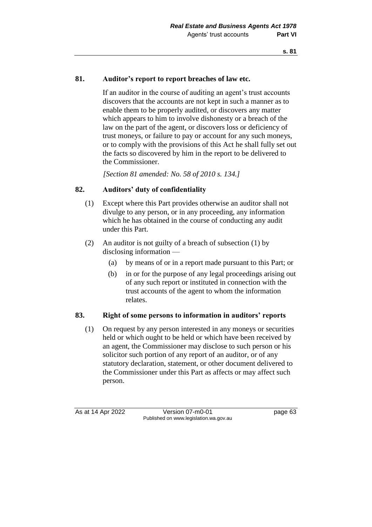## **81. Auditor's report to report breaches of law etc.**

If an auditor in the course of auditing an agent's trust accounts discovers that the accounts are not kept in such a manner as to enable them to be properly audited, or discovers any matter which appears to him to involve dishonesty or a breach of the law on the part of the agent, or discovers loss or deficiency of trust moneys, or failure to pay or account for any such moneys, or to comply with the provisions of this Act he shall fully set out the facts so discovered by him in the report to be delivered to the Commissioner.

*[Section 81 amended: No. 58 of 2010 s. 134.]*

# **82. Auditors' duty of confidentiality**

- (1) Except where this Part provides otherwise an auditor shall not divulge to any person, or in any proceeding, any information which he has obtained in the course of conducting any audit under this Part.
- (2) An auditor is not guilty of a breach of subsection (1) by disclosing information —
	- (a) by means of or in a report made pursuant to this Part; or
	- (b) in or for the purpose of any legal proceedings arising out of any such report or instituted in connection with the trust accounts of the agent to whom the information relates.

#### **83. Right of some persons to information in auditors' reports**

(1) On request by any person interested in any moneys or securities held or which ought to be held or which have been received by an agent, the Commissioner may disclose to such person or his solicitor such portion of any report of an auditor, or of any statutory declaration, statement, or other document delivered to the Commissioner under this Part as affects or may affect such person.

As at 14 Apr 2022 Version 07-m0-01 page 63 Published on www.legislation.wa.gov.au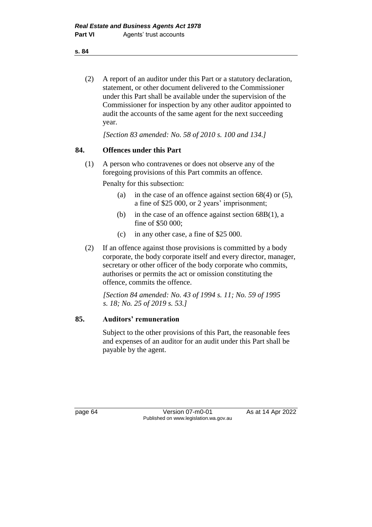(2) A report of an auditor under this Part or a statutory declaration, statement, or other document delivered to the Commissioner under this Part shall be available under the supervision of the Commissioner for inspection by any other auditor appointed to audit the accounts of the same agent for the next succeeding year.

*[Section 83 amended: No. 58 of 2010 s. 100 and 134.]*

#### **84. Offences under this Part**

(1) A person who contravenes or does not observe any of the foregoing provisions of this Part commits an offence.

Penalty for this subsection:

- (a) in the case of an offence against section  $68(4)$  or  $(5)$ , a fine of \$25 000, or 2 years' imprisonment;
- (b) in the case of an offence against section 68B(1), a fine of \$50 000;
- (c) in any other case, a fine of \$25 000.
- (2) If an offence against those provisions is committed by a body corporate, the body corporate itself and every director, manager, secretary or other officer of the body corporate who commits, authorises or permits the act or omission constituting the offence, commits the offence.

*[Section 84 amended: No. 43 of 1994 s. 11; No. 59 of 1995 s. 18; No. 25 of 2019 s. 53.]*

#### **85. Auditors' remuneration**

Subject to the other provisions of this Part, the reasonable fees and expenses of an auditor for an audit under this Part shall be payable by the agent.

page 64 Version 07-m0-01 As at 14 Apr 2022 Published on www.legislation.wa.gov.au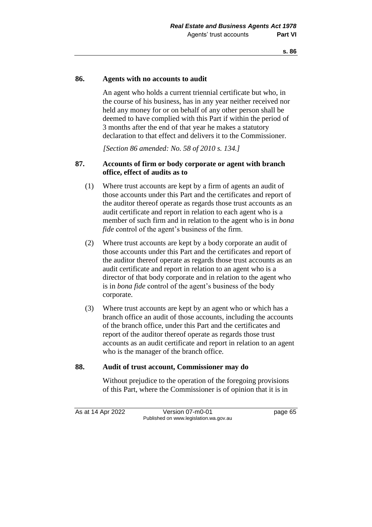#### **86. Agents with no accounts to audit**

An agent who holds a current triennial certificate but who, in the course of his business, has in any year neither received nor held any money for or on behalf of any other person shall be deemed to have complied with this Part if within the period of 3 months after the end of that year he makes a statutory declaration to that effect and delivers it to the Commissioner.

*[Section 86 amended: No. 58 of 2010 s. 134.]*

#### **87. Accounts of firm or body corporate or agent with branch office, effect of audits as to**

- (1) Where trust accounts are kept by a firm of agents an audit of those accounts under this Part and the certificates and report of the auditor thereof operate as regards those trust accounts as an audit certificate and report in relation to each agent who is a member of such firm and in relation to the agent who is in *bona fide* control of the agent's business of the firm.
- (2) Where trust accounts are kept by a body corporate an audit of those accounts under this Part and the certificates and report of the auditor thereof operate as regards those trust accounts as an audit certificate and report in relation to an agent who is a director of that body corporate and in relation to the agent who is in *bona fide* control of the agent's business of the body corporate.
- (3) Where trust accounts are kept by an agent who or which has a branch office an audit of those accounts, including the accounts of the branch office, under this Part and the certificates and report of the auditor thereof operate as regards those trust accounts as an audit certificate and report in relation to an agent who is the manager of the branch office.

#### **88. Audit of trust account, Commissioner may do**

Without prejudice to the operation of the foregoing provisions of this Part, where the Commissioner is of opinion that it is in

As at 14 Apr 2022 Version 07-m0-01 Page 65 Published on www.legislation.wa.gov.au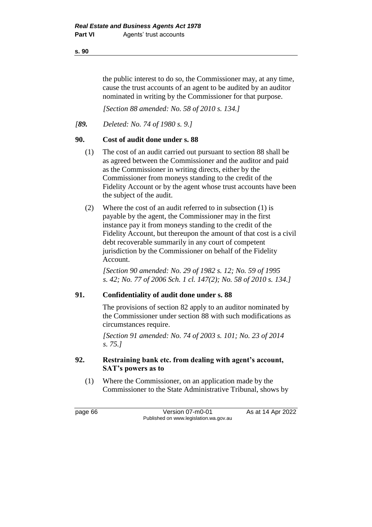the public interest to do so, the Commissioner may, at any time, cause the trust accounts of an agent to be audited by an auditor nominated in writing by the Commissioner for that purpose.

*[Section 88 amended: No. 58 of 2010 s. 134.]*

*[89. Deleted: No. 74 of 1980 s. 9.]*

#### **90. Cost of audit done under s. 88**

- (1) The cost of an audit carried out pursuant to section 88 shall be as agreed between the Commissioner and the auditor and paid as the Commissioner in writing directs, either by the Commissioner from moneys standing to the credit of the Fidelity Account or by the agent whose trust accounts have been the subject of the audit.
- (2) Where the cost of an audit referred to in subsection (1) is payable by the agent, the Commissioner may in the first instance pay it from moneys standing to the credit of the Fidelity Account, but thereupon the amount of that cost is a civil debt recoverable summarily in any court of competent jurisdiction by the Commissioner on behalf of the Fidelity Account.

*[Section 90 amended: No. 29 of 1982 s. 12; No. 59 of 1995 s. 42; No. 77 of 2006 Sch. 1 cl. 147(2); No. 58 of 2010 s. 134.]*

#### **91. Confidentiality of audit done under s. 88**

The provisions of section 82 apply to an auditor nominated by the Commissioner under section 88 with such modifications as circumstances require.

*[Section 91 amended: No. 74 of 2003 s. 101; No. 23 of 2014 s. 75.]*

## **92. Restraining bank etc. from dealing with agent's account, SAT's powers as to**

(1) Where the Commissioner, on an application made by the Commissioner to the State Administrative Tribunal, shows by

page 66 **Version 07-m0-01** As at 14 Apr 2022 Published on www.legislation.wa.gov.au

**s. 90**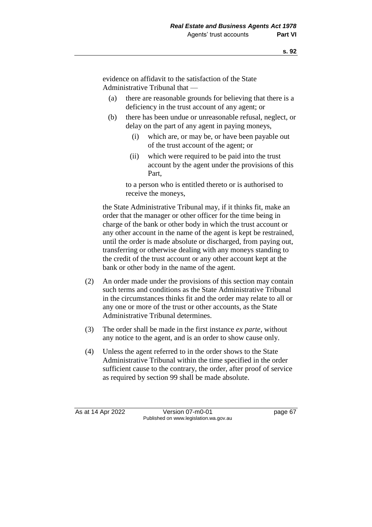evidence on affidavit to the satisfaction of the State Administrative Tribunal that —

- (a) there are reasonable grounds for believing that there is a deficiency in the trust account of any agent; or
- (b) there has been undue or unreasonable refusal, neglect, or delay on the part of any agent in paying moneys,
	- (i) which are, or may be, or have been payable out of the trust account of the agent; or
	- (ii) which were required to be paid into the trust account by the agent under the provisions of this Part,

to a person who is entitled thereto or is authorised to receive the moneys,

the State Administrative Tribunal may, if it thinks fit, make an order that the manager or other officer for the time being in charge of the bank or other body in which the trust account or any other account in the name of the agent is kept be restrained, until the order is made absolute or discharged, from paying out, transferring or otherwise dealing with any moneys standing to the credit of the trust account or any other account kept at the bank or other body in the name of the agent.

- (2) An order made under the provisions of this section may contain such terms and conditions as the State Administrative Tribunal in the circumstances thinks fit and the order may relate to all or any one or more of the trust or other accounts, as the State Administrative Tribunal determines.
- (3) The order shall be made in the first instance *ex parte*, without any notice to the agent, and is an order to show cause only.
- (4) Unless the agent referred to in the order shows to the State Administrative Tribunal within the time specified in the order sufficient cause to the contrary, the order, after proof of service as required by section 99 shall be made absolute.

As at 14 Apr 2022 Version 07-m0-01 page 67 Published on www.legislation.wa.gov.au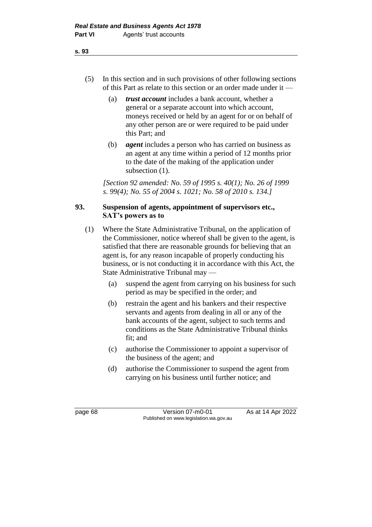- (5) In this section and in such provisions of other following sections of this Part as relate to this section or an order made under it —
	- (a) *trust account* includes a bank account, whether a general or a separate account into which account, moneys received or held by an agent for or on behalf of any other person are or were required to be paid under this Part; and
	- (b) *agent* includes a person who has carried on business as an agent at any time within a period of 12 months prior to the date of the making of the application under subsection  $(1)$ .

*[Section 92 amended: No. 59 of 1995 s. 40(1); No. 26 of 1999 s. 99(4); No. 55 of 2004 s. 1021; No. 58 of 2010 s. 134.]*

# **93. Suspension of agents, appointment of supervisors etc., SAT's powers as to**

- (1) Where the State Administrative Tribunal, on the application of the Commissioner, notice whereof shall be given to the agent, is satisfied that there are reasonable grounds for believing that an agent is, for any reason incapable of properly conducting his business, or is not conducting it in accordance with this Act, the State Administrative Tribunal may —
	- (a) suspend the agent from carrying on his business for such period as may be specified in the order; and
	- (b) restrain the agent and his bankers and their respective servants and agents from dealing in all or any of the bank accounts of the agent, subject to such terms and conditions as the State Administrative Tribunal thinks fit; and
	- (c) authorise the Commissioner to appoint a supervisor of the business of the agent; and
	- (d) authorise the Commissioner to suspend the agent from carrying on his business until further notice; and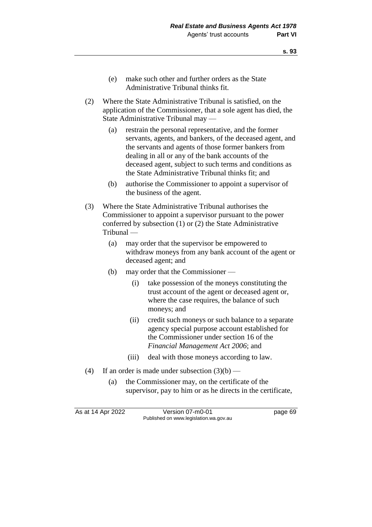- (e) make such other and further orders as the State Administrative Tribunal thinks fit.
- (2) Where the State Administrative Tribunal is satisfied, on the application of the Commissioner, that a sole agent has died, the State Administrative Tribunal may —
	- (a) restrain the personal representative, and the former servants, agents, and bankers, of the deceased agent, and the servants and agents of those former bankers from dealing in all or any of the bank accounts of the deceased agent, subject to such terms and conditions as the State Administrative Tribunal thinks fit; and
	- (b) authorise the Commissioner to appoint a supervisor of the business of the agent.
- (3) Where the State Administrative Tribunal authorises the Commissioner to appoint a supervisor pursuant to the power conferred by subsection (1) or (2) the State Administrative Tribunal —
	- (a) may order that the supervisor be empowered to withdraw moneys from any bank account of the agent or deceased agent; and
	- (b) may order that the Commissioner
		- (i) take possession of the moneys constituting the trust account of the agent or deceased agent or, where the case requires, the balance of such moneys; and
		- (ii) credit such moneys or such balance to a separate agency special purpose account established for the Commissioner under section 16 of the *Financial Management Act 2006*; and
		- (iii) deal with those moneys according to law.
- (4) If an order is made under subsection  $(3)(b)$ 
	- (a) the Commissioner may, on the certificate of the supervisor, pay to him or as he directs in the certificate,

As at 14 Apr 2022 Version 07-m0-01 page 69 Published on www.legislation.wa.gov.au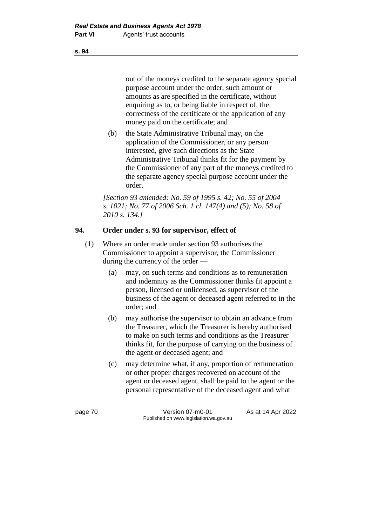out of the moneys credited to the separate agency special purpose account under the order, such amount or amounts as are specified in the certificate, without enquiring as to, or being liable in respect of, the correctness of the certificate or the application of any money paid on the certificate; and

(b) the State Administrative Tribunal may, on the application of the Commissioner, or any person interested, give such directions as the State Administrative Tribunal thinks fit for the payment by the Commissioner of any part of the moneys credited to the separate agency special purpose account under the order.

*[Section 93 amended: No. 59 of 1995 s. 42; No. 55 of 2004 s. 1021; No. 77 of 2006 Sch. 1 cl. 147(4) and (5); No. 58 of 2010 s. 134.]*

## **94. Order under s. 93 for supervisor, effect of**

- (1) Where an order made under section 93 authorises the Commissioner to appoint a supervisor, the Commissioner during the currency of the order —
	- (a) may, on such terms and conditions as to remuneration and indemnity as the Commissioner thinks fit appoint a person, licensed or unlicensed, as supervisor of the business of the agent or deceased agent referred to in the order; and
	- (b) may authorise the supervisor to obtain an advance from the Treasurer, which the Treasurer is hereby authorised to make on such terms and conditions as the Treasurer thinks fit, for the purpose of carrying on the business of the agent or deceased agent; and
	- (c) may determine what, if any, proportion of remuneration or other proper charges recovered on account of the agent or deceased agent, shall be paid to the agent or the personal representative of the deceased agent and what

page 70 Version 07-m0-01 As at 14 Apr 2022 Published on www.legislation.wa.gov.au

**s. 94**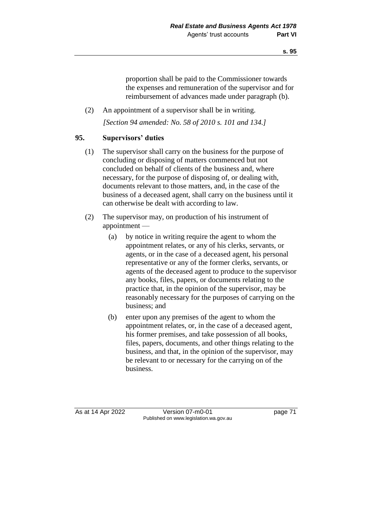proportion shall be paid to the Commissioner towards the expenses and remuneration of the supervisor and for reimbursement of advances made under paragraph (b).

(2) An appointment of a supervisor shall be in writing. *[Section 94 amended: No. 58 of 2010 s. 101 and 134.]*

# **95. Supervisors' duties**

- (1) The supervisor shall carry on the business for the purpose of concluding or disposing of matters commenced but not concluded on behalf of clients of the business and, where necessary, for the purpose of disposing of, or dealing with, documents relevant to those matters, and, in the case of the business of a deceased agent, shall carry on the business until it can otherwise be dealt with according to law.
- (2) The supervisor may, on production of his instrument of appointment —
	- (a) by notice in writing require the agent to whom the appointment relates, or any of his clerks, servants, or agents, or in the case of a deceased agent, his personal representative or any of the former clerks, servants, or agents of the deceased agent to produce to the supervisor any books, files, papers, or documents relating to the practice that, in the opinion of the supervisor, may be reasonably necessary for the purposes of carrying on the business; and
	- (b) enter upon any premises of the agent to whom the appointment relates, or, in the case of a deceased agent, his former premises, and take possession of all books, files, papers, documents, and other things relating to the business, and that, in the opinion of the supervisor, may be relevant to or necessary for the carrying on of the business.

As at 14 Apr 2022 Version 07-m0-01 page 71 Published on www.legislation.wa.gov.au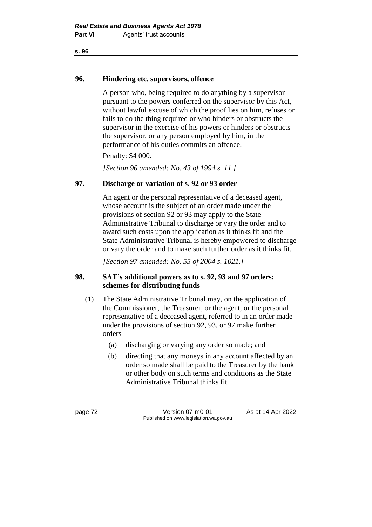# **96. Hindering etc. supervisors, offence**

A person who, being required to do anything by a supervisor pursuant to the powers conferred on the supervisor by this Act, without lawful excuse of which the proof lies on him, refuses or fails to do the thing required or who hinders or obstructs the supervisor in the exercise of his powers or hinders or obstructs the supervisor, or any person employed by him, in the performance of his duties commits an offence.

Penalty: \$4 000.

*[Section 96 amended: No. 43 of 1994 s. 11.]*

# **97. Discharge or variation of s. 92 or 93 order**

An agent or the personal representative of a deceased agent, whose account is the subject of an order made under the provisions of section 92 or 93 may apply to the State Administrative Tribunal to discharge or vary the order and to award such costs upon the application as it thinks fit and the State Administrative Tribunal is hereby empowered to discharge or vary the order and to make such further order as it thinks fit.

*[Section 97 amended: No. 55 of 2004 s. 1021.]*

# **98. SAT's additional powers as to s. 92, 93 and 97 orders; schemes for distributing funds**

- (1) The State Administrative Tribunal may, on the application of the Commissioner, the Treasurer, or the agent, or the personal representative of a deceased agent, referred to in an order made under the provisions of section 92, 93, or 97 make further orders —
	- (a) discharging or varying any order so made; and
	- (b) directing that any moneys in any account affected by an order so made shall be paid to the Treasurer by the bank or other body on such terms and conditions as the State Administrative Tribunal thinks fit.

page 72 **Version 07-m0-01** As at 14 Apr 2022 Published on www.legislation.wa.gov.au

**s. 96**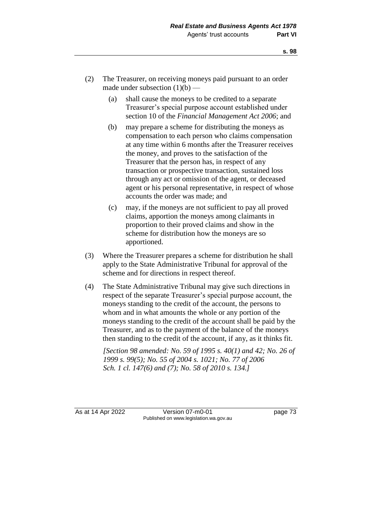- (2) The Treasurer, on receiving moneys paid pursuant to an order made under subsection  $(1)(b)$  —
	- (a) shall cause the moneys to be credited to a separate Treasurer's special purpose account established under section 10 of the *Financial Management Act 2006*; and
	- (b) may prepare a scheme for distributing the moneys as compensation to each person who claims compensation at any time within 6 months after the Treasurer receives the money, and proves to the satisfaction of the Treasurer that the person has, in respect of any transaction or prospective transaction, sustained loss through any act or omission of the agent, or deceased agent or his personal representative, in respect of whose accounts the order was made; and
	- (c) may, if the moneys are not sufficient to pay all proved claims, apportion the moneys among claimants in proportion to their proved claims and show in the scheme for distribution how the moneys are so apportioned.
- (3) Where the Treasurer prepares a scheme for distribution he shall apply to the State Administrative Tribunal for approval of the scheme and for directions in respect thereof.
- (4) The State Administrative Tribunal may give such directions in respect of the separate Treasurer's special purpose account, the moneys standing to the credit of the account, the persons to whom and in what amounts the whole or any portion of the moneys standing to the credit of the account shall be paid by the Treasurer, and as to the payment of the balance of the moneys then standing to the credit of the account, if any, as it thinks fit.

*[Section 98 amended: No. 59 of 1995 s. 40(1) and 42; No. 26 of 1999 s. 99(5); No. 55 of 2004 s. 1021; No. 77 of 2006 Sch. 1 cl. 147(6) and (7); No. 58 of 2010 s. 134.]*

As at 14 Apr 2022 Version 07-m0-01 page 73 Published on www.legislation.wa.gov.au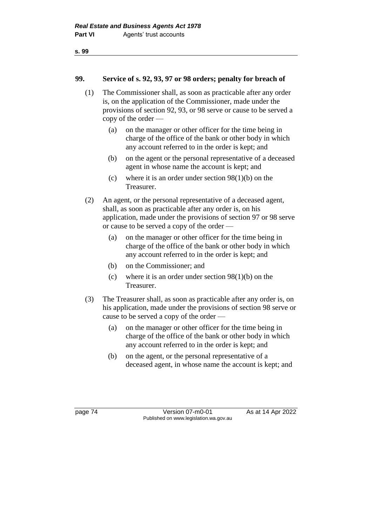#### **99. Service of s. 92, 93, 97 or 98 orders; penalty for breach of**

- (1) The Commissioner shall, as soon as practicable after any order is, on the application of the Commissioner, made under the provisions of section 92, 93, or 98 serve or cause to be served a copy of the order —
	- (a) on the manager or other officer for the time being in charge of the office of the bank or other body in which any account referred to in the order is kept; and
	- (b) on the agent or the personal representative of a deceased agent in whose name the account is kept; and
	- (c) where it is an order under section 98(1)(b) on the Treasurer.
- (2) An agent, or the personal representative of a deceased agent, shall, as soon as practicable after any order is, on his application, made under the provisions of section 97 or 98 serve or cause to be served a copy of the order —
	- (a) on the manager or other officer for the time being in charge of the office of the bank or other body in which any account referred to in the order is kept; and
	- (b) on the Commissioner; and
	- (c) where it is an order under section  $98(1)(b)$  on the Treasurer.
- (3) The Treasurer shall, as soon as practicable after any order is, on his application, made under the provisions of section 98 serve or cause to be served a copy of the order —
	- (a) on the manager or other officer for the time being in charge of the office of the bank or other body in which any account referred to in the order is kept; and
	- (b) on the agent, or the personal representative of a deceased agent, in whose name the account is kept; and

page 74 Version 07-m0-01 As at 14 Apr 2022 Published on www.legislation.wa.gov.au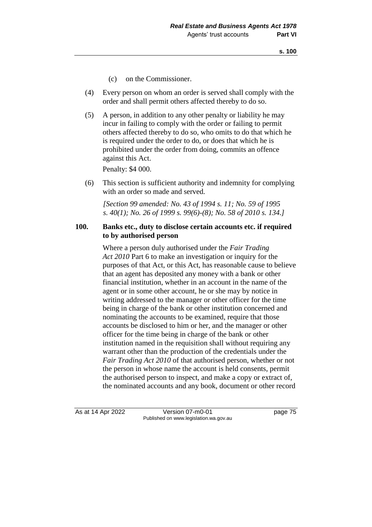- (c) on the Commissioner.
- (4) Every person on whom an order is served shall comply with the order and shall permit others affected thereby to do so.
- (5) A person, in addition to any other penalty or liability he may incur in failing to comply with the order or failing to permit others affected thereby to do so, who omits to do that which he is required under the order to do, or does that which he is prohibited under the order from doing, commits an offence against this Act.

Penalty: \$4 000.

(6) This section is sufficient authority and indemnity for complying with an order so made and served.

*[Section 99 amended: No. 43 of 1994 s. 11; No. 59 of 1995 s. 40(1); No. 26 of 1999 s. 99(6)-(8); No. 58 of 2010 s. 134.]*

#### **100. Banks etc., duty to disclose certain accounts etc. if required to by authorised person**

Where a person duly authorised under the *Fair Trading Act 2010* Part 6 to make an investigation or inquiry for the purposes of that Act, or this Act, has reasonable cause to believe that an agent has deposited any money with a bank or other financial institution, whether in an account in the name of the agent or in some other account, he or she may by notice in writing addressed to the manager or other officer for the time being in charge of the bank or other institution concerned and nominating the accounts to be examined, require that those accounts be disclosed to him or her, and the manager or other officer for the time being in charge of the bank or other institution named in the requisition shall without requiring any warrant other than the production of the credentials under the *Fair Trading Act 2010* of that authorised person, whether or not the person in whose name the account is held consents, permit the authorised person to inspect, and make a copy or extract of, the nominated accounts and any book, document or other record

As at 14 Apr 2022 Version 07-m0-01 page 75 Published on www.legislation.wa.gov.au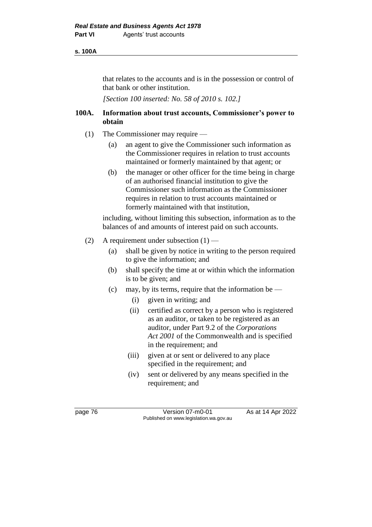#### **s. 100A**

that relates to the accounts and is in the possession or control of that bank or other institution.

*[Section 100 inserted: No. 58 of 2010 s. 102.]*

## **100A. Information about trust accounts, Commissioner's power to obtain**

- (1) The Commissioner may require
	- (a) an agent to give the Commissioner such information as the Commissioner requires in relation to trust accounts maintained or formerly maintained by that agent; or
	- (b) the manager or other officer for the time being in charge of an authorised financial institution to give the Commissioner such information as the Commissioner requires in relation to trust accounts maintained or formerly maintained with that institution,

including, without limiting this subsection, information as to the balances of and amounts of interest paid on such accounts.

- (2) A requirement under subsection  $(1)$ 
	- (a) shall be given by notice in writing to the person required to give the information; and
	- (b) shall specify the time at or within which the information is to be given; and
	- (c) may, by its terms, require that the information be
		- (i) given in writing; and
		- (ii) certified as correct by a person who is registered as an auditor, or taken to be registered as an auditor, under Part 9.2 of the *Corporations Act 2001* of the Commonwealth and is specified in the requirement; and
		- (iii) given at or sent or delivered to any place specified in the requirement; and
		- (iv) sent or delivered by any means specified in the requirement; and

page 76 **Version 07-m0-01** As at 14 Apr 2022 Published on www.legislation.wa.gov.au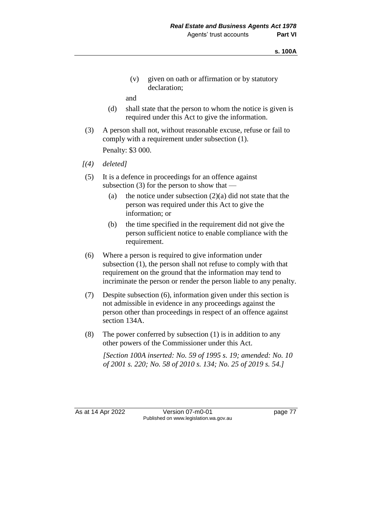(v) given on oath or affirmation or by statutory declaration;

and

- (d) shall state that the person to whom the notice is given is required under this Act to give the information.
- (3) A person shall not, without reasonable excuse, refuse or fail to comply with a requirement under subsection (1).

Penalty: \$3 000.

- *[(4) deleted]*
- (5) It is a defence in proceedings for an offence against subsection  $(3)$  for the person to show that —
	- (a) the notice under subsection  $(2)(a)$  did not state that the person was required under this Act to give the information; or
	- (b) the time specified in the requirement did not give the person sufficient notice to enable compliance with the requirement.
- (6) Where a person is required to give information under subsection (1), the person shall not refuse to comply with that requirement on the ground that the information may tend to incriminate the person or render the person liable to any penalty.
- (7) Despite subsection (6), information given under this section is not admissible in evidence in any proceedings against the person other than proceedings in respect of an offence against section 134A.
- (8) The power conferred by subsection (1) is in addition to any other powers of the Commissioner under this Act.

*[Section 100A inserted: No. 59 of 1995 s. 19; amended: No. 10 of 2001 s. 220; No. 58 of 2010 s. 134; No. 25 of 2019 s. 54.]*

As at 14 Apr 2022 Version 07-m0-01 Page 77 Published on www.legislation.wa.gov.au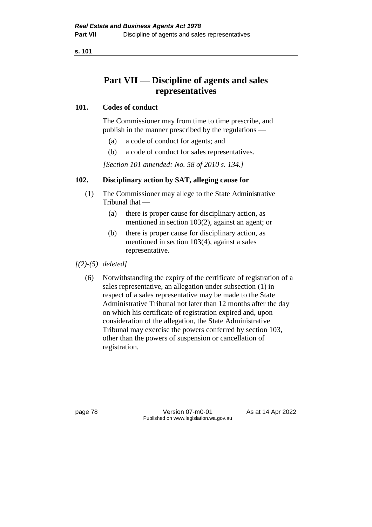**s. 101**

# **Part VII — Discipline of agents and sales representatives**

## **101. Codes of conduct**

The Commissioner may from time to time prescribe, and publish in the manner prescribed by the regulations —

- (a) a code of conduct for agents; and
- (b) a code of conduct for sales representatives.

*[Section 101 amended: No. 58 of 2010 s. 134.]*

## **102. Disciplinary action by SAT, alleging cause for**

- (1) The Commissioner may allege to the State Administrative Tribunal that —
	- (a) there is proper cause for disciplinary action, as mentioned in section 103(2), against an agent; or
	- (b) there is proper cause for disciplinary action, as mentioned in section 103(4), against a sales representative.

## *[(2)-(5) deleted]*

(6) Notwithstanding the expiry of the certificate of registration of a sales representative, an allegation under subsection (1) in respect of a sales representative may be made to the State Administrative Tribunal not later than 12 months after the day on which his certificate of registration expired and, upon consideration of the allegation, the State Administrative Tribunal may exercise the powers conferred by section 103, other than the powers of suspension or cancellation of registration.

page 78 Version 07-m0-01 As at 14 Apr 2022 Published on www.legislation.wa.gov.au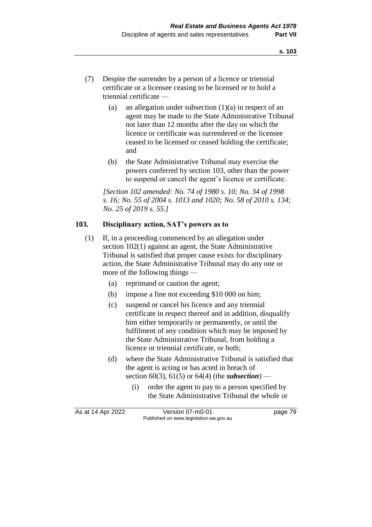- (7) Despite the surrender by a person of a licence or triennial certificate or a licensee ceasing to be licensed or to hold a triennial certificate —
	- (a) an allegation under subsection  $(1)(a)$  in respect of an agent may be made to the State Administrative Tribunal not later than 12 months after the day on which the licence or certificate was surrendered or the licensee ceased to be licensed or ceased holding the certificate; and
	- (b) the State Administrative Tribunal may exercise the powers conferred by section 103, other than the power to suspend or cancel the agent's licence or certificate.

*[Section 102 amended: No. 74 of 1980 s. 10; No. 34 of 1998 s. 16; No. 55 of 2004 s. 1013 and 1020; No. 58 of 2010 s. 134; No. 25 of 2019 s. 55.]*

#### **103. Disciplinary action, SAT's powers as to**

- (1) If, in a proceeding commenced by an allegation under section 102(1) against an agent, the State Administrative Tribunal is satisfied that proper cause exists for disciplinary action, the State Administrative Tribunal may do any one or more of the following things —
	- (a) reprimand or caution the agent;
	- (b) impose a fine not exceeding \$10 000 on him;
	- (c) suspend or cancel his licence and any triennial certificate in respect thereof and in addition, disqualify him either temporarily or permanently, or until the fulfilment of any condition which may be imposed by the State Administrative Tribunal, from holding a licence or triennial certificate, or both;
	- (d) where the State Administrative Tribunal is satisfied that the agent is acting or has acted in breach of section 60(3), 61(5) or 64(4) (the *subsection*) —
		- (i) order the agent to pay to a person specified by the State Administrative Tribunal the whole or

As at 14 Apr 2022 Version 07-m0-01 page 79 Published on www.legislation.wa.gov.au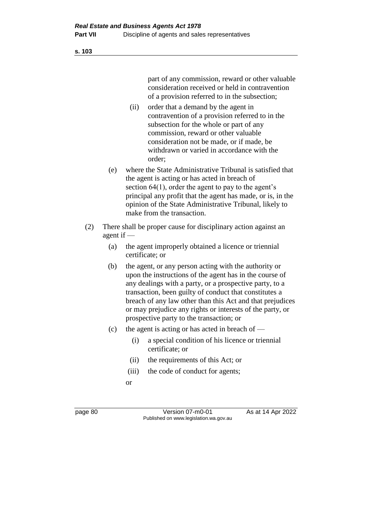**s. 103**

part of any commission, reward or other valuable consideration received or held in contravention of a provision referred to in the subsection;

- (ii) order that a demand by the agent in contravention of a provision referred to in the subsection for the whole or part of any commission, reward or other valuable consideration not be made, or if made, be withdrawn or varied in accordance with the order;
- (e) where the State Administrative Tribunal is satisfied that the agent is acting or has acted in breach of section 64(1), order the agent to pay to the agent's principal any profit that the agent has made, or is, in the opinion of the State Administrative Tribunal, likely to make from the transaction.
- (2) There shall be proper cause for disciplinary action against an agent if —
	- (a) the agent improperly obtained a licence or triennial certificate; or
	- (b) the agent, or any person acting with the authority or upon the instructions of the agent has in the course of any dealings with a party, or a prospective party, to a transaction, been guilty of conduct that constitutes a breach of any law other than this Act and that prejudices or may prejudice any rights or interests of the party, or prospective party to the transaction; or
	- (c) the agent is acting or has acted in breach of  $-$ 
		- (i) a special condition of his licence or triennial certificate; or
		- (ii) the requirements of this Act; or
		- (iii) the code of conduct for agents;
		- or

page 80 Version 07-m0-01 As at 14 Apr 2022 Published on www.legislation.wa.gov.au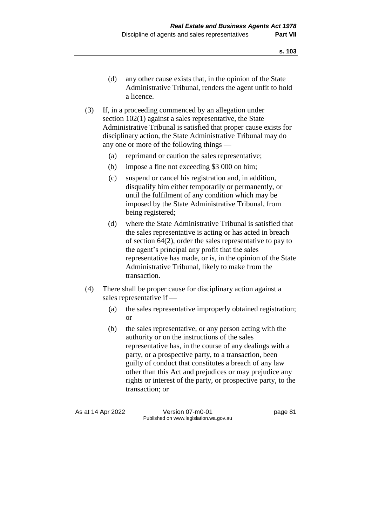- (d) any other cause exists that, in the opinion of the State Administrative Tribunal, renders the agent unfit to hold a licence.
- (3) If, in a proceeding commenced by an allegation under section 102(1) against a sales representative, the State Administrative Tribunal is satisfied that proper cause exists for disciplinary action, the State Administrative Tribunal may do any one or more of the following things —
	- (a) reprimand or caution the sales representative;
	- (b) impose a fine not exceeding \$3 000 on him;
	- (c) suspend or cancel his registration and, in addition, disqualify him either temporarily or permanently, or until the fulfilment of any condition which may be imposed by the State Administrative Tribunal, from being registered;
	- (d) where the State Administrative Tribunal is satisfied that the sales representative is acting or has acted in breach of section 64(2), order the sales representative to pay to the agent's principal any profit that the sales representative has made, or is, in the opinion of the State Administrative Tribunal, likely to make from the transaction.
- (4) There shall be proper cause for disciplinary action against a sales representative if —
	- (a) the sales representative improperly obtained registration; or
	- (b) the sales representative, or any person acting with the authority or on the instructions of the sales representative has, in the course of any dealings with a party, or a prospective party, to a transaction, been guilty of conduct that constitutes a breach of any law other than this Act and prejudices or may prejudice any rights or interest of the party, or prospective party, to the transaction; or

As at 14 Apr 2022 Version 07-m0-01 page 81 Published on www.legislation.wa.gov.au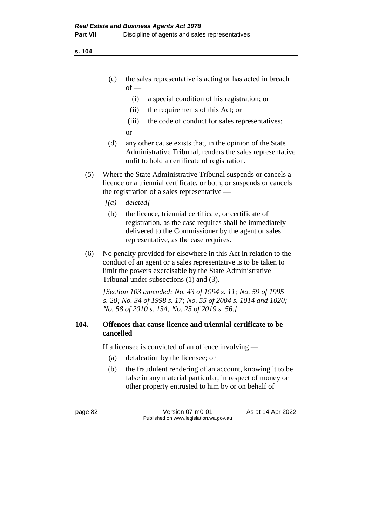**s. 104**

- (c) the sales representative is acting or has acted in breach  $of -$ 
	- (i) a special condition of his registration; or
	- (ii) the requirements of this Act; or
	- (iii) the code of conduct for sales representatives;
	- or
- (d) any other cause exists that, in the opinion of the State Administrative Tribunal, renders the sales representative unfit to hold a certificate of registration.
- (5) Where the State Administrative Tribunal suspends or cancels a licence or a triennial certificate, or both, or suspends or cancels the registration of a sales representative —
	- *[(a) deleted]*
	- (b) the licence, triennial certificate, or certificate of registration, as the case requires shall be immediately delivered to the Commissioner by the agent or sales representative, as the case requires.
- (6) No penalty provided for elsewhere in this Act in relation to the conduct of an agent or a sales representative is to be taken to limit the powers exercisable by the State Administrative Tribunal under subsections (1) and (3).

*[Section 103 amended: No. 43 of 1994 s. 11; No. 59 of 1995 s. 20; No. 34 of 1998 s. 17; No. 55 of 2004 s. 1014 and 1020; No. 58 of 2010 s. 134; No. 25 of 2019 s. 56.]*

## **104. Offences that cause licence and triennial certificate to be cancelled**

If a licensee is convicted of an offence involving —

- (a) defalcation by the licensee; or
- (b) the fraudulent rendering of an account, knowing it to be false in any material particular, in respect of money or other property entrusted to him by or on behalf of

page 82 Version 07-m0-01 As at 14 Apr 2022 Published on www.legislation.wa.gov.au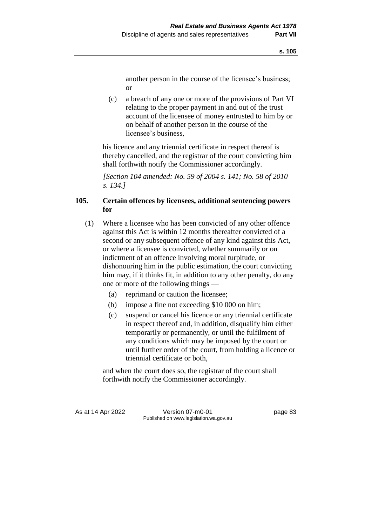another person in the course of the licensee's business; or

(c) a breach of any one or more of the provisions of Part VI relating to the proper payment in and out of the trust account of the licensee of money entrusted to him by or on behalf of another person in the course of the licensee's business,

his licence and any triennial certificate in respect thereof is thereby cancelled, and the registrar of the court convicting him shall forthwith notify the Commissioner accordingly.

*[Section 104 amended: No. 59 of 2004 s. 141; No. 58 of 2010 s. 134.]*

# **105. Certain offences by licensees, additional sentencing powers for**

- (1) Where a licensee who has been convicted of any other offence against this Act is within 12 months thereafter convicted of a second or any subsequent offence of any kind against this Act, or where a licensee is convicted, whether summarily or on indictment of an offence involving moral turpitude, or dishonouring him in the public estimation, the court convicting him may, if it thinks fit, in addition to any other penalty, do any one or more of the following things —
	- (a) reprimand or caution the licensee;
	- (b) impose a fine not exceeding \$10 000 on him;
	- (c) suspend or cancel his licence or any triennial certificate in respect thereof and, in addition, disqualify him either temporarily or permanently, or until the fulfilment of any conditions which may be imposed by the court or until further order of the court, from holding a licence or triennial certificate or both,

and when the court does so, the registrar of the court shall forthwith notify the Commissioner accordingly.

As at 14 Apr 2022 Version 07-m0-01 Page 83 Published on www.legislation.wa.gov.au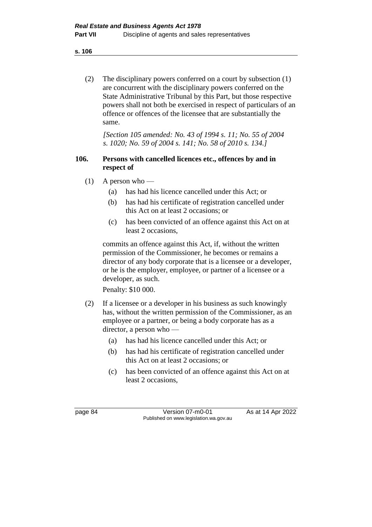**s. 106**

(2) The disciplinary powers conferred on a court by subsection (1) are concurrent with the disciplinary powers conferred on the State Administrative Tribunal by this Part, but those respective powers shall not both be exercised in respect of particulars of an offence or offences of the licensee that are substantially the same.

*[Section 105 amended: No. 43 of 1994 s. 11; No. 55 of 2004 s. 1020; No. 59 of 2004 s. 141; No. 58 of 2010 s. 134.]*

## **106. Persons with cancelled licences etc., offences by and in respect of**

- (1) A person who
	- (a) has had his licence cancelled under this Act; or
	- (b) has had his certificate of registration cancelled under this Act on at least 2 occasions; or
	- (c) has been convicted of an offence against this Act on at least 2 occasions,

commits an offence against this Act, if, without the written permission of the Commissioner, he becomes or remains a director of any body corporate that is a licensee or a developer, or he is the employer, employee, or partner of a licensee or a developer, as such.

Penalty: \$10 000.

- (2) If a licensee or a developer in his business as such knowingly has, without the written permission of the Commissioner, as an employee or a partner, or being a body corporate has as a director, a person who —
	- (a) has had his licence cancelled under this Act; or
	- (b) has had his certificate of registration cancelled under this Act on at least 2 occasions; or
	- (c) has been convicted of an offence against this Act on at least 2 occasions,

page 84 Version 07-m0-01 As at 14 Apr 2022 Published on www.legislation.wa.gov.au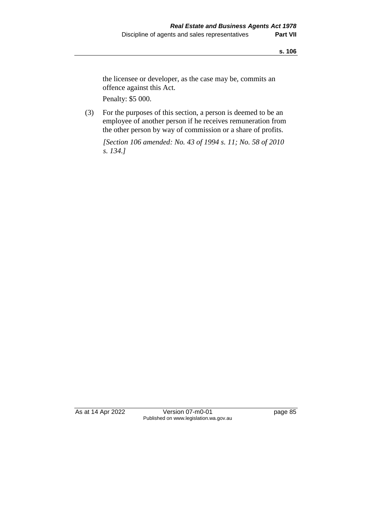the licensee or developer, as the case may be, commits an offence against this Act.

Penalty: \$5 000.

(3) For the purposes of this section, a person is deemed to be an employee of another person if he receives remuneration from the other person by way of commission or a share of profits.

*[Section 106 amended: No. 43 of 1994 s. 11; No. 58 of 2010 s. 134.]*

As at 14 Apr 2022 Version 07-m0-01 page 85 Published on www.legislation.wa.gov.au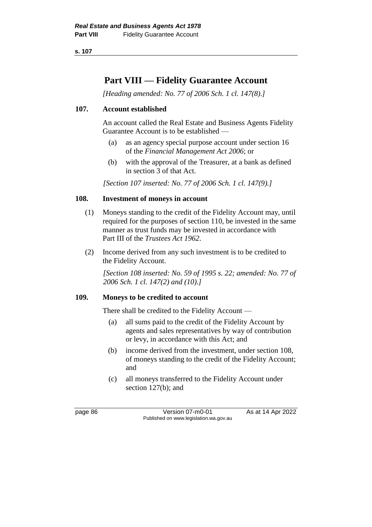**s. 107**

# **Part VIII — Fidelity Guarantee Account**

*[Heading amended: No. 77 of 2006 Sch. 1 cl. 147(8).]*

# **107. Account established**

An account called the Real Estate and Business Agents Fidelity Guarantee Account is to be established —

- (a) as an agency special purpose account under section 16 of the *Financial Management Act 2006*; or
- (b) with the approval of the Treasurer, at a bank as defined in section 3 of that Act.

*[Section 107 inserted: No. 77 of 2006 Sch. 1 cl. 147(9).]*

## **108. Investment of moneys in account**

- (1) Moneys standing to the credit of the Fidelity Account may, until required for the purposes of section 110, be invested in the same manner as trust funds may be invested in accordance with Part III of the *Trustees Act 1962*.
- (2) Income derived from any such investment is to be credited to the Fidelity Account.

*[Section 108 inserted: No. 59 of 1995 s. 22; amended: No. 77 of 2006 Sch. 1 cl. 147(2) and (10).]*

#### **109. Moneys to be credited to account**

There shall be credited to the Fidelity Account —

- (a) all sums paid to the credit of the Fidelity Account by agents and sales representatives by way of contribution or levy, in accordance with this Act; and
- (b) income derived from the investment, under section 108, of moneys standing to the credit of the Fidelity Account; and
- (c) all moneys transferred to the Fidelity Account under section 127(b); and

page 86 Version 07-m0-01 As at 14 Apr 2022 Published on www.legislation.wa.gov.au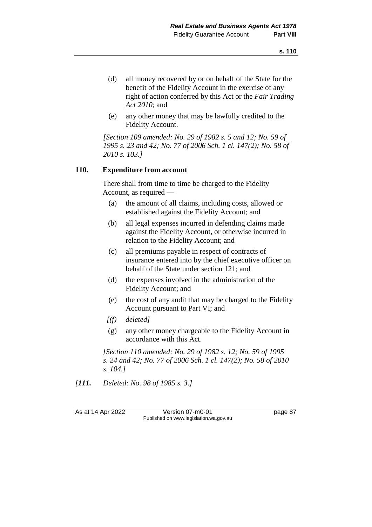- (d) all money recovered by or on behalf of the State for the benefit of the Fidelity Account in the exercise of any right of action conferred by this Act or the *Fair Trading Act 2010*; and
- (e) any other money that may be lawfully credited to the Fidelity Account.

*[Section 109 amended: No. 29 of 1982 s. 5 and 12; No. 59 of 1995 s. 23 and 42; No. 77 of 2006 Sch. 1 cl. 147(2); No. 58 of 2010 s. 103.]*

## **110. Expenditure from account**

There shall from time to time be charged to the Fidelity Account, as required —

- (a) the amount of all claims, including costs, allowed or established against the Fidelity Account; and
- (b) all legal expenses incurred in defending claims made against the Fidelity Account, or otherwise incurred in relation to the Fidelity Account; and
- (c) all premiums payable in respect of contracts of insurance entered into by the chief executive officer on behalf of the State under section 121; and
- (d) the expenses involved in the administration of the Fidelity Account; and
- (e) the cost of any audit that may be charged to the Fidelity Account pursuant to Part VI; and
- *[(f) deleted]*
- (g) any other money chargeable to the Fidelity Account in accordance with this Act.

*[Section 110 amended: No. 29 of 1982 s. 12; No. 59 of 1995 s. 24 and 42; No. 77 of 2006 Sch. 1 cl. 147(2); No. 58 of 2010 s. 104.]*

*[111. Deleted: No. 98 of 1985 s. 3.]*

As at 14 Apr 2022 Version 07-m0-01 page 87 Published on www.legislation.wa.gov.au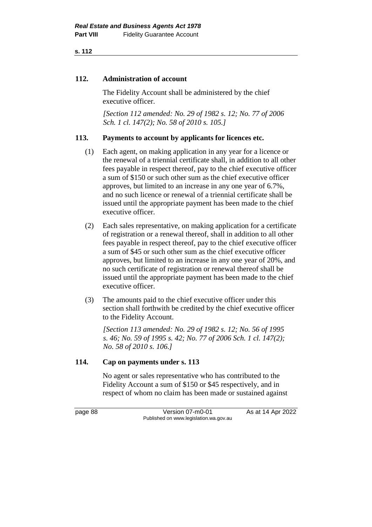**s. 112**

## **112. Administration of account**

The Fidelity Account shall be administered by the chief executive officer.

*[Section 112 amended: No. 29 of 1982 s. 12; No. 77 of 2006 Sch. 1 cl. 147(2); No. 58 of 2010 s. 105.]*

# **113. Payments to account by applicants for licences etc.**

- (1) Each agent, on making application in any year for a licence or the renewal of a triennial certificate shall, in addition to all other fees payable in respect thereof, pay to the chief executive officer a sum of \$150 or such other sum as the chief executive officer approves, but limited to an increase in any one year of 6.7%, and no such licence or renewal of a triennial certificate shall be issued until the appropriate payment has been made to the chief executive officer.
- (2) Each sales representative, on making application for a certificate of registration or a renewal thereof, shall in addition to all other fees payable in respect thereof, pay to the chief executive officer a sum of \$45 or such other sum as the chief executive officer approves, but limited to an increase in any one year of 20%, and no such certificate of registration or renewal thereof shall be issued until the appropriate payment has been made to the chief executive officer.
- (3) The amounts paid to the chief executive officer under this section shall forthwith be credited by the chief executive officer to the Fidelity Account.

*[Section 113 amended: No. 29 of 1982 s. 12; No. 56 of 1995 s. 46; No. 59 of 1995 s. 42; No. 77 of 2006 Sch. 1 cl. 147(2); No. 58 of 2010 s. 106.]*

# **114. Cap on payments under s. 113**

No agent or sales representative who has contributed to the Fidelity Account a sum of \$150 or \$45 respectively, and in respect of whom no claim has been made or sustained against

page 88 Version 07-m0-01 As at 14 Apr 2022 Published on www.legislation.wa.gov.au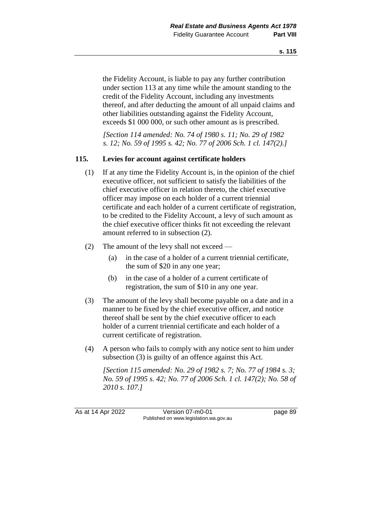the Fidelity Account, is liable to pay any further contribution under section 113 at any time while the amount standing to the credit of the Fidelity Account, including any investments thereof, and after deducting the amount of all unpaid claims and other liabilities outstanding against the Fidelity Account, exceeds \$1 000 000, or such other amount as is prescribed.

*[Section 114 amended: No. 74 of 1980 s. 11; No. 29 of 1982 s. 12; No. 59 of 1995 s. 42; No. 77 of 2006 Sch. 1 cl. 147(2).]*

## **115. Levies for account against certificate holders**

- (1) If at any time the Fidelity Account is, in the opinion of the chief executive officer, not sufficient to satisfy the liabilities of the chief executive officer in relation thereto, the chief executive officer may impose on each holder of a current triennial certificate and each holder of a current certificate of registration, to be credited to the Fidelity Account, a levy of such amount as the chief executive officer thinks fit not exceeding the relevant amount referred to in subsection (2).
- (2) The amount of the levy shall not exceed
	- (a) in the case of a holder of a current triennial certificate, the sum of \$20 in any one year;
	- (b) in the case of a holder of a current certificate of registration, the sum of \$10 in any one year.
- (3) The amount of the levy shall become payable on a date and in a manner to be fixed by the chief executive officer, and notice thereof shall be sent by the chief executive officer to each holder of a current triennial certificate and each holder of a current certificate of registration.
- (4) A person who fails to comply with any notice sent to him under subsection (3) is guilty of an offence against this Act.

*[Section 115 amended: No. 29 of 1982 s. 7; No. 77 of 1984 s. 3; No. 59 of 1995 s. 42; No. 77 of 2006 Sch. 1 cl. 147(2); No. 58 of 2010 s. 107.]*

As at 14 Apr 2022 Version 07-m0-01 page 89 Published on www.legislation.wa.gov.au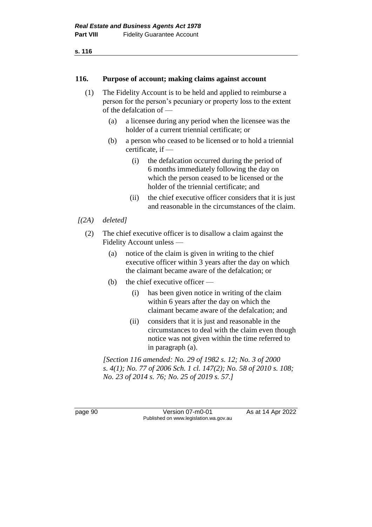#### **116. Purpose of account; making claims against account**

- (1) The Fidelity Account is to be held and applied to reimburse a person for the person's pecuniary or property loss to the extent of the defalcation of —
	- (a) a licensee during any period when the licensee was the holder of a current triennial certificate; or
	- (b) a person who ceased to be licensed or to hold a triennial certificate, if —
		- (i) the defalcation occurred during the period of 6 months immediately following the day on which the person ceased to be licensed or the holder of the triennial certificate; and
		- (ii) the chief executive officer considers that it is just and reasonable in the circumstances of the claim.
- *[(2A) deleted]*
	- (2) The chief executive officer is to disallow a claim against the Fidelity Account unless —
		- (a) notice of the claim is given in writing to the chief executive officer within 3 years after the day on which the claimant became aware of the defalcation; or
		- (b) the chief executive officer
			- (i) has been given notice in writing of the claim within 6 years after the day on which the claimant became aware of the defalcation; and
			- (ii) considers that it is just and reasonable in the circumstances to deal with the claim even though notice was not given within the time referred to in paragraph (a).

*[Section 116 amended: No. 29 of 1982 s. 12; No. 3 of 2000 s. 4(1); No. 77 of 2006 Sch. 1 cl. 147(2); No. 58 of 2010 s. 108; No. 23 of 2014 s. 76; No. 25 of 2019 s. 57.]*

page 90 Version 07-m0-01 As at 14 Apr 2022 Published on www.legislation.wa.gov.au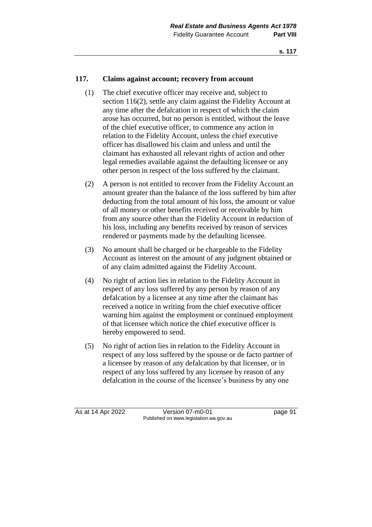#### **117. Claims against account; recovery from account**

- (1) The chief executive officer may receive and, subject to section 116(2), settle any claim against the Fidelity Account at any time after the defalcation in respect of which the claim arose has occurred, but no person is entitled, without the leave of the chief executive officer, to commence any action in relation to the Fidelity Account, unless the chief executive officer has disallowed his claim and unless and until the claimant has exhausted all relevant rights of action and other legal remedies available against the defaulting licensee or any other person in respect of the loss suffered by the claimant.
- (2) A person is not entitled to recover from the Fidelity Account an amount greater than the balance of the loss suffered by him after deducting from the total amount of his loss, the amount or value of all money or other benefits received or receivable by him from any source other than the Fidelity Account in reduction of his loss, including any benefits received by reason of services rendered or payments made by the defaulting licensee.
- (3) No amount shall be charged or be chargeable to the Fidelity Account as interest on the amount of any judgment obtained or of any claim admitted against the Fidelity Account.
- (4) No right of action lies in relation to the Fidelity Account in respect of any loss suffered by any person by reason of any defalcation by a licensee at any time after the claimant has received a notice in writing from the chief executive officer warning him against the employment or continued employment of that licensee which notice the chief executive officer is hereby empowered to send.
- (5) No right of action lies in relation to the Fidelity Account in respect of any loss suffered by the spouse or de facto partner of a licensee by reason of any defalcation by that licensee, or in respect of any loss suffered by any licensee by reason of any defalcation in the course of the licensee's business by any one

As at 14 Apr 2022 Version 07-m0-01 page 91 Published on www.legislation.wa.gov.au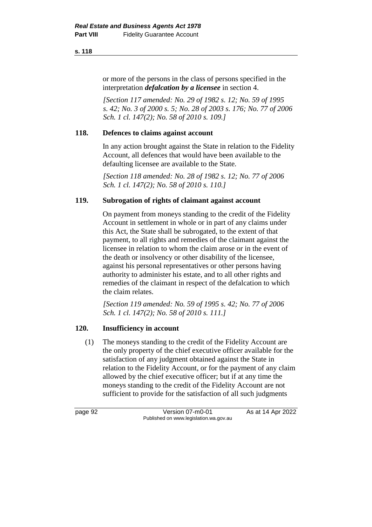#### **s. 118**

or more of the persons in the class of persons specified in the interpretation *defalcation by a licensee* in section 4.

*[Section 117 amended: No. 29 of 1982 s. 12; No. 59 of 1995 s. 42; No. 3 of 2000 s. 5; No. 28 of 2003 s. 176; No. 77 of 2006 Sch. 1 cl. 147(2); No. 58 of 2010 s. 109.]*

## **118. Defences to claims against account**

In any action brought against the State in relation to the Fidelity Account, all defences that would have been available to the defaulting licensee are available to the State.

*[Section 118 amended: No. 28 of 1982 s. 12; No. 77 of 2006 Sch. 1 cl. 147(2); No. 58 of 2010 s. 110.]*

# **119. Subrogation of rights of claimant against account**

On payment from moneys standing to the credit of the Fidelity Account in settlement in whole or in part of any claims under this Act, the State shall be subrogated, to the extent of that payment, to all rights and remedies of the claimant against the licensee in relation to whom the claim arose or in the event of the death or insolvency or other disability of the licensee, against his personal representatives or other persons having authority to administer his estate, and to all other rights and remedies of the claimant in respect of the defalcation to which the claim relates.

*[Section 119 amended: No. 59 of 1995 s. 42; No. 77 of 2006 Sch. 1 cl. 147(2); No. 58 of 2010 s. 111.]*

# **120. Insufficiency in account**

(1) The moneys standing to the credit of the Fidelity Account are the only property of the chief executive officer available for the satisfaction of any judgment obtained against the State in relation to the Fidelity Account, or for the payment of any claim allowed by the chief executive officer; but if at any time the moneys standing to the credit of the Fidelity Account are not sufficient to provide for the satisfaction of all such judgments

page 92 Version 07-m0-01 As at 14 Apr 2022 Published on www.legislation.wa.gov.au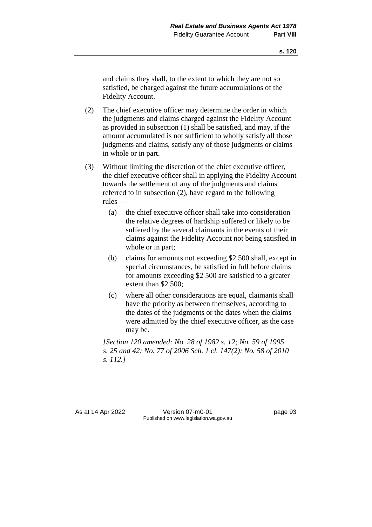and claims they shall, to the extent to which they are not so satisfied, be charged against the future accumulations of the Fidelity Account.

- (2) The chief executive officer may determine the order in which the judgments and claims charged against the Fidelity Account as provided in subsection (1) shall be satisfied, and may, if the amount accumulated is not sufficient to wholly satisfy all those judgments and claims, satisfy any of those judgments or claims in whole or in part.
- (3) Without limiting the discretion of the chief executive officer, the chief executive officer shall in applying the Fidelity Account towards the settlement of any of the judgments and claims referred to in subsection (2), have regard to the following rules —
	- (a) the chief executive officer shall take into consideration the relative degrees of hardship suffered or likely to be suffered by the several claimants in the events of their claims against the Fidelity Account not being satisfied in whole or in part;
	- (b) claims for amounts not exceeding \$2 500 shall, except in special circumstances, be satisfied in full before claims for amounts exceeding \$2 500 are satisfied to a greater extent than \$2 500;
	- (c) where all other considerations are equal, claimants shall have the priority as between themselves, according to the dates of the judgments or the dates when the claims were admitted by the chief executive officer, as the case may be.

*[Section 120 amended: No. 28 of 1982 s. 12; No. 59 of 1995 s. 25 and 42; No. 77 of 2006 Sch. 1 cl. 147(2); No. 58 of 2010 s. 112.]*

As at 14 Apr 2022 Version 07-m0-01 Page 93 Published on www.legislation.wa.gov.au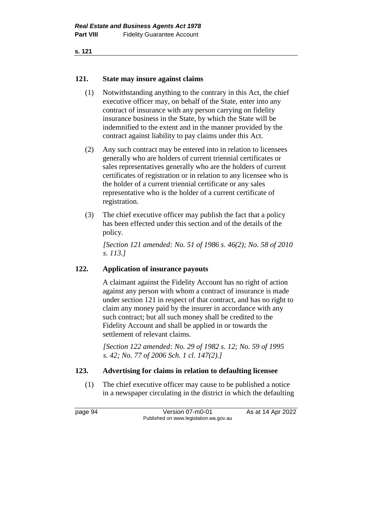## **121. State may insure against claims**

- (1) Notwithstanding anything to the contrary in this Act, the chief executive officer may, on behalf of the State, enter into any contract of insurance with any person carrying on fidelity insurance business in the State, by which the State will be indemnified to the extent and in the manner provided by the contract against liability to pay claims under this Act.
- (2) Any such contract may be entered into in relation to licensees generally who are holders of current triennial certificates or sales representatives generally who are the holders of current certificates of registration or in relation to any licensee who is the holder of a current triennial certificate or any sales representative who is the holder of a current certificate of registration.
- (3) The chief executive officer may publish the fact that a policy has been effected under this section and of the details of the policy.

*[Section 121 amended: No. 51 of 1986 s. 46(2); No. 58 of 2010 s. 113.]*

# **122. Application of insurance payouts**

A claimant against the Fidelity Account has no right of action against any person with whom a contract of insurance is made under section 121 in respect of that contract, and has no right to claim any money paid by the insurer in accordance with any such contract; but all such money shall be credited to the Fidelity Account and shall be applied in or towards the settlement of relevant claims.

*[Section 122 amended: No. 29 of 1982 s. 12; No. 59 of 1995 s. 42; No. 77 of 2006 Sch. 1 cl. 147(2).]*

# **123. Advertising for claims in relation to defaulting licensee**

(1) The chief executive officer may cause to be published a notice in a newspaper circulating in the district in which the defaulting

page 94 Version 07-m0-01 As at 14 Apr 2022 Published on www.legislation.wa.gov.au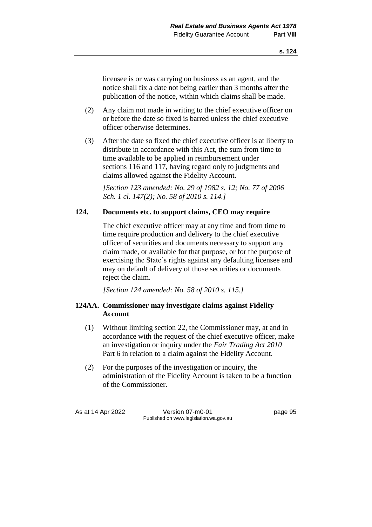licensee is or was carrying on business as an agent, and the notice shall fix a date not being earlier than 3 months after the publication of the notice, within which claims shall be made.

- (2) Any claim not made in writing to the chief executive officer on or before the date so fixed is barred unless the chief executive officer otherwise determines.
- (3) After the date so fixed the chief executive officer is at liberty to distribute in accordance with this Act, the sum from time to time available to be applied in reimbursement under sections 116 and 117, having regard only to judgments and claims allowed against the Fidelity Account.

*[Section 123 amended: No. 29 of 1982 s. 12; No. 77 of 2006 Sch. 1 cl. 147(2); No. 58 of 2010 s. 114.]*

# **124. Documents etc. to support claims, CEO may require**

The chief executive officer may at any time and from time to time require production and delivery to the chief executive officer of securities and documents necessary to support any claim made, or available for that purpose, or for the purpose of exercising the State's rights against any defaulting licensee and may on default of delivery of those securities or documents reject the claim.

*[Section 124 amended: No. 58 of 2010 s. 115.]*

# **124AA. Commissioner may investigate claims against Fidelity Account**

- (1) Without limiting section 22, the Commissioner may, at and in accordance with the request of the chief executive officer, make an investigation or inquiry under the *Fair Trading Act 2010* Part 6 in relation to a claim against the Fidelity Account.
- (2) For the purposes of the investigation or inquiry, the administration of the Fidelity Account is taken to be a function of the Commissioner.

As at 14 Apr 2022 Version 07-m0-01 page 95 Published on www.legislation.wa.gov.au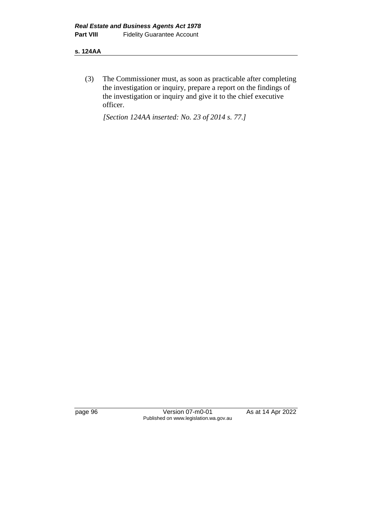#### **s. 124AA**

(3) The Commissioner must, as soon as practicable after completing the investigation or inquiry, prepare a report on the findings of the investigation or inquiry and give it to the chief executive officer.

*[Section 124AA inserted: No. 23 of 2014 s. 77.]*

page 96 Version 07-m0-01 As at 14 Apr 2022 Published on www.legislation.wa.gov.au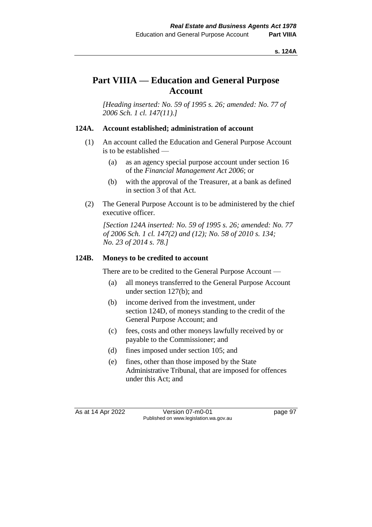# **Part VIIIA — Education and General Purpose Account**

*[Heading inserted: No. 59 of 1995 s. 26; amended: No. 77 of 2006 Sch. 1 cl. 147(11).]*

## **124A. Account established; administration of account**

- (1) An account called the Education and General Purpose Account is to be established —
	- (a) as an agency special purpose account under section 16 of the *Financial Management Act 2006*; or
	- (b) with the approval of the Treasurer, at a bank as defined in section 3 of that Act.
- (2) The General Purpose Account is to be administered by the chief executive officer.

*[Section 124A inserted: No. 59 of 1995 s. 26; amended: No. 77 of 2006 Sch. 1 cl. 147(2) and (12); No. 58 of 2010 s. 134; No. 23 of 2014 s. 78.]*

## **124B. Moneys to be credited to account**

There are to be credited to the General Purpose Account —

- (a) all moneys transferred to the General Purpose Account under section 127(b); and
- (b) income derived from the investment, under section 124D, of moneys standing to the credit of the General Purpose Account; and
- (c) fees, costs and other moneys lawfully received by or payable to the Commissioner; and
- (d) fines imposed under section 105; and
- (e) fines, other than those imposed by the State Administrative Tribunal, that are imposed for offences under this Act; and

As at 14 Apr 2022 Version 07-m0-01 page 97 Published on www.legislation.wa.gov.au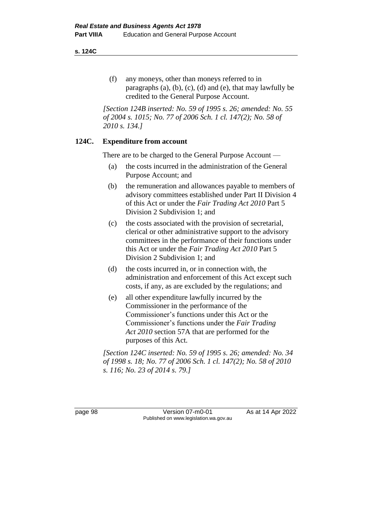#### **s. 124C**

(f) any moneys, other than moneys referred to in paragraphs  $(a)$ ,  $(b)$ ,  $(c)$ ,  $(d)$  and  $(e)$ , that may lawfully be credited to the General Purpose Account.

*[Section 124B inserted: No. 59 of 1995 s. 26; amended: No. 55 of 2004 s. 1015; No. 77 of 2006 Sch. 1 cl. 147(2); No. 58 of 2010 s. 134.]*

# **124C. Expenditure from account**

There are to be charged to the General Purpose Account —

- (a) the costs incurred in the administration of the General Purpose Account; and
- (b) the remuneration and allowances payable to members of advisory committees established under Part II Division 4 of this Act or under the *Fair Trading Act 2010* Part 5 Division 2 Subdivision 1; and
- (c) the costs associated with the provision of secretarial, clerical or other administrative support to the advisory committees in the performance of their functions under this Act or under the *Fair Trading Act 2010* Part 5 Division 2 Subdivision 1; and
- (d) the costs incurred in, or in connection with, the administration and enforcement of this Act except such costs, if any, as are excluded by the regulations; and
- (e) all other expenditure lawfully incurred by the Commissioner in the performance of the Commissioner's functions under this Act or the Commissioner's functions under the *Fair Trading Act 2010* section 57A that are performed for the purposes of this Act.

*[Section 124C inserted: No. 59 of 1995 s. 26; amended: No. 34 of 1998 s. 18; No. 77 of 2006 Sch. 1 cl. 147(2); No. 58 of 2010 s. 116; No. 23 of 2014 s. 79.]*

page 98 Version 07-m0-01 As at 14 Apr 2022 Published on www.legislation.wa.gov.au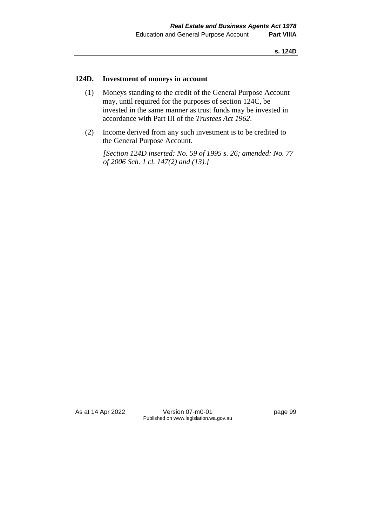#### **124D. Investment of moneys in account**

- (1) Moneys standing to the credit of the General Purpose Account may, until required for the purposes of section 124C, be invested in the same manner as trust funds may be invested in accordance with Part III of the *Trustees Act 1962*.
- (2) Income derived from any such investment is to be credited to the General Purpose Account.

*[Section 124D inserted: No. 59 of 1995 s. 26; amended: No. 77 of 2006 Sch. 1 cl. 147(2) and (13).]*

As at 14 Apr 2022 Version 07-m0-01 page 99 Published on www.legislation.wa.gov.au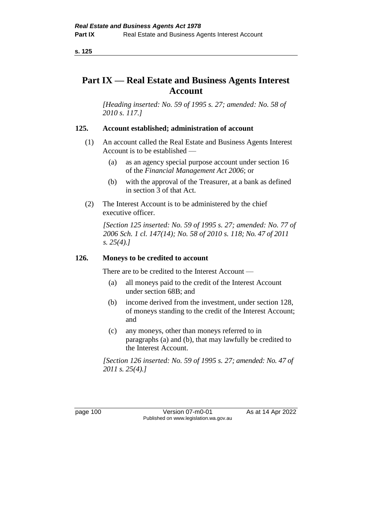# **Part IX — Real Estate and Business Agents Interest Account**

*[Heading inserted: No. 59 of 1995 s. 27; amended: No. 58 of 2010 s. 117.]*

# **125. Account established; administration of account**

- (1) An account called the Real Estate and Business Agents Interest Account is to be established —
	- (a) as an agency special purpose account under section 16 of the *Financial Management Act 2006*; or
	- (b) with the approval of the Treasurer, at a bank as defined in section 3 of that Act.
- (2) The Interest Account is to be administered by the chief executive officer.

*[Section 125 inserted: No. 59 of 1995 s. 27; amended: No. 77 of 2006 Sch. 1 cl. 147(14); No. 58 of 2010 s. 118; No. 47 of 2011 s. 25(4).]*

## **126. Moneys to be credited to account**

There are to be credited to the Interest Account —

- (a) all moneys paid to the credit of the Interest Account under section 68B; and
- (b) income derived from the investment, under section 128, of moneys standing to the credit of the Interest Account; and
- (c) any moneys, other than moneys referred to in paragraphs (a) and (b), that may lawfully be credited to the Interest Account.

*[Section 126 inserted: No. 59 of 1995 s. 27; amended: No. 47 of 2011 s. 25(4).]*

page 100 Version 07-m0-01 As at 14 Apr 2022 Published on www.legislation.wa.gov.au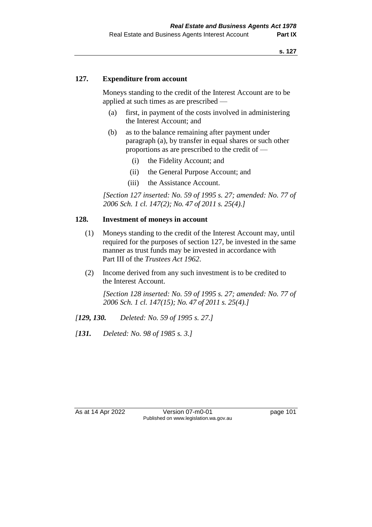#### **127. Expenditure from account**

Moneys standing to the credit of the Interest Account are to be applied at such times as are prescribed —

- (a) first, in payment of the costs involved in administering the Interest Account; and
- (b) as to the balance remaining after payment under paragraph (a), by transfer in equal shares or such other proportions as are prescribed to the credit of —
	- (i) the Fidelity Account; and
	- (ii) the General Purpose Account; and
	- (iii) the Assistance Account.

*[Section 127 inserted: No. 59 of 1995 s. 27; amended: No. 77 of 2006 Sch. 1 cl. 147(2); No. 47 of 2011 s. 25(4).]*

#### **128. Investment of moneys in account**

- (1) Moneys standing to the credit of the Interest Account may, until required for the purposes of section 127, be invested in the same manner as trust funds may be invested in accordance with Part III of the *Trustees Act 1962*.
- (2) Income derived from any such investment is to be credited to the Interest Account.

*[Section 128 inserted: No. 59 of 1995 s. 27; amended: No. 77 of 2006 Sch. 1 cl. 147(15); No. 47 of 2011 s. 25(4).]*

- *[129, 130. Deleted: No. 59 of 1995 s. 27.]*
- *[131. Deleted: No. 98 of 1985 s. 3.]*

As at 14 Apr 2022 Version 07-m0-01 page 101 Published on www.legislation.wa.gov.au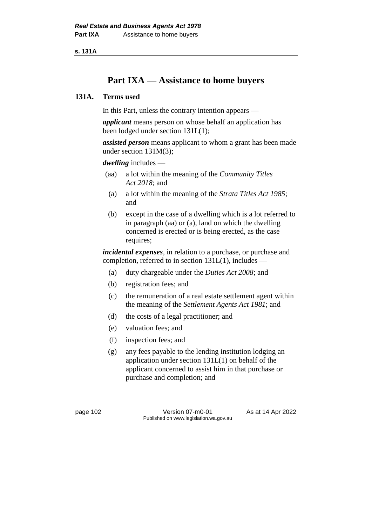**s. 131A**

# **Part IXA — Assistance to home buyers**

## **131A. Terms used**

In this Part, unless the contrary intention appears —

*applicant* means person on whose behalf an application has been lodged under section 131L(1);

*assisted person* means applicant to whom a grant has been made under section 131M(3);

#### *dwelling* includes —

- (aa) a lot within the meaning of the *Community Titles Act 2018*; and
- (a) a lot within the meaning of the *Strata Titles Act 1985*; and
- (b) except in the case of a dwelling which is a lot referred to in paragraph (aa) or (a), land on which the dwelling concerned is erected or is being erected, as the case requires;

*incidental expenses*, in relation to a purchase, or purchase and completion, referred to in section 131L(1), includes —

- (a) duty chargeable under the *Duties Act 2008*; and
- (b) registration fees; and
- (c) the remuneration of a real estate settlement agent within the meaning of the *Settlement Agents Act 1981*; and
- (d) the costs of a legal practitioner; and
- (e) valuation fees; and
- (f) inspection fees; and
- (g) any fees payable to the lending institution lodging an application under section 131L(1) on behalf of the applicant concerned to assist him in that purchase or purchase and completion; and

page 102 Version 07-m0-01 As at 14 Apr 2022 Published on www.legislation.wa.gov.au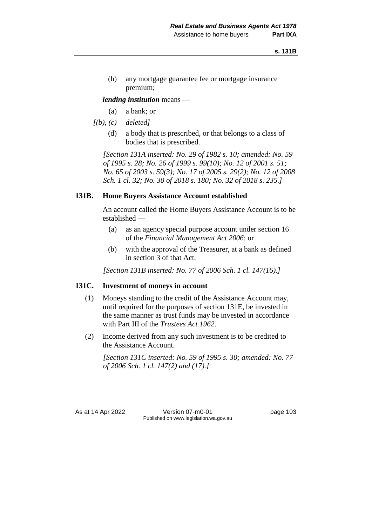(h) any mortgage guarantee fee or mortgage insurance premium;

*lending institution* means —

- (a) a bank; or
- *[(b), (c) deleted]*
	- (d) a body that is prescribed, or that belongs to a class of bodies that is prescribed.

*[Section 131A inserted: No. 29 of 1982 s. 10; amended: No. 59 of 1995 s. 28; No. 26 of 1999 s. 99(10); No. 12 of 2001 s. 51; No. 65 of 2003 s. 59(3); No. 17 of 2005 s. 29(2); No. 12 of 2008 Sch. 1 cl. 32; No. 30 of 2018 s. 180; No. 32 of 2018 s. 235.]*

#### **131B. Home Buyers Assistance Account established**

An account called the Home Buyers Assistance Account is to be established —

- (a) as an agency special purpose account under section 16 of the *Financial Management Act 2006*; or
- (b) with the approval of the Treasurer, at a bank as defined in section 3 of that Act.

*[Section 131B inserted: No. 77 of 2006 Sch. 1 cl. 147(16).]*

#### **131C. Investment of moneys in account**

- (1) Moneys standing to the credit of the Assistance Account may, until required for the purposes of section 131E, be invested in the same manner as trust funds may be invested in accordance with Part III of the *Trustees Act 1962*.
- (2) Income derived from any such investment is to be credited to the Assistance Account.

*[Section 131C inserted: No. 59 of 1995 s. 30; amended: No. 77 of 2006 Sch. 1 cl. 147(2) and (17).]*

As at 14 Apr 2022 Version 07-m0-01 page 103 Published on www.legislation.wa.gov.au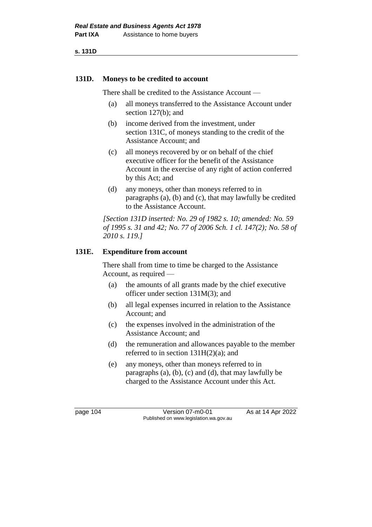**s. 131D**

#### **131D. Moneys to be credited to account**

There shall be credited to the Assistance Account —

- (a) all moneys transferred to the Assistance Account under section 127(b); and
- (b) income derived from the investment, under section 131C, of moneys standing to the credit of the Assistance Account; and
- (c) all moneys recovered by or on behalf of the chief executive officer for the benefit of the Assistance Account in the exercise of any right of action conferred by this Act; and
- (d) any moneys, other than moneys referred to in paragraphs (a), (b) and (c), that may lawfully be credited to the Assistance Account.

*[Section 131D inserted: No. 29 of 1982 s. 10; amended: No. 59 of 1995 s. 31 and 42; No. 77 of 2006 Sch. 1 cl. 147(2); No. 58 of 2010 s. 119.]*

# **131E. Expenditure from account**

There shall from time to time be charged to the Assistance Account, as required —

- (a) the amounts of all grants made by the chief executive officer under section 131M(3); and
- (b) all legal expenses incurred in relation to the Assistance Account; and
- (c) the expenses involved in the administration of the Assistance Account; and
- (d) the remuneration and allowances payable to the member referred to in section  $131H(2)(a)$ ; and
- (e) any moneys, other than moneys referred to in paragraphs (a), (b), (c) and (d), that may lawfully be charged to the Assistance Account under this Act.

page 104 Version 07-m0-01 As at 14 Apr 2022 Published on www.legislation.wa.gov.au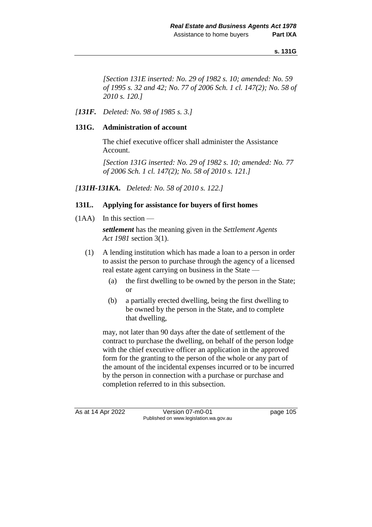*[Section 131E inserted: No. 29 of 1982 s. 10; amended: No. 59 of 1995 s. 32 and 42; No. 77 of 2006 Sch. 1 cl. 147(2); No. 58 of 2010 s. 120.]*

## *[131F. Deleted: No. 98 of 1985 s. 3.]*

#### **131G. Administration of account**

The chief executive officer shall administer the Assistance Account.

*[Section 131G inserted: No. 29 of 1982 s. 10; amended: No. 77 of 2006 Sch. 1 cl. 147(2); No. 58 of 2010 s. 121.]*

*[131H-131KA. Deleted: No. 58 of 2010 s. 122.]*

## **131L. Applying for assistance for buyers of first homes**

 $(1AA)$  In this section —

*settlement* has the meaning given in the *Settlement Agents Act 1981* section 3(1).

- (1) A lending institution which has made a loan to a person in order to assist the person to purchase through the agency of a licensed real estate agent carrying on business in the State —
	- (a) the first dwelling to be owned by the person in the State; or
	- (b) a partially erected dwelling, being the first dwelling to be owned by the person in the State, and to complete that dwelling,

may, not later than 90 days after the date of settlement of the contract to purchase the dwelling, on behalf of the person lodge with the chief executive officer an application in the approved form for the granting to the person of the whole or any part of the amount of the incidental expenses incurred or to be incurred by the person in connection with a purchase or purchase and completion referred to in this subsection.

As at 14 Apr 2022 Version 07-m0-01 page 105 Published on www.legislation.wa.gov.au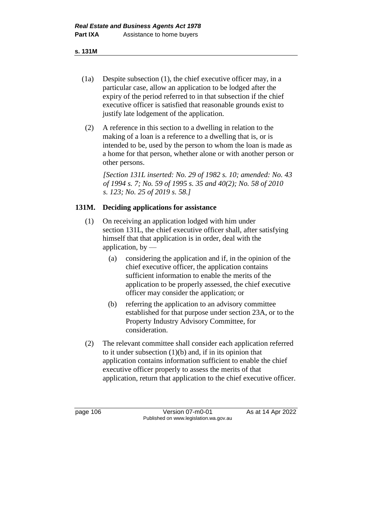#### **s. 131M**

- (1a) Despite subsection (1), the chief executive officer may, in a particular case, allow an application to be lodged after the expiry of the period referred to in that subsection if the chief executive officer is satisfied that reasonable grounds exist to justify late lodgement of the application.
- (2) A reference in this section to a dwelling in relation to the making of a loan is a reference to a dwelling that is, or is intended to be, used by the person to whom the loan is made as a home for that person, whether alone or with another person or other persons.

*[Section 131L inserted: No. 29 of 1982 s. 10; amended: No. 43 of 1994 s. 7; No. 59 of 1995 s. 35 and 40(2); No. 58 of 2010 s. 123; No. 25 of 2019 s. 58.]*

## **131M. Deciding applications for assistance**

- (1) On receiving an application lodged with him under section 131L, the chief executive officer shall, after satisfying himself that that application is in order, deal with the application, by  $-$ 
	- (a) considering the application and if, in the opinion of the chief executive officer, the application contains sufficient information to enable the merits of the application to be properly assessed, the chief executive officer may consider the application; or
	- (b) referring the application to an advisory committee established for that purpose under section 23A, or to the Property Industry Advisory Committee, for consideration.
- (2) The relevant committee shall consider each application referred to it under subsection  $(1)(b)$  and, if in its opinion that application contains information sufficient to enable the chief executive officer properly to assess the merits of that application, return that application to the chief executive officer.

page 106 **Version 07-m0-01** As at 14 Apr 2022 Published on www.legislation.wa.gov.au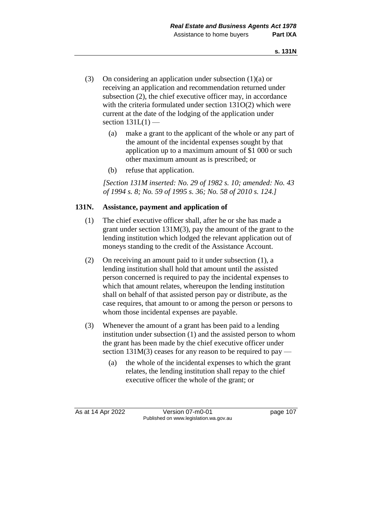- (3) On considering an application under subsection (1)(a) or receiving an application and recommendation returned under subsection (2), the chief executive officer may, in accordance with the criteria formulated under section 131O(2) which were current at the date of the lodging of the application under section  $131L(1)$  —
	- (a) make a grant to the applicant of the whole or any part of the amount of the incidental expenses sought by that application up to a maximum amount of \$1 000 or such other maximum amount as is prescribed; or
	- (b) refuse that application.

*[Section 131M inserted: No. 29 of 1982 s. 10; amended: No. 43 of 1994 s. 8; No. 59 of 1995 s. 36; No. 58 of 2010 s. 124.]*

# **131N. Assistance, payment and application of**

- (1) The chief executive officer shall, after he or she has made a grant under section 131M(3), pay the amount of the grant to the lending institution which lodged the relevant application out of moneys standing to the credit of the Assistance Account.
- (2) On receiving an amount paid to it under subsection (1), a lending institution shall hold that amount until the assisted person concerned is required to pay the incidental expenses to which that amount relates, whereupon the lending institution shall on behalf of that assisted person pay or distribute, as the case requires, that amount to or among the person or persons to whom those incidental expenses are payable.
- (3) Whenever the amount of a grant has been paid to a lending institution under subsection (1) and the assisted person to whom the grant has been made by the chief executive officer under section  $131M(3)$  ceases for any reason to be required to pay —
	- (a) the whole of the incidental expenses to which the grant relates, the lending institution shall repay to the chief executive officer the whole of the grant; or

As at 14 Apr 2022 Version 07-m0-01 page 107 Published on www.legislation.wa.gov.au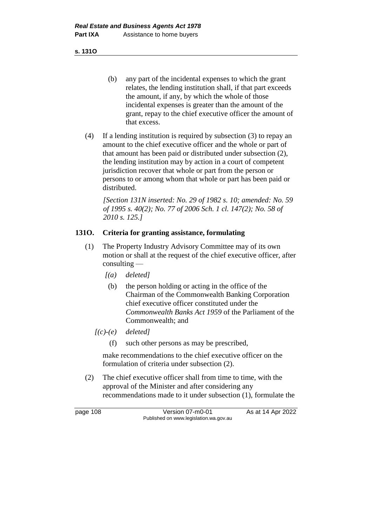**s. 131O**

- (b) any part of the incidental expenses to which the grant relates, the lending institution shall, if that part exceeds the amount, if any, by which the whole of those incidental expenses is greater than the amount of the grant, repay to the chief executive officer the amount of that excess.
- (4) If a lending institution is required by subsection (3) to repay an amount to the chief executive officer and the whole or part of that amount has been paid or distributed under subsection (2), the lending institution may by action in a court of competent jurisdiction recover that whole or part from the person or persons to or among whom that whole or part has been paid or distributed.

*[Section 131N inserted: No. 29 of 1982 s. 10; amended: No. 59 of 1995 s. 40(2); No. 77 of 2006 Sch. 1 cl. 147(2); No. 58 of 2010 s. 125.]*

# **131O. Criteria for granting assistance, formulating**

- (1) The Property Industry Advisory Committee may of its own motion or shall at the request of the chief executive officer, after consulting —
	- *[(a) deleted]*
		- (b) the person holding or acting in the office of the Chairman of the Commonwealth Banking Corporation chief executive officer constituted under the *Commonwealth Banks Act 1959* of the Parliament of the Commonwealth; and
	- *[(c)-(e) deleted]*
		- (f) such other persons as may be prescribed,

make recommendations to the chief executive officer on the formulation of criteria under subsection (2).

(2) The chief executive officer shall from time to time, with the approval of the Minister and after considering any recommendations made to it under subsection (1), formulate the

page 108 Version 07-m0-01 As at 14 Apr 2022 Published on www.legislation.wa.gov.au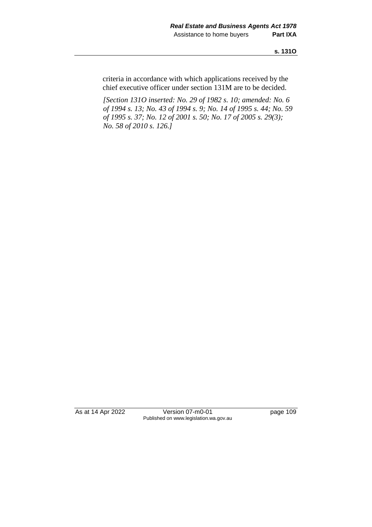criteria in accordance with which applications received by the chief executive officer under section 131M are to be decided.

*[Section 131O inserted: No. 29 of 1982 s. 10; amended: No. 6 of 1994 s. 13; No. 43 of 1994 s. 9; No. 14 of 1995 s. 44; No. 59 of 1995 s. 37; No. 12 of 2001 s. 50; No. 17 of 2005 s. 29(3); No. 58 of 2010 s. 126.]*

As at 14 Apr 2022 Version 07-m0-01 page 109 Published on www.legislation.wa.gov.au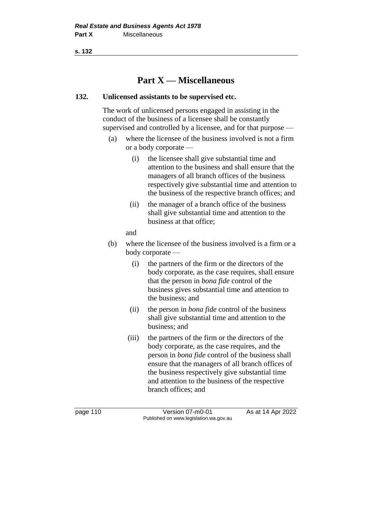# **Part X — Miscellaneous**

## **132. Unlicensed assistants to be supervised etc.**

The work of unlicensed persons engaged in assisting in the conduct of the business of a licensee shall be constantly supervised and controlled by a licensee, and for that purpose —

- (a) where the licensee of the business involved is not a firm or a body corporate —
	- (i) the licensee shall give substantial time and attention to the business and shall ensure that the managers of all branch offices of the business respectively give substantial time and attention to the business of the respective branch offices; and
	- (ii) the manager of a branch office of the business shall give substantial time and attention to the business at that office;
	- and
- (b) where the licensee of the business involved is a firm or a body corporate —
	- (i) the partners of the firm or the directors of the body corporate, as the case requires, shall ensure that the person in *bona fide* control of the business gives substantial time and attention to the business; and
	- (ii) the person in *bona fide* control of the business shall give substantial time and attention to the business; and
	- (iii) the partners of the firm or the directors of the body corporate, as the case requires, and the person in *bona fide* control of the business shall ensure that the managers of all branch offices of the business respectively give substantial time and attention to the business of the respective branch offices; and

page 110 Version 07-m0-01 As at 14 Apr 2022 Published on www.legislation.wa.gov.au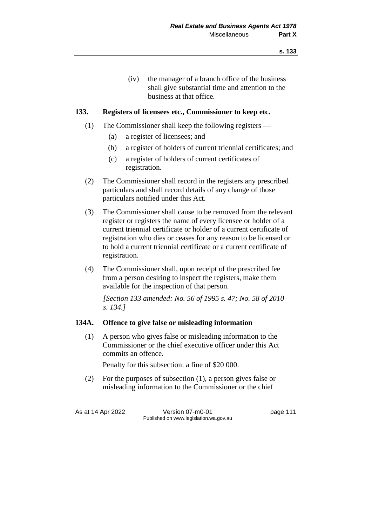(iv) the manager of a branch office of the business shall give substantial time and attention to the business at that office.

## **133. Registers of licensees etc., Commissioner to keep etc.**

- (1) The Commissioner shall keep the following registers
	- (a) a register of licensees; and
	- (b) a register of holders of current triennial certificates; and
	- (c) a register of holders of current certificates of registration.
- (2) The Commissioner shall record in the registers any prescribed particulars and shall record details of any change of those particulars notified under this Act.
- (3) The Commissioner shall cause to be removed from the relevant register or registers the name of every licensee or holder of a current triennial certificate or holder of a current certificate of registration who dies or ceases for any reason to be licensed or to hold a current triennial certificate or a current certificate of registration.
- (4) The Commissioner shall, upon receipt of the prescribed fee from a person desiring to inspect the registers, make them available for the inspection of that person.

*[Section 133 amended: No. 56 of 1995 s. 47; No. 58 of 2010 s. 134.]*

#### **134A. Offence to give false or misleading information**

(1) A person who gives false or misleading information to the Commissioner or the chief executive officer under this Act commits an offence.

Penalty for this subsection: a fine of \$20 000.

(2) For the purposes of subsection (1), a person gives false or misleading information to the Commissioner or the chief

As at 14 Apr 2022 Version 07-m0-01 page 111 Published on www.legislation.wa.gov.au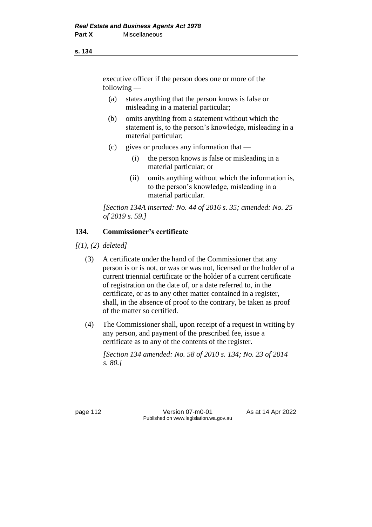executive officer if the person does one or more of the following —

- (a) states anything that the person knows is false or misleading in a material particular;
- (b) omits anything from a statement without which the statement is, to the person's knowledge, misleading in a material particular;
- (c) gives or produces any information that
	- (i) the person knows is false or misleading in a material particular; or
	- (ii) omits anything without which the information is, to the person's knowledge, misleading in a material particular.

*[Section 134A inserted: No. 44 of 2016 s. 35; amended: No. 25 of 2019 s. 59.]*

# **134. Commissioner's certificate**

*[(1), (2) deleted]*

- (3) A certificate under the hand of the Commissioner that any person is or is not, or was or was not, licensed or the holder of a current triennial certificate or the holder of a current certificate of registration on the date of, or a date referred to, in the certificate, or as to any other matter contained in a register, shall, in the absence of proof to the contrary, be taken as proof of the matter so certified.
- (4) The Commissioner shall, upon receipt of a request in writing by any person, and payment of the prescribed fee, issue a certificate as to any of the contents of the register.

*[Section 134 amended: No. 58 of 2010 s. 134; No. 23 of 2014 s. 80.]*

page 112 **Version 07-m0-01** As at 14 Apr 2022 Published on www.legislation.wa.gov.au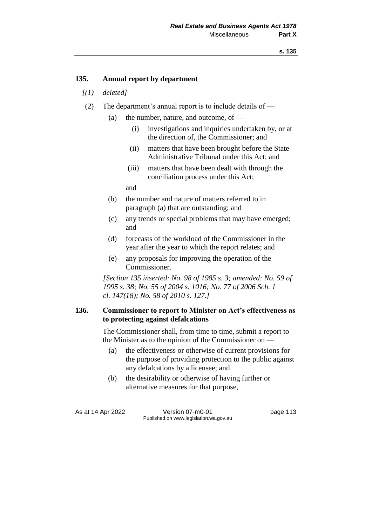## **135. Annual report by department**

- *[(1) deleted]*
- (2) The department's annual report is to include details of
	- (a) the number, nature, and outcome, of  $-$ 
		- (i) investigations and inquiries undertaken by, or at the direction of, the Commissioner; and
		- (ii) matters that have been brought before the State Administrative Tribunal under this Act; and
		- (iii) matters that have been dealt with through the conciliation process under this Act;

and

- (b) the number and nature of matters referred to in paragraph (a) that are outstanding; and
- (c) any trends or special problems that may have emerged; and
- (d) forecasts of the workload of the Commissioner in the year after the year to which the report relates; and
- (e) any proposals for improving the operation of the Commissioner.

*[Section 135 inserted: No. 98 of 1985 s. 3; amended: No. 59 of 1995 s. 38; No. 55 of 2004 s. 1016; No. 77 of 2006 Sch. 1 cl. 147(18); No. 58 of 2010 s. 127.]*

#### **136. Commissioner to report to Minister on Act's effectiveness as to protecting against defalcations**

The Commissioner shall, from time to time, submit a report to the Minister as to the opinion of the Commissioner on —

- (a) the effectiveness or otherwise of current provisions for the purpose of providing protection to the public against any defalcations by a licensee; and
- (b) the desirability or otherwise of having further or alternative measures for that purpose,

As at 14 Apr 2022 Version 07-m0-01 page 113 Published on www.legislation.wa.gov.au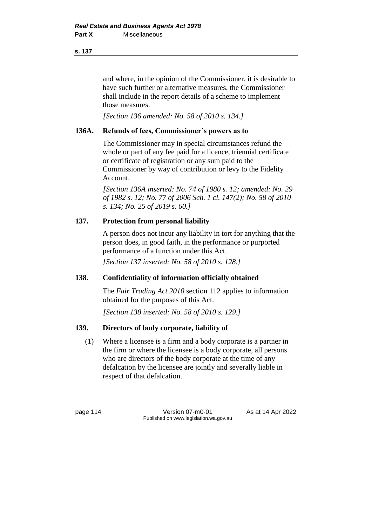and where, in the opinion of the Commissioner, it is desirable to have such further or alternative measures, the Commissioner shall include in the report details of a scheme to implement those measures.

*[Section 136 amended: No. 58 of 2010 s. 134.]*

# **136A. Refunds of fees, Commissioner's powers as to**

The Commissioner may in special circumstances refund the whole or part of any fee paid for a licence, triennial certificate or certificate of registration or any sum paid to the Commissioner by way of contribution or levy to the Fidelity Account.

*[Section 136A inserted: No. 74 of 1980 s. 12; amended: No. 29 of 1982 s. 12; No. 77 of 2006 Sch. 1 cl. 147(2); No. 58 of 2010 s. 134; No. 25 of 2019 s. 60.]*

# **137. Protection from personal liability**

A person does not incur any liability in tort for anything that the person does, in good faith, in the performance or purported performance of a function under this Act.

*[Section 137 inserted: No. 58 of 2010 s. 128.]*

# **138. Confidentiality of information officially obtained**

The *Fair Trading Act 2010* section 112 applies to information obtained for the purposes of this Act.

*[Section 138 inserted: No. 58 of 2010 s. 129.]*

# **139. Directors of body corporate, liability of**

(1) Where a licensee is a firm and a body corporate is a partner in the firm or where the licensee is a body corporate, all persons who are directors of the body corporate at the time of any defalcation by the licensee are jointly and severally liable in respect of that defalcation.

page 114 **Version 07-m0-01** As at 14 Apr 2022 Published on www.legislation.wa.gov.au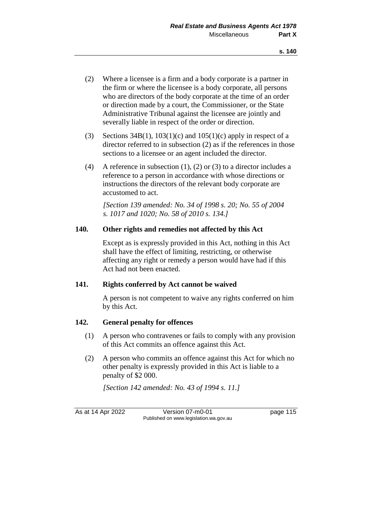- (2) Where a licensee is a firm and a body corporate is a partner in the firm or where the licensee is a body corporate, all persons who are directors of the body corporate at the time of an order or direction made by a court, the Commissioner, or the State Administrative Tribunal against the licensee are jointly and severally liable in respect of the order or direction.
- (3) Sections 34B(1), 103(1)(c) and 105(1)(c) apply in respect of a director referred to in subsection (2) as if the references in those sections to a licensee or an agent included the director.
- (4) A reference in subsection (1), (2) or (3) to a director includes a reference to a person in accordance with whose directions or instructions the directors of the relevant body corporate are accustomed to act.

*[Section 139 amended: No. 34 of 1998 s. 20; No. 55 of 2004 s. 1017 and 1020; No. 58 of 2010 s. 134.]*

# **140. Other rights and remedies not affected by this Act**

Except as is expressly provided in this Act, nothing in this Act shall have the effect of limiting, restricting, or otherwise affecting any right or remedy a person would have had if this Act had not been enacted.

# **141. Rights conferred by Act cannot be waived**

A person is not competent to waive any rights conferred on him by this Act.

# **142. General penalty for offences**

- (1) A person who contravenes or fails to comply with any provision of this Act commits an offence against this Act.
- (2) A person who commits an offence against this Act for which no other penalty is expressly provided in this Act is liable to a penalty of \$2 000.

*[Section 142 amended: No. 43 of 1994 s. 11.]*

As at 14 Apr 2022 Version 07-m0-01 page 115 Published on www.legislation.wa.gov.au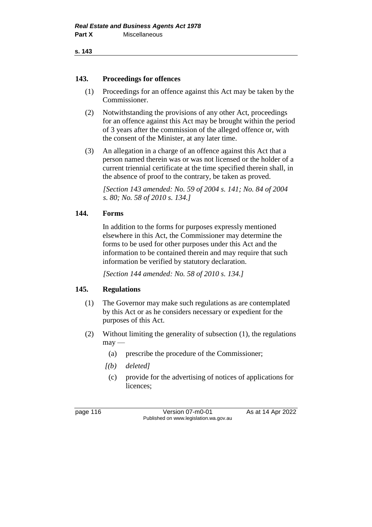#### **143. Proceedings for offences**

- (1) Proceedings for an offence against this Act may be taken by the Commissioner.
- (2) Notwithstanding the provisions of any other Act, proceedings for an offence against this Act may be brought within the period of 3 years after the commission of the alleged offence or, with the consent of the Minister, at any later time.
- (3) An allegation in a charge of an offence against this Act that a person named therein was or was not licensed or the holder of a current triennial certificate at the time specified therein shall, in the absence of proof to the contrary, be taken as proved.

*[Section 143 amended: No. 59 of 2004 s. 141; No. 84 of 2004 s. 80; No. 58 of 2010 s. 134.]*

## **144. Forms**

In addition to the forms for purposes expressly mentioned elsewhere in this Act, the Commissioner may determine the forms to be used for other purposes under this Act and the information to be contained therein and may require that such information be verified by statutory declaration.

*[Section 144 amended: No. 58 of 2010 s. 134.]*

#### **145. Regulations**

- (1) The Governor may make such regulations as are contemplated by this Act or as he considers necessary or expedient for the purposes of this Act.
- (2) Without limiting the generality of subsection (1), the regulations  $may$ —
	- (a) prescribe the procedure of the Commissioner;
	- *[(b) deleted]*
	- (c) provide for the advertising of notices of applications for licences;

page 116 **Version 07-m0-01** As at 14 Apr 2022 Published on www.legislation.wa.gov.au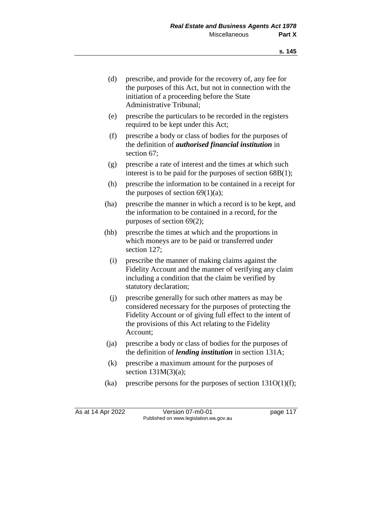- (d) prescribe, and provide for the recovery of, any fee for the purposes of this Act, but not in connection with the initiation of a proceeding before the State Administrative Tribunal;
- (e) prescribe the particulars to be recorded in the registers required to be kept under this Act;
- (f) prescribe a body or class of bodies for the purposes of the definition of *authorised financial institution* in section 67;
- (g) prescribe a rate of interest and the times at which such interest is to be paid for the purposes of section 68B(1);
- (h) prescribe the information to be contained in a receipt for the purposes of section  $69(1)(a)$ ;
- (ha) prescribe the manner in which a record is to be kept, and the information to be contained in a record, for the purposes of section 69(2);
- (hb) prescribe the times at which and the proportions in which moneys are to be paid or transferred under section 127;
	- (i) prescribe the manner of making claims against the Fidelity Account and the manner of verifying any claim including a condition that the claim be verified by statutory declaration;
	- (j) prescribe generally for such other matters as may be considered necessary for the purposes of protecting the Fidelity Account or of giving full effect to the intent of the provisions of this Act relating to the Fidelity Account;
- (ja) prescribe a body or class of bodies for the purposes of the definition of *lending institution* in section 131A;
- (k) prescribe a maximum amount for the purposes of section  $131M(3)(a)$ ;
- (ka) prescribe persons for the purposes of section  $131O(1)(f)$ ;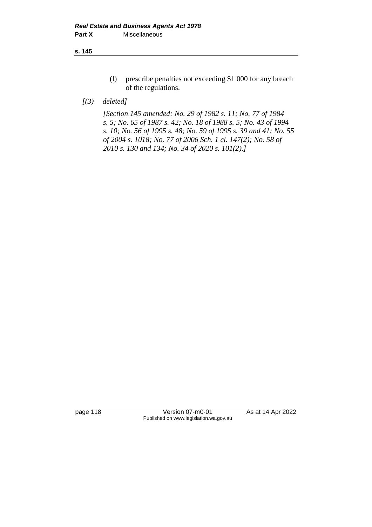- (l) prescribe penalties not exceeding \$1 000 for any breach of the regulations.
- *[(3) deleted]*

*[Section 145 amended: No. 29 of 1982 s. 11; No. 77 of 1984 s. 5; No. 65 of 1987 s. 42; No. 18 of 1988 s. 5; No. 43 of 1994 s. 10; No. 56 of 1995 s. 48; No. 59 of 1995 s. 39 and 41; No. 55 of 2004 s. 1018; No. 77 of 2006 Sch. 1 cl. 147(2); No. 58 of 2010 s. 130 and 134; No. 34 of 2020 s. 101(2).]*

page 118 Version 07-m0-01 As at 14 Apr 2022 Published on www.legislation.wa.gov.au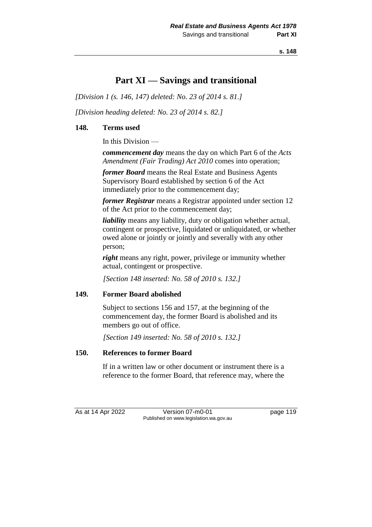# **Part XI — Savings and transitional**

*[Division 1 (s. 146, 147) deleted: No. 23 of 2014 s. 81.]*

*[Division heading deleted: No. 23 of 2014 s. 82.]*

## **148. Terms used**

In this Division —

*commencement day* means the day on which Part 6 of the *Acts Amendment (Fair Trading) Act 2010* comes into operation;

*former Board* means the Real Estate and Business Agents Supervisory Board established by section 6 of the Act immediately prior to the commencement day;

*former Registrar* means a Registrar appointed under section 12 of the Act prior to the commencement day;

*liability* means any liability, duty or obligation whether actual, contingent or prospective, liquidated or unliquidated, or whether owed alone or jointly or jointly and severally with any other person;

*right* means any right, power, privilege or immunity whether actual, contingent or prospective.

*[Section 148 inserted: No. 58 of 2010 s. 132.]*

# **149. Former Board abolished**

Subject to sections 156 and 157, at the beginning of the commencement day, the former Board is abolished and its members go out of office.

*[Section 149 inserted: No. 58 of 2010 s. 132.]*

# **150. References to former Board**

If in a written law or other document or instrument there is a reference to the former Board, that reference may, where the

As at 14 Apr 2022 Version 07-m0-01 page 119 Published on www.legislation.wa.gov.au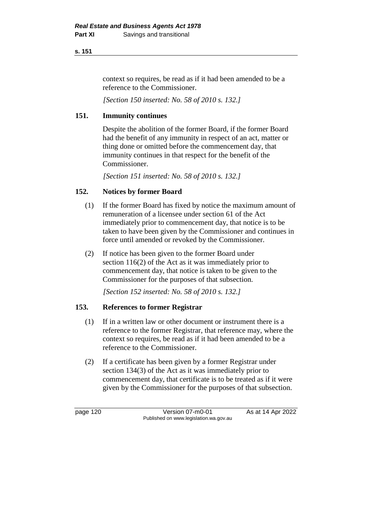context so requires, be read as if it had been amended to be a reference to the Commissioner.

*[Section 150 inserted: No. 58 of 2010 s. 132.]*

# **151. Immunity continues**

Despite the abolition of the former Board, if the former Board had the benefit of any immunity in respect of an act, matter or thing done or omitted before the commencement day, that immunity continues in that respect for the benefit of the Commissioner.

*[Section 151 inserted: No. 58 of 2010 s. 132.]*

# **152. Notices by former Board**

- (1) If the former Board has fixed by notice the maximum amount of remuneration of a licensee under section 61 of the Act immediately prior to commencement day, that notice is to be taken to have been given by the Commissioner and continues in force until amended or revoked by the Commissioner.
- (2) If notice has been given to the former Board under section 116(2) of the Act as it was immediately prior to commencement day, that notice is taken to be given to the Commissioner for the purposes of that subsection.

*[Section 152 inserted: No. 58 of 2010 s. 132.]*

# **153. References to former Registrar**

- (1) If in a written law or other document or instrument there is a reference to the former Registrar, that reference may, where the context so requires, be read as if it had been amended to be a reference to the Commissioner.
- (2) If a certificate has been given by a former Registrar under section 134(3) of the Act as it was immediately prior to commencement day, that certificate is to be treated as if it were given by the Commissioner for the purposes of that subsection.

page 120 **Version 07-m0-01** As at 14 Apr 2022 Published on www.legislation.wa.gov.au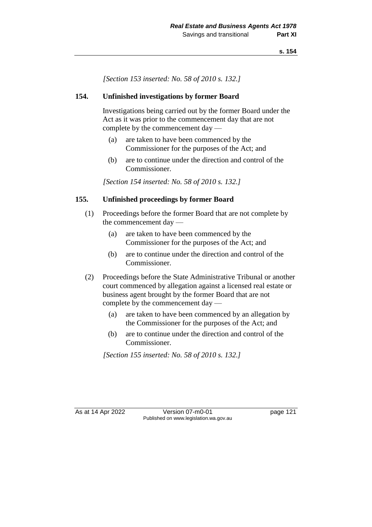*[Section 153 inserted: No. 58 of 2010 s. 132.]*

## **154. Unfinished investigations by former Board**

Investigations being carried out by the former Board under the Act as it was prior to the commencement day that are not complete by the commencement day —

- (a) are taken to have been commenced by the Commissioner for the purposes of the Act; and
- (b) are to continue under the direction and control of the Commissioner.

*[Section 154 inserted: No. 58 of 2010 s. 132.]*

## **155. Unfinished proceedings by former Board**

- (1) Proceedings before the former Board that are not complete by the commencement day —
	- (a) are taken to have been commenced by the Commissioner for the purposes of the Act; and
	- (b) are to continue under the direction and control of the Commissioner.
- (2) Proceedings before the State Administrative Tribunal or another court commenced by allegation against a licensed real estate or business agent brought by the former Board that are not complete by the commencement day —
	- (a) are taken to have been commenced by an allegation by the Commissioner for the purposes of the Act; and
	- (b) are to continue under the direction and control of the Commissioner.

*[Section 155 inserted: No. 58 of 2010 s. 132.]*

As at 14 Apr 2022 Version 07-m0-01 page 121 Published on www.legislation.wa.gov.au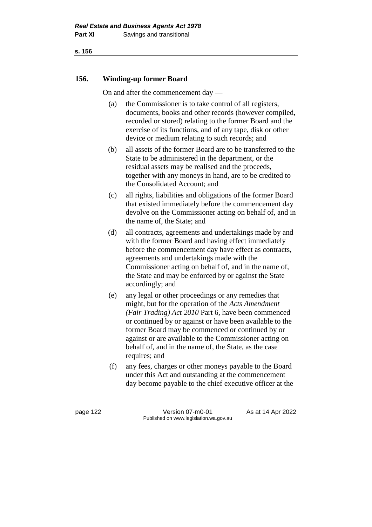# **156. Winding-up former Board**

On and after the commencement day —

- (a) the Commissioner is to take control of all registers, documents, books and other records (however compiled, recorded or stored) relating to the former Board and the exercise of its functions, and of any tape, disk or other device or medium relating to such records; and
- (b) all assets of the former Board are to be transferred to the State to be administered in the department, or the residual assets may be realised and the proceeds, together with any moneys in hand, are to be credited to the Consolidated Account; and
- (c) all rights, liabilities and obligations of the former Board that existed immediately before the commencement day devolve on the Commissioner acting on behalf of, and in the name of, the State; and
- (d) all contracts, agreements and undertakings made by and with the former Board and having effect immediately before the commencement day have effect as contracts, agreements and undertakings made with the Commissioner acting on behalf of, and in the name of, the State and may be enforced by or against the State accordingly; and
- (e) any legal or other proceedings or any remedies that might, but for the operation of the *Acts Amendment (Fair Trading) Act 2010* Part 6, have been commenced or continued by or against or have been available to the former Board may be commenced or continued by or against or are available to the Commissioner acting on behalf of, and in the name of, the State, as the case requires; and
- (f) any fees, charges or other moneys payable to the Board under this Act and outstanding at the commencement day become payable to the chief executive officer at the

page 122 Version 07-m0-01 As at 14 Apr 2022 Published on www.legislation.wa.gov.au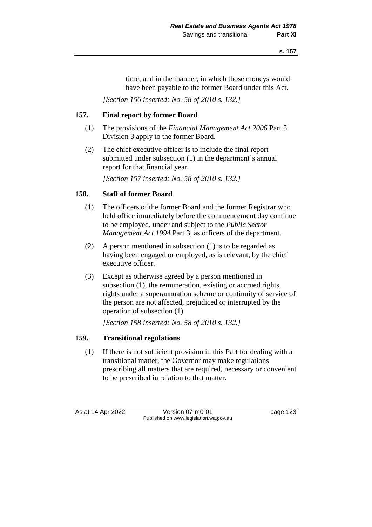time, and in the manner, in which those moneys would have been payable to the former Board under this Act.

*[Section 156 inserted: No. 58 of 2010 s. 132.]*

# **157. Final report by former Board**

- (1) The provisions of the *Financial Management Act 2006* Part 5 Division 3 apply to the former Board.
- (2) The chief executive officer is to include the final report submitted under subsection (1) in the department's annual report for that financial year.

*[Section 157 inserted: No. 58 of 2010 s. 132.]*

# **158. Staff of former Board**

- (1) The officers of the former Board and the former Registrar who held office immediately before the commencement day continue to be employed, under and subject to the *Public Sector Management Act 1994* Part 3, as officers of the department.
- (2) A person mentioned in subsection (1) is to be regarded as having been engaged or employed, as is relevant, by the chief executive officer.
- (3) Except as otherwise agreed by a person mentioned in subsection (1), the remuneration, existing or accrued rights, rights under a superannuation scheme or continuity of service of the person are not affected, prejudiced or interrupted by the operation of subsection (1).

*[Section 158 inserted: No. 58 of 2010 s. 132.]*

# **159. Transitional regulations**

(1) If there is not sufficient provision in this Part for dealing with a transitional matter, the Governor may make regulations prescribing all matters that are required, necessary or convenient to be prescribed in relation to that matter.

As at 14 Apr 2022 Version 07-m0-01 page 123 Published on www.legislation.wa.gov.au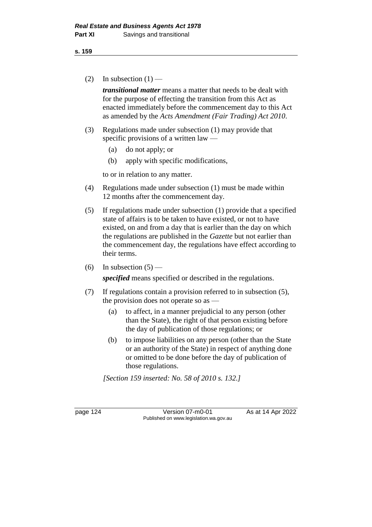(2) In subsection  $(1)$  —

*transitional matter* means a matter that needs to be dealt with for the purpose of effecting the transition from this Act as enacted immediately before the commencement day to this Act as amended by the *Acts Amendment (Fair Trading) Act 2010*.

- (3) Regulations made under subsection (1) may provide that specific provisions of a written law —
	- (a) do not apply; or
	- (b) apply with specific modifications,

to or in relation to any matter.

- (4) Regulations made under subsection (1) must be made within 12 months after the commencement day.
- (5) If regulations made under subsection (1) provide that a specified state of affairs is to be taken to have existed, or not to have existed, on and from a day that is earlier than the day on which the regulations are published in the *Gazette* but not earlier than the commencement day, the regulations have effect according to their terms.
- (6) In subsection  $(5)$  —

*specified* means specified or described in the regulations.

- (7) If regulations contain a provision referred to in subsection (5), the provision does not operate so as —
	- (a) to affect, in a manner prejudicial to any person (other than the State), the right of that person existing before the day of publication of those regulations; or
	- (b) to impose liabilities on any person (other than the State or an authority of the State) in respect of anything done or omitted to be done before the day of publication of those regulations.

*[Section 159 inserted: No. 58 of 2010 s. 132.]*

page 124 Version 07-m0-01 As at 14 Apr 2022 Published on www.legislation.wa.gov.au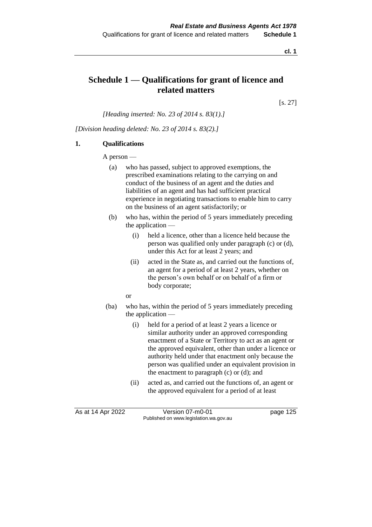**cl. 1**

# **Schedule 1 — Qualifications for grant of licence and related matters**

[s. 27]

*[Heading inserted: No. 23 of 2014 s. 83(1).]*

*[Division heading deleted: No. 23 of 2014 s. 83(2).]*

#### **1. Qualifications**

A person —

- (a) who has passed, subject to approved exemptions, the prescribed examinations relating to the carrying on and conduct of the business of an agent and the duties and liabilities of an agent and has had sufficient practical experience in negotiating transactions to enable him to carry on the business of an agent satisfactorily; or
- (b) who has, within the period of 5 years immediately preceding the application —
	- (i) held a licence, other than a licence held because the person was qualified only under paragraph (c) or (d), under this Act for at least 2 years; and
	- (ii) acted in the State as, and carried out the functions of, an agent for a period of at least 2 years, whether on the person's own behalf or on behalf of a firm or body corporate;

or

- (ba) who has, within the period of 5 years immediately preceding the application —
	- (i) held for a period of at least 2 years a licence or similar authority under an approved corresponding enactment of a State or Territory to act as an agent or the approved equivalent, other than under a licence or authority held under that enactment only because the person was qualified under an equivalent provision in the enactment to paragraph (c) or (d); and
	- (ii) acted as, and carried out the functions of, an agent or the approved equivalent for a period of at least

As at 14 Apr 2022 Version 07-m0-01 page 125 Published on www.legislation.wa.gov.au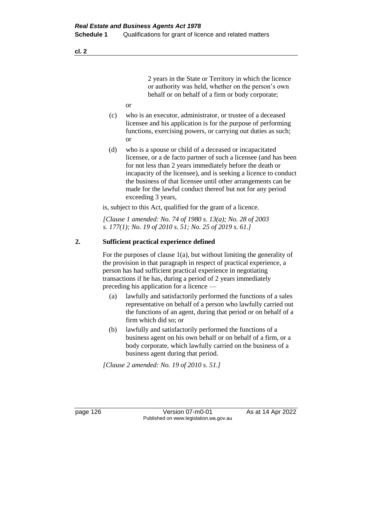2 years in the State or Territory in which the licence or authority was held, whether on the person's own behalf or on behalf of a firm or body corporate;

- or
- (c) who is an executor, administrator, or trustee of a deceased licensee and his application is for the purpose of performing functions, exercising powers, or carrying out duties as such; or
- (d) who is a spouse or child of a deceased or incapacitated licensee, or a de facto partner of such a licensee (and has been for not less than 2 years immediately before the death or incapacity of the licensee), and is seeking a licence to conduct the business of that licensee until other arrangements can be made for the lawful conduct thereof but not for any period exceeding 3 years,

is, subject to this Act, qualified for the grant of a licence.

*[Clause 1 amended: No. 74 of 1980 s. 13(a); No. 28 of 2003 s. 177(1); No. 19 of 2010 s. 51; No. 25 of 2019 s. 61.]*

#### **2. Sufficient practical experience defined**

For the purposes of clause  $1(a)$ , but without limiting the generality of the provision in that paragraph in respect of practical experience, a person has had sufficient practical experience in negotiating transactions if he has, during a period of 2 years immediately preceding his application for a licence —

- (a) lawfully and satisfactorily performed the functions of a sales representative on behalf of a person who lawfully carried out the functions of an agent, during that period or on behalf of a firm which did so; or
- (b) lawfully and satisfactorily performed the functions of a business agent on his own behalf or on behalf of a firm, or a body corporate, which lawfully carried on the business of a business agent during that period.

*[Clause 2 amended: No. 19 of 2010 s. 51.]*

page 126 **Version 07-m0-01** As at 14 Apr 2022 Published on www.legislation.wa.gov.au

**cl. 2**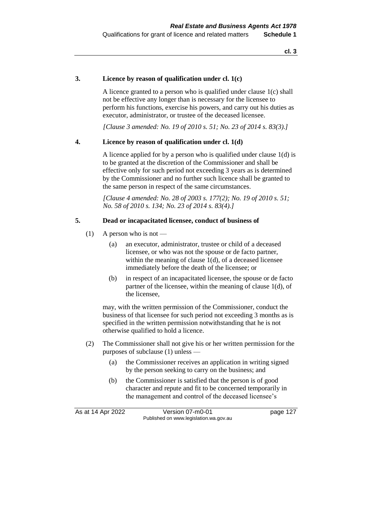#### **3. Licence by reason of qualification under cl. 1(c)**

A licence granted to a person who is qualified under clause 1(c) shall not be effective any longer than is necessary for the licensee to perform his functions, exercise his powers, and carry out his duties as executor, administrator, or trustee of the deceased licensee.

*[Clause 3 amended: No. 19 of 2010 s. 51; No. 23 of 2014 s. 83(3).]*

#### **4. Licence by reason of qualification under cl. 1(d)**

A licence applied for by a person who is qualified under clause 1(d) is to be granted at the discretion of the Commissioner and shall be effective only for such period not exceeding 3 years as is determined by the Commissioner and no further such licence shall be granted to the same person in respect of the same circumstances.

*[Clause 4 amended: No. 28 of 2003 s. 177(2); No. 19 of 2010 s. 51; No. 58 of 2010 s. 134; No. 23 of 2014 s. 83(4).]*

#### **5. Dead or incapacitated licensee, conduct of business of**

- (1) A person who is not
	- (a) an executor, administrator, trustee or child of a deceased licensee, or who was not the spouse or de facto partner, within the meaning of clause 1(d), of a deceased licensee immediately before the death of the licensee; or
	- (b) in respect of an incapacitated licensee, the spouse or de facto partner of the licensee, within the meaning of clause 1(d), of the licensee,

may, with the written permission of the Commissioner, conduct the business of that licensee for such period not exceeding 3 months as is specified in the written permission notwithstanding that he is not otherwise qualified to hold a licence.

- (2) The Commissioner shall not give his or her written permission for the purposes of subclause (1) unless —
	- (a) the Commissioner receives an application in writing signed by the person seeking to carry on the business; and
	- (b) the Commissioner is satisfied that the person is of good character and repute and fit to be concerned temporarily in the management and control of the deceased licensee's

As at 14 Apr 2022 Version 07-m0-01 page 127 Published on www.legislation.wa.gov.au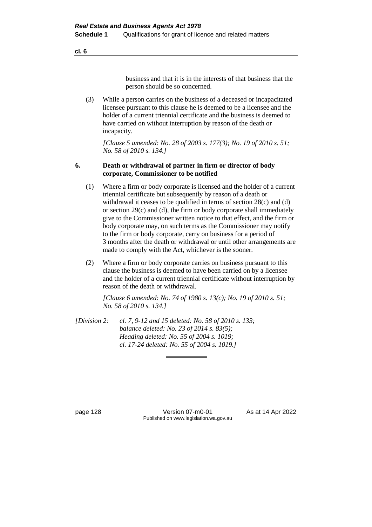business and that it is in the interests of that business that the person should be so concerned.

(3) While a person carries on the business of a deceased or incapacitated licensee pursuant to this clause he is deemed to be a licensee and the holder of a current triennial certificate and the business is deemed to have carried on without interruption by reason of the death or incapacity.

*[Clause 5 amended: No. 28 of 2003 s. 177(3); No. 19 of 2010 s. 51; No. 58 of 2010 s. 134.]*

#### **6. Death or withdrawal of partner in firm or director of body corporate, Commissioner to be notified**

- (1) Where a firm or body corporate is licensed and the holder of a current triennial certificate but subsequently by reason of a death or withdrawal it ceases to be qualified in terms of section 28(c) and (d) or section 29(c) and (d), the firm or body corporate shall immediately give to the Commissioner written notice to that effect, and the firm or body corporate may, on such terms as the Commissioner may notify to the firm or body corporate, carry on business for a period of 3 months after the death or withdrawal or until other arrangements are made to comply with the Act, whichever is the sooner.
- (2) Where a firm or body corporate carries on business pursuant to this clause the business is deemed to have been carried on by a licensee and the holder of a current triennial certificate without interruption by reason of the death or withdrawal.

*[Clause 6 amended: No. 74 of 1980 s. 13(c); No. 19 of 2010 s. 51; No. 58 of 2010 s. 134.]*

*[Division 2: cl. 7, 9-12 and 15 deleted: No. 58 of 2010 s. 133; balance deleted: No. 23 of 2014 s. 83(5); Heading deleted: No. 55 of 2004 s. 1019; cl. 17-24 deleted: No. 55 of 2004 s. 1019.]*

page 128 Version 07-m0-01 As at 14 Apr 2022 Published on www.legislation.wa.gov.au

**cl. 6**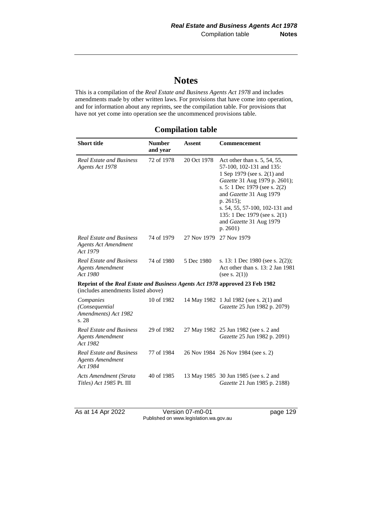# **Notes**

This is a compilation of the *Real Estate and Business Agents Act 1978* and includes amendments made by other written laws. For provisions that have come into operation, and for information about any reprints, see the compilation table. For provisions that have not yet come into operation see the uncommenced provisions table.

| <b>Compilation table</b> |  |  |
|--------------------------|--|--|
|--------------------------|--|--|

| <b>Short title</b>                                                                                                 | <b>Number</b><br>and year | Assent      | <b>Commencement</b>                                                                                                                                                                                                                                                                                          |
|--------------------------------------------------------------------------------------------------------------------|---------------------------|-------------|--------------------------------------------------------------------------------------------------------------------------------------------------------------------------------------------------------------------------------------------------------------------------------------------------------------|
| <b>Real Estate and Business</b><br>Agents Act 1978                                                                 | 72 of 1978                | 20 Oct 1978 | Act other than s. 5, 54, 55,<br>57-100, 102-131 and 135:<br>1 Sep 1979 (see s. 2(1) and<br>Gazette 31 Aug 1979 p. 2601);<br>s. 5: 1 Dec 1979 (see s. 2(2)<br>and Gazette 31 Aug 1979<br>p. $2615$ ;<br>s. 54, 55, 57-100, 102-131 and<br>135: 1 Dec 1979 (see s. 2(1)<br>and Gazette 31 Aug 1979<br>p. 2601) |
| <b>Real Estate and Business</b><br><b>Agents Act Amendment</b><br>Act 1979                                         | 74 of 1979                | 27 Nov 1979 | 27 Nov 1979                                                                                                                                                                                                                                                                                                  |
| <b>Real Estate and Business</b><br><b>Agents Amendment</b><br>Act 1980                                             | 74 of 1980                | 5 Dec 1980  | s. 13: 1 Dec 1980 (see s. 2(2));<br>Act other than s. 13: 2 Jan 1981<br>(see s. $2(1)$ )                                                                                                                                                                                                                     |
| Reprint of the Real Estate and Business Agents Act 1978 approved 23 Feb 1982<br>(includes amendments listed above) |                           |             |                                                                                                                                                                                                                                                                                                              |
| Companies<br>(Consequential<br>Amendments) Act 1982<br>s. 28                                                       | 10 of 1982                |             | 14 May 1982 1 Jul 1982 (see s. 2(1) and<br>Gazette 25 Jun 1982 p. 2079)                                                                                                                                                                                                                                      |
| <b>Real Estate and Business</b><br><b>Agents Amendment</b><br>Act 1982                                             | 29 of 1982                |             | 27 May 1982 25 Jun 1982 (see s. 2 and<br>Gazette 25 Jun 1982 p. 2091)                                                                                                                                                                                                                                        |
| <b>Real Estate and Business</b><br><b>Agents Amendment</b><br>Act 1984                                             | 77 of 1984                |             | 26 Nov 1984 26 Nov 1984 (see s. 2)                                                                                                                                                                                                                                                                           |
| Acts Amendment (Strata<br>Titles) Act 1985 Pt. III                                                                 | 40 of 1985                |             | 13 May 1985 30 Jun 1985 (see s. 2 and<br>Gazette 21 Jun 1985 p. 2188)                                                                                                                                                                                                                                        |

As at 14 Apr 2022 Version 07-m0-01 page 129 Published on www.legislation.wa.gov.au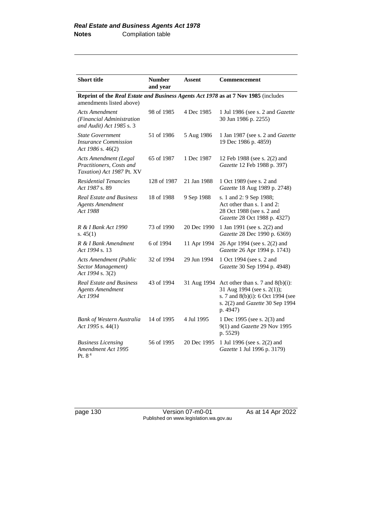| <b>Short title</b>                                                                                             | <b>Number</b><br>and year | <b>Assent</b> | <b>Commencement</b>                                                                                                                                   |
|----------------------------------------------------------------------------------------------------------------|---------------------------|---------------|-------------------------------------------------------------------------------------------------------------------------------------------------------|
| Reprint of the Real Estate and Business Agents Act 1978 as at 7 Nov 1985 (includes<br>amendments listed above) |                           |               |                                                                                                                                                       |
| Acts Amendment<br>(Financial Administration<br>and Audit) Act 1985 s. 3                                        | 98 of 1985                | 4 Dec 1985    | 1 Jul 1986 (see s. 2 and Gazette<br>30 Jun 1986 p. 2255)                                                                                              |
| <b>State Government</b><br><i><b>Insurance Commission</b></i><br>Act 1986 s. $46(2)$                           | 51 of 1986                | 5 Aug 1986    | 1 Jan 1987 (see s. 2 and <i>Gazette</i><br>19 Dec 1986 p. 4859)                                                                                       |
| <b>Acts Amendment (Legal</b><br>Practitioners. Costs and<br>Taxation) Act 1987 Pt. XV                          | 65 of 1987                | 1 Dec 1987    | 12 Feb 1988 (see s. 2(2) and<br>Gazette 12 Feb 1988 p. 397)                                                                                           |
| <b>Residential Tenancies</b><br>Act 1987 s. 89                                                                 | 128 of 1987               | 21 Jan 1988   | 1 Oct 1989 (see s. 2 and<br>Gazette 18 Aug 1989 p. 2748)                                                                                              |
| <b>Real Estate and Business</b><br><b>Agents Amendment</b><br>Act 1988                                         | 18 of 1988                | 9 Sep 1988    | s. 1 and 2: 9 Sep 1988;<br>Act other than s. 1 and 2:<br>28 Oct 1988 (see s. 2 and<br>Gazette 28 Oct 1988 p. 4327)                                    |
| R & I Bank Act 1990<br>s. $45(1)$                                                                              | 73 of 1990                | 20 Dec 1990   | 1 Jan 1991 (see s. 2(2) and<br>Gazette 28 Dec 1990 p. 6369)                                                                                           |
| R & I Bank Amendment<br>Act 1994 s. 13                                                                         | 6 of 1994                 | 11 Apr 1994   | 26 Apr 1994 (see s. 2(2) and<br>Gazette 26 Apr 1994 p. 1743)                                                                                          |
| <b>Acts Amendment (Public</b><br>Sector Management)<br>Act 1994 s. 3(2)                                        | 32 of 1994                | 29 Jun 1994   | 1 Oct 1994 (see s. 2 and<br>Gazette 30 Sep 1994 p. 4948)                                                                                              |
| <b>Real Estate and Business</b><br><b>Agents Amendment</b><br>Act 1994                                         | 43 of 1994                | 31 Aug 1994   | Act other than s. 7 and $8(b)(i)$ :<br>31 Aug 1994 (see s. 2(1));<br>s. 7 and 8(b)(i): 6 Oct 1994 (see<br>s. 2(2) and Gazette 30 Sep 1994<br>p. 4947) |
| <b>Bank of Western Australia</b><br>Act 1995 s. 44(1)                                                          | 14 of 1995                | 4 Jul 1995    | 1 Dec 1995 (see s. 2(3) and<br>9(1) and Gazette 29 Nov 1995<br>p. 5529)                                                                               |
| <b>Business Licensing</b><br>Amendment Act 1995<br>Pt. $84$                                                    | 56 of 1995                | 20 Dec 1995   | 1 Jul 1996 (see s. 2(2) and<br>Gazette 1 Jul 1996 p. 3179)                                                                                            |

page 130 Version 07-m0-01 As at 14 Apr 2022 Published on www.legislation.wa.gov.au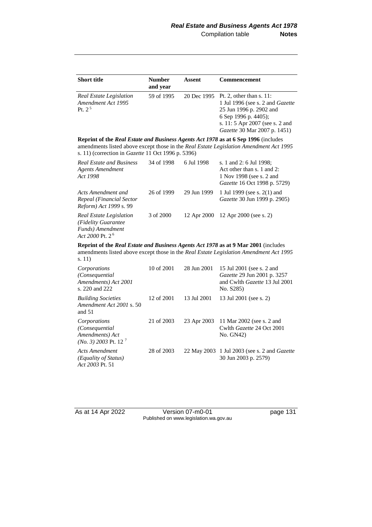| <b>Short title</b>                                          | <b>Number</b><br>and year | Assent | <b>Commencement</b>                                                                                                                                                                                   |
|-------------------------------------------------------------|---------------------------|--------|-------------------------------------------------------------------------------------------------------------------------------------------------------------------------------------------------------|
| Real Estate Legislation<br>Amendment Act 1995<br>$Pt \ 2^5$ | 59 of 1995                |        | 20 Dec 1995 Pt. 2, other than s. 11:<br>1 Jul 1996 (see s. 2 and <i>Gazette</i><br>25 Jun 1996 p. 2902 and<br>6 Sep 1996 p. 4405);<br>s. 11: 5 Apr 2007 (see s. 2 and<br>Gazette 30 Mar 2007 p. 1451) |

**Reprint of the** *Real Estate and Business Agents Act 1978* **as at 6 Sep 1996** (includes amendments listed above except those in the *Real Estate Legislation Amendment Act 1995* s. 11) (correction in *Gazette* 11 Oct 1996 p. 5396)

| <b>Real Estate and Business</b><br>Agents Amendment<br>Act 1998                           | 34 of 1998 | 6 Jul 1998 | s. 1 and 2: 6 Jul 1998;<br>Act other than $s$ , 1 and 2:<br>1 Nov 1998 (see s. 2 and<br><i>Gazette</i> 16 Oct 1998 p. 5729) |
|-------------------------------------------------------------------------------------------|------------|------------|-----------------------------------------------------------------------------------------------------------------------------|
| Acts Amendment and<br>Repeal (Financial Sector<br><i>Reform</i> ) Act 1999 s. 99          | 26 of 1999 |            | 29 Jun 1999 1 Jul 1999 (see s. 2(1) and<br><i>Gazette</i> 30 Jun 1999 p. 2905)                                              |
| Real Estate Legislation<br>(Fidelity Guarantee)<br>Funds) Amendment<br>Act 2000 Pt. $2^6$ | 3 of 2000  |            | 12 Apr 2000 12 Apr 2000 (see s. 2)                                                                                          |

**Reprint of the** *Real Estate and Business Agents Act 1978* **as at 9 Mar 2001** (includes amendments listed above except those in the *Real Estate Legislation Amendment Act 1995* s. 11)

| Corporations<br>(Consequential)<br>Amendments) Act 2001<br>s. 220 and 222                | 10 of 2001 | 28 Jun 2001 | 15 Jul 2001 (see s. 2 and<br><i>Gazette</i> 29 Jun 2001 p. 3257<br>and Cwlth <i>Gazette</i> 13 Jul 2001<br>No. S285) |
|------------------------------------------------------------------------------------------|------------|-------------|----------------------------------------------------------------------------------------------------------------------|
| <b>Building Societies</b><br>Amendment Act 2001 s. 50<br>and $51$                        | 12 of 2001 | 13 Jul 2001 | 13 Jul 2001 (see s. 2)                                                                                               |
| Corporations<br>(Consequential)<br>Amendments) Act<br>$(No. 3)$ 2003 Pt. 12 <sup>7</sup> | 21 of 2003 |             | 23 Apr 2003 11 Mar 2002 (see s. 2 and<br>Cwlth Gazette 24 Oct 2001<br>No. GN42)                                      |
| Acts Amendment<br>(Equality of Status)<br>Act 2003 Pt. 51                                | 28 of 2003 |             | 22 May 2003 1 Jul 2003 (see s. 2 and <i>Gazette</i><br>30 Jun 2003 p. 2579)                                          |

As at 14 Apr 2022 Version 07-m0-01 page 131 Published on www.legislation.wa.gov.au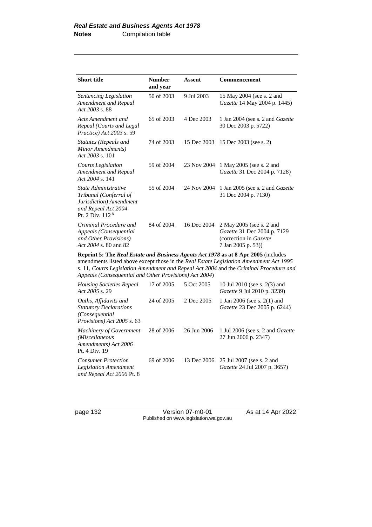| <b>Short title</b>                                                                                                      | <b>Number</b><br>and year | Assent      | Commencement                                                                                            |
|-------------------------------------------------------------------------------------------------------------------------|---------------------------|-------------|---------------------------------------------------------------------------------------------------------|
| Sentencing Legislation<br>Amendment and Repeal<br>Act 2003 s. 88                                                        | 50 of 2003                | 9 Jul 2003  | 15 May 2004 (see s. 2 and<br><i>Gazette</i> 14 May 2004 p. 1445)                                        |
| Acts Amendment and<br>Repeal (Courts and Legal<br>Practice) Act 2003 s. 59                                              | 65 of 2003                | 4 Dec 2003  | 1 Jan 2004 (see s. 2 and <i>Gazette</i><br>30 Dec 2003 p. 5722)                                         |
| Statutes (Repeals and<br>Minor Amendments)<br>$Act\,2003\,$ s. 101                                                      | 74 of 2003                | 15 Dec 2003 | 15 Dec 2003 (see s. 2)                                                                                  |
| Courts Legislation<br>Amendment and Repeal<br>Act $2004$ s. 141                                                         | 59 of 2004                | 23 Nov 2004 | 1 May 2005 (see s. 2 and<br><i>Gazette</i> 31 Dec 2004 p. 7128)                                         |
| State Administrative<br>Tribunal (Conferral of<br>Jurisdiction) Amendment<br>and Repeal Act 2004<br>Pt. $2$ Div. $1128$ | 55 of 2004                | 24 Nov 2004 | 1 Jan 2005 (see s. 2 and <i>Gazette</i><br>31 Dec 2004 p. 7130)                                         |
| Criminal Procedure and<br>Appeals (Consequential<br>and Other Provisions)<br>Act 2004 s. 80 and 82                      | 84 of 2004                | 16 Dec 2004 | 2 May 2005 (see s. 2 and<br>Gazette 31 Dec 2004 p. 7129<br>(correction in Gazette<br>7 Jan 2005 p. 53)) |

**Reprint 5: The** *Real Estate and Business Agents Act 1978* **as at 8 Apr 2005** (includes amendments listed above except those in the *Real Estate Legislation Amendment Act 1995* s. 11, *Courts Legislation Amendment and Repeal Act 2004* and the *Criminal Procedure and Appeals (Consequential and Other Provisions) Act 2004*)

| <b>Housing Societies Repeal</b><br>Act 2005 s. 29                                                               | 17 of 2005 | 5 Oct 2005  | 10 Jul 2010 (see s. 2(3) and<br><i>Gazette</i> 9 Jul 2010 p. 3239)    |
|-----------------------------------------------------------------------------------------------------------------|------------|-------------|-----------------------------------------------------------------------|
| Oaths, Affidavits and<br><b>Statutory Declarations</b><br>(Consequential)<br><i>Provisions</i> ) Act 2005 s. 63 | 24 of 2005 | 2 Dec 2005  | 1 Jan 2006 (see s. 2(1) and<br>Gazette 23 Dec 2005 p. 6244)           |
| <b>Machinery of Government</b><br>(Miscellaneous<br>Amendments) Act 2006<br>Pt. 4 Div. 19                       | 28 of 2006 | 26 Jun 2006 | 1 Jul 2006 (see s. 2 and <i>Gazette</i><br>27 Jun 2006 p. 2347)       |
| <b>Consumer Protection</b><br>Legislation Amendment<br>and Repeal Act 2006 Pt. 8                                | 69 of 2006 |             | 13 Dec 2006 25 Jul 2007 (see s. 2 and<br>Gazette 24 Jul 2007 p. 3657) |

page 132 Version 07-m0-01 As at 14 Apr 2022 Published on www.legislation.wa.gov.au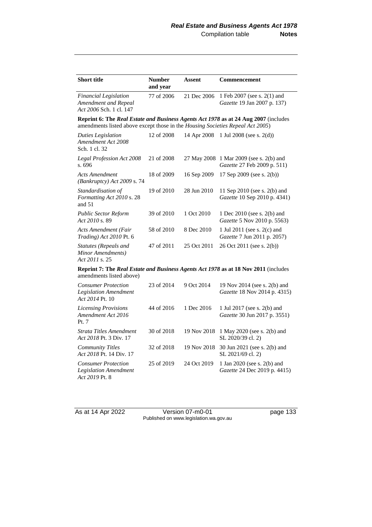| <b>Short title</b>                                                              | <b>Number</b><br>and year | Assent      | <b>Commencement</b>                                                                 |
|---------------------------------------------------------------------------------|---------------------------|-------------|-------------------------------------------------------------------------------------|
| <b>Financial Legislation</b><br>Amendment and Repeal<br>Act 2006 Sch. 1 cl. 147 | 77 of 2006                | 21 Dec 2006 | 1 Feb 2007 (see s. 2(1) and<br>Gazette 19 Jan 2007 p. 137)                          |
| amendments listed above except those in the Housing Societies Repeal Act 2005)  |                           |             | Reprint 6: The Real Estate and Business Agents Act 1978 as at 24 Aug 2007 (includes |
| <b>Duties Legislation</b><br>Amendment Act 2008<br>Sch. 1 cl. 32                | 12 of 2008                | 14 Apr 2008 | 1 Jul 2008 (see s. $2(d)$ )                                                         |
| Legal Profession Act 2008<br>s. 696                                             | 21 of 2008                | 27 May 2008 | 1 Mar 2009 (see s. 2(b) and<br>Gazette 27 Feb 2009 p. 511)                          |
| <b>Acts Amendment</b><br>(Bankruptcy) Act 2009 s. 74                            | 18 of 2009                | 16 Sep 2009 | 17 Sep 2009 (see s. 2(b))                                                           |
| Standardisation of<br>Formatting Act 2010 s. 28<br>and 51                       | 19 of 2010                | 28 Jun 2010 | 11 Sep 2010 (see s. 2(b) and<br>Gazette 10 Sep 2010 p. 4341)                        |
| <b>Public Sector Reform</b><br>Act 2010 s. 89                                   | 39 of 2010                | 1 Oct 2010  | 1 Dec 2010 (see s. 2(b) and<br>Gazette 5 Nov 2010 p. 5563)                          |
| <b>Acts Amendment (Fair</b><br><i>Trading</i> ) Act 2010 Pt. 6                  | 58 of 2010                | 8 Dec 2010  | 1 Jul 2011 (see s. 2(c) and<br>Gazette 7 Jun 2011 p. 2057)                          |
| Statutes (Repeals and<br>Minor Amendments)<br>Act 2011 s. 25                    | 47 of 2011                | 25 Oct 2011 | 26 Oct 2011 (see s. 2(b))                                                           |
| amendments listed above)                                                        |                           |             | Reprint 7: The Real Estate and Business Agents Act 1978 as at 18 Nov 2011 (includes |
| <b>Consumer Protection</b><br><b>Legislation Amendment</b><br>Act 2014 Pt. 10   | 23 of 2014                | 9 Oct 2014  | 19 Nov 2014 (see s. 2(b) and<br>Gazette 18 Nov 2014 p. 4315)                        |
| <b>Licensing Provisions</b><br>Amendment Act 2016<br>Pt. 7                      | 44 of 2016                | 1 Dec 2016  | 1 Jul 2017 (see s. 2(b) and<br>Gazette 30 Jun 2017 p. 3551)                         |
| Strata Titles Amendment<br>Act 2018 Pt. 3 Div. 17                               | 30 of 2018                | 19 Nov 2018 | 1 May 2020 (see s. 2(b) and<br>SL 2020/39 cl. 2)                                    |
| <b>Community Titles</b><br>Act 2018 Pt. 14 Div. 17                              | 32 of 2018                | 19 Nov 2018 | 30 Jun 2021 (see s. 2(b) and<br>SL 2021/69 cl. 2)                                   |
| <b>Consumer Protection</b><br><b>Legislation Amendment</b><br>Act 2019 Pt. 8    | 25 of 2019                | 24 Oct 2019 | 1 Jan 2020 (see s. 2(b) and<br>Gazette 24 Dec 2019 p. 4415)                         |

As at 14 Apr 2022 Version 07-m0-01 page 133 Published on www.legislation.wa.gov.au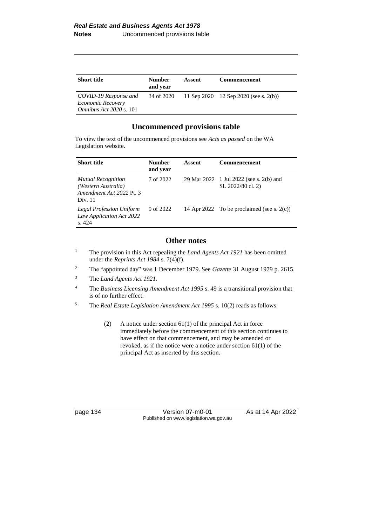| <b>Short title</b>                                                           | <b>Number</b><br>and year | Assent | <b>Commencement</b>                   |
|------------------------------------------------------------------------------|---------------------------|--------|---------------------------------------|
| COVID-19 Response and<br>Economic Recovery<br><i>Omnibus Act 2020 s.</i> 101 | 34 of 2020                |        | 11 Sep 2020 12 Sep 2020 (see s. 2(b)) |

## **Uncommenced provisions table**

To view the text of the uncommenced provisions see *Acts as passed* on the WA Legislation website.

| <b>Short title</b>                                                                      | <b>Number</b><br>and year | Assent | <b>Commencement</b>                                          |
|-----------------------------------------------------------------------------------------|---------------------------|--------|--------------------------------------------------------------|
| <b>Mutual Recognition</b><br>(Western Australia)<br>Amendment Act 2022 Pt. 3<br>Div. 11 | 7 of 2022                 |        | 29 Mar 2022 1 Jul 2022 (see s. 2(b) and<br>SL 2022/80 cl. 2) |
| <b>Legal Profession Uniform</b><br>Law Application Act 2022<br>s.424                    | 9 of 2022                 |        | 14 Apr 2022 To be proclaimed (see s. $2(c)$ )                |

## **Other notes**

- <sup>1</sup> The provision in this Act repealing the *Land Agents Act 1921* has been omitted under the *Reprints Act 1984* s. 7(4)(f).
- <sup>2</sup> The "appointed day" was 1 December 1979. See *Gazette* 31 August 1979 p. 2615.
- <sup>3</sup> The *Land Agents Act 1921*.
- <sup>4</sup> The *Business Licensing Amendment Act 1995* s. 49 is a transitional provision that is of no further effect.
- <sup>5</sup> The *Real Estate Legislation Amendment Act 1995* s. 10(2) reads as follows:
	- (2) A notice under section 61(1) of the principal Act in force immediately before the commencement of this section continues to have effect on that commencement, and may be amended or revoked, as if the notice were a notice under section 61(1) of the principal Act as inserted by this section.

page 134 Version 07-m0-01 As at 14 Apr 2022 Published on www.legislation.wa.gov.au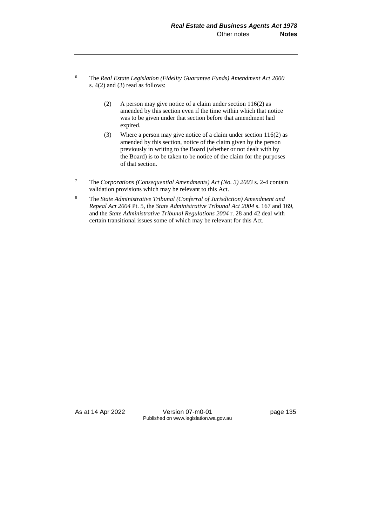- <sup>6</sup> The *Real Estate Legislation (Fidelity Guarantee Funds) Amendment Act 2000* s. 4(2) and (3) read as follows:
	- (2) A person may give notice of a claim under section 116(2) as amended by this section even if the time within which that notice was to be given under that section before that amendment had expired.
	- (3) Where a person may give notice of a claim under section 116(2) as amended by this section, notice of the claim given by the person previously in writing to the Board (whether or not dealt with by the Board) is to be taken to be notice of the claim for the purposes of that section.
- <sup>7</sup> The *Corporations (Consequential Amendments) Act (No. 3) 2003* s. 2-4 contain validation provisions which may be relevant to this Act.
- <sup>8</sup> The *State Administrative Tribunal (Conferral of Jurisdiction) Amendment and Repeal Act 2004* Pt. 5, the *State Administrative Tribunal Act 2004* s. 167 and 169, and the *State Administrative Tribunal Regulations 2004* r. 28 and 42 deal with certain transitional issues some of which may be relevant for this Act.

As at 14 Apr 2022 Version 07-m0-01 page 135 Published on www.legislation.wa.gov.au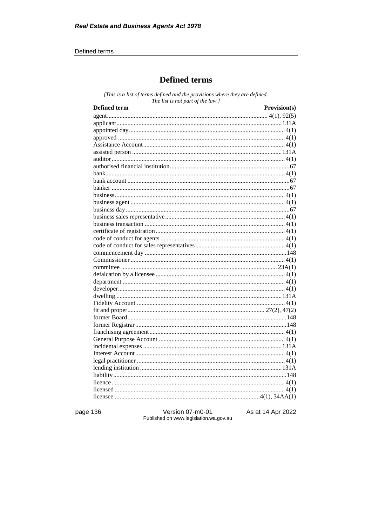## Defined terms

## **Defined terms**

[This is a list of terms defined and the provisions where they are defined. The list is not part of the law.]

| <b>Defined term</b><br><u> 1989 - Johann Barn, amerikan bestemanns og forskellige og det blev til store og store og store og store og s</u> | Provision(s) |
|---------------------------------------------------------------------------------------------------------------------------------------------|--------------|
|                                                                                                                                             |              |
|                                                                                                                                             |              |
|                                                                                                                                             |              |
|                                                                                                                                             |              |
|                                                                                                                                             |              |
|                                                                                                                                             |              |
|                                                                                                                                             |              |
|                                                                                                                                             |              |
|                                                                                                                                             |              |
|                                                                                                                                             |              |
|                                                                                                                                             |              |
|                                                                                                                                             |              |
|                                                                                                                                             |              |
|                                                                                                                                             |              |
|                                                                                                                                             |              |
|                                                                                                                                             |              |
|                                                                                                                                             |              |
|                                                                                                                                             |              |
|                                                                                                                                             |              |
|                                                                                                                                             |              |
|                                                                                                                                             |              |
|                                                                                                                                             |              |
|                                                                                                                                             |              |
|                                                                                                                                             |              |
|                                                                                                                                             |              |
|                                                                                                                                             |              |
|                                                                                                                                             |              |
|                                                                                                                                             |              |
|                                                                                                                                             |              |
|                                                                                                                                             |              |
|                                                                                                                                             |              |
|                                                                                                                                             |              |
|                                                                                                                                             |              |
|                                                                                                                                             |              |
|                                                                                                                                             |              |
|                                                                                                                                             |              |
|                                                                                                                                             |              |
|                                                                                                                                             |              |
|                                                                                                                                             |              |
|                                                                                                                                             |              |
|                                                                                                                                             |              |

page 136

Version 07-m0-01<br>Published on www.legislation.wa.gov.au

As at 14 Apr 2022